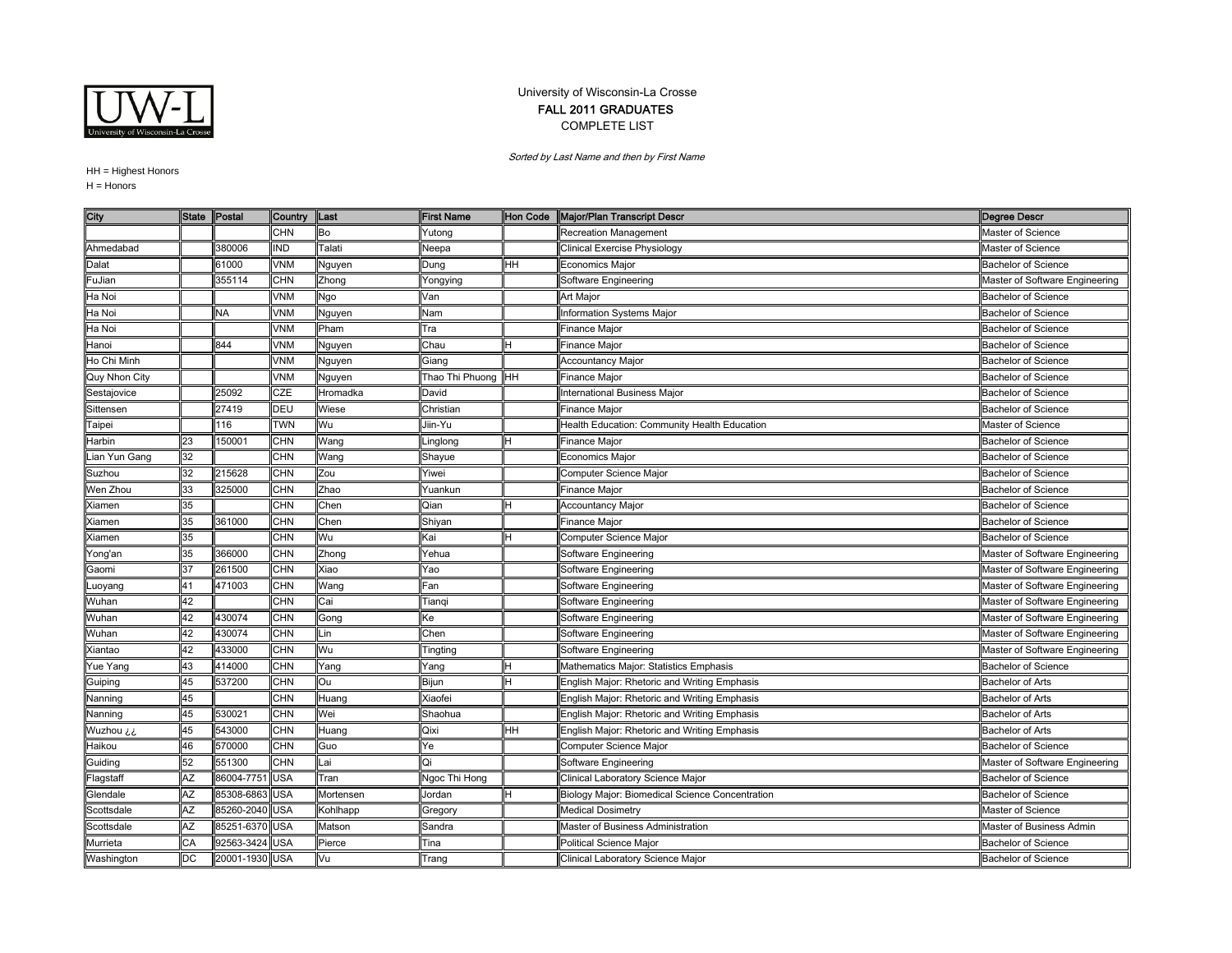

## University of Wisconsin-La Crosse FALL 2011 GRADUATES COMPLETE LIST

Sorted by Last Name and then by First Name

HH = Highest Honors

 $H =$  Honors

| City          | <b>State</b> | Postal         | Country    | Last      | <b>First Name</b>   | Hon Code | Major/Plan Transcript Descr                     | <b>Degree Descr</b>            |
|---------------|--------------|----------------|------------|-----------|---------------------|----------|-------------------------------------------------|--------------------------------|
|               |              |                | <b>CHN</b> | Bo        | rutong              |          | Recreation Management                           | Master of Science              |
| Ahmedabad     |              | 380006         | <b>IND</b> | Talati    | Neepa               |          | Clinical Exercise Physiology                    | Master of Science              |
| Dalat         |              | 61000          | <b>VNM</b> | Nguyen    | Dung                | HН       | Economics Maior                                 | <b>Bachelor of Science</b>     |
| FuJian        |              | 355114         | CHN        | Zhong     | Yongying            |          | Software Engineering                            | Master of Software Engineering |
| Ha Noi        |              |                | VNM        | Ngo       | Van                 |          | <b>Art Major</b>                                | <b>Bachelor of Science</b>     |
| Ha Noi        |              | <b>NA</b>      | VNM        | Nguyen    | Nam                 |          | Information Systems Major                       | <b>Bachelor of Science</b>     |
| Ha Noi        |              |                | VNM        | Pham      | Tra                 |          | Finance Major                                   | <b>Bachelor of Science</b>     |
| Hanoi         |              | 844            | VNM        | Nguyen    | Chau                |          | Finance Major                                   | <b>Bachelor of Science</b>     |
| Ho Chi Minh   |              |                | VNM        | Nguyen    | Giang               |          | <b>Accountancy Major</b>                        | <b>Bachelor of Science</b>     |
| Quy Nhon City |              |                | VNM        | Nguyen    | Thao Thi Phuong HHH |          | Finance Major                                   | <b>Bachelor of Science</b>     |
| Sestajovice   |              | 25092          | CZE        | Hromadka  | David               |          | International Business Major                    | <b>Bachelor of Science</b>     |
| Sittensen     |              | 27419          | DEU        | Wiese     | Christian           |          | Finance Major                                   | <b>Bachelor of Science</b>     |
| Taipei        |              | 16             | <b>TWN</b> | Wu        | Jiin-Yu             |          | Health Education: Community Health Education    | Master of Science              |
| Harbin        | 23           | 150001         | <b>CHN</b> | Wang      | .inglong            |          | Finance Major                                   | <b>Bachelor of Science</b>     |
| Lian Yun Gang | 32           |                | CHN        | Wang      | Shayue              |          | <b>Economics Maior</b>                          | <b>Bachelor of Science</b>     |
| Suzhou        | 32           | 215628         | CHN        | Zou       | Yiwei               |          | Computer Science Major                          | <b>Bachelor of Science</b>     |
| Wen Zhou      | 33           | 325000         | CHN        | Zhao      | Yuankun             |          | Finance Major                                   | <b>Bachelor of Science</b>     |
| Xiamen        | 35           |                | CHN        | Chen      | Qian                |          | Accountancy Major                               | <b>Bachelor of Science</b>     |
| Xiamen        | 35           | 361000         | CHN        | Chen      | Shiyan              |          | Finance Major                                   | <b>Bachelor of Science</b>     |
| Xiamen        | 35           |                | CHN        | Wu        | Kai                 |          | Computer Science Major                          | <b>Bachelor of Science</b>     |
| Yong'an       | 35           | 366000         | CHN        | Zhong     | Yehua               |          | Software Engineering                            | Master of Software Engineering |
| Gaomi         | 37           | 261500         | CHN        | Xiao      | Yao                 |          | Software Engineering                            | Master of Software Engineering |
| Luoyang       | 41           | 471003         | CHN        | Wang      | Fan                 |          | Software Engineering                            | Master of Software Engineering |
| Wuhan         | 42           |                | CHN        | Cai       | Tiangi              |          | Software Engineering                            | Master of Software Engineering |
| Wuhan         | 42           | 430074         | <b>CHN</b> | Gong      | Ke                  |          | Software Engineering                            | Master of Software Engineering |
| Wuhan         | 42           | 430074         | <b>CHN</b> | Lin       | Chen                |          | Software Engineering                            | Master of Software Engineering |
| Xiantao       | 42           | 433000         | CHN        | Wu        | Tingting            |          | Software Engineering                            | Master of Software Engineering |
| Yue Yang      | 43           | 414000         | CHN        | Yang      | Yang                |          | Mathematics Major: Statistics Emphasis          | <b>Bachelor of Science</b>     |
| Guiping       | 45           | 537200         | <b>CHN</b> | Ou        | Bijun               |          | English Major: Rhetoric and Writing Emphasis    | <b>Bachelor of Arts</b>        |
| Nanning       | 45           |                | CHN        | Huang     | Xiaofei             |          | English Major: Rhetoric and Writing Emphasis    | <b>Bachelor of Arts</b>        |
| Nanning       | 45           | 530021         | CHN        | Wei       | Shaohua             |          | English Major: Rhetoric and Writing Emphasis    | <b>Bachelor of Arts</b>        |
| Wuzhou ¿¿     | 45           | 543000         | CHN        | Huang     | Qixi                | HН       | English Major: Rhetoric and Writing Emphasis    | <b>Bachelor of Arts</b>        |
| Haikou        | 46           | 570000         | <b>CHN</b> | Guo       | Ye                  |          | Computer Science Major                          | <b>Bachelor of Science</b>     |
| Guiding       | 52           | 551300         | <b>CHN</b> | Lai       | Qi                  |          | Software Engineering                            | Master of Software Engineering |
| Flagstaff     | ĄŻ           | 86004-7751     | <b>USA</b> | Tran      | Ngoc Thi Hong       |          | Clinical Laboratory Science Major               | <b>Bachelor of Science</b>     |
| Glendale      | AZ           | 85308-6863 USA |            | Mortensen | Jordan              |          | Biology Major: Biomedical Science Concentration | <b>Bachelor of Science</b>     |
| Scottsdale    | ĄZ           | 85260-2040 USA |            | Kohlhapp  | Gregory             |          | <b>Medical Dosimetry</b>                        | Master of Science              |
| Scottsdale    | AZ           | 85251-6370 USA |            | Matson    | Sandra              |          | Master of Business Administration               | Master of Business Admin       |
| Murrieta      | CА           | 92563-3424 USA |            | Pierce    | Tina                |          | <b>Political Science Major</b>                  | <b>Bachelor of Science</b>     |
| Washington    | DC           | 20001-1930 USA |            | Vu        | Trang               |          | Clinical Laboratory Science Major               | <b>Bachelor of Science</b>     |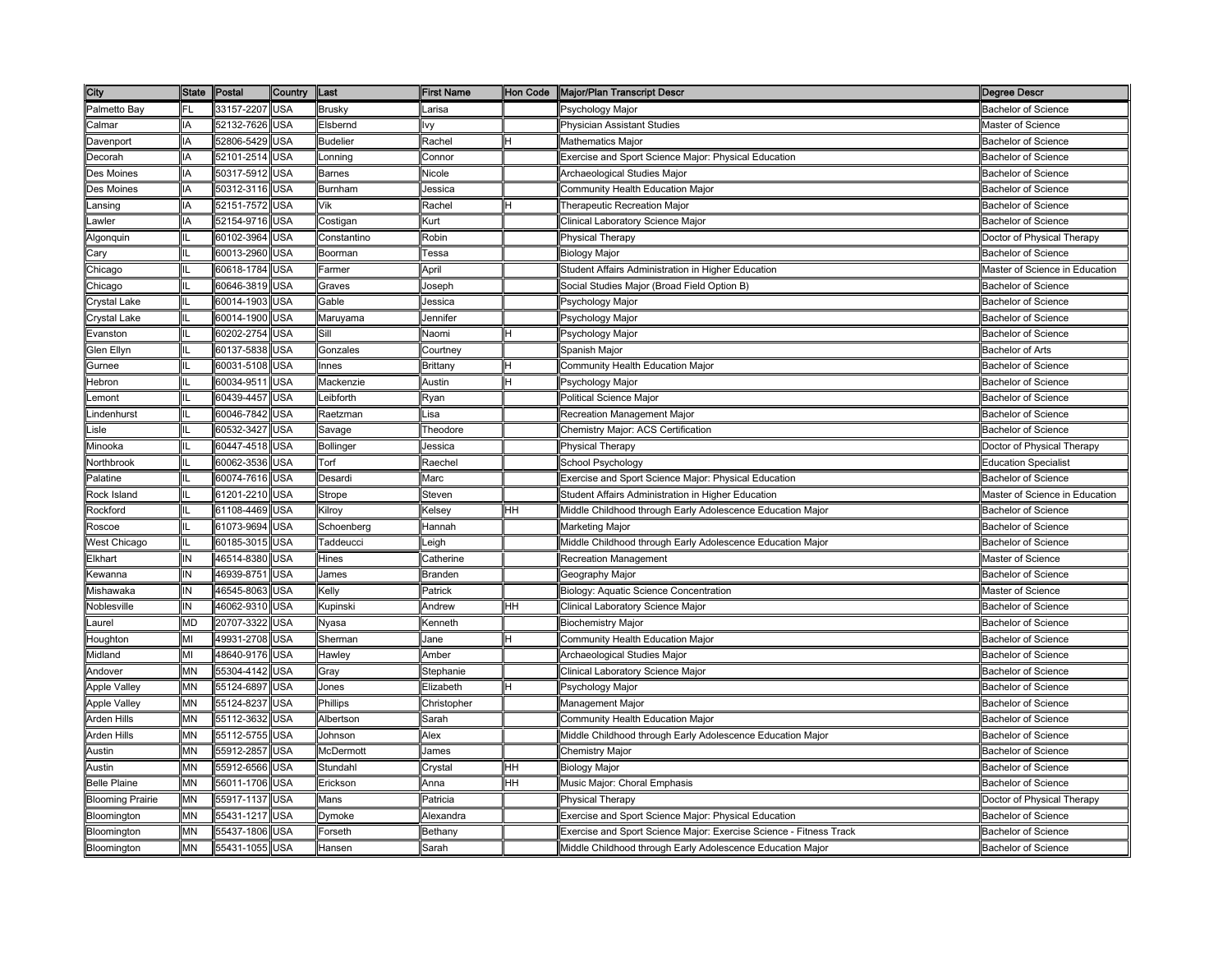| City                    |           | State Postal   | <b>Country</b> | Last            | <b>First Name</b>                                                                                         |    | Hon Code   Major/Plan Transcript Descr                             | <b>Degree Descr</b>            |
|-------------------------|-----------|----------------|----------------|-----------------|-----------------------------------------------------------------------------------------------------------|----|--------------------------------------------------------------------|--------------------------------|
| Palmetto Bay            | FL        | 33157-2207 USA |                | <b>Brusky</b>   | Larisa                                                                                                    |    | Psychology Major                                                   | Bachelor of Science            |
| Calmar                  | IA        | 52132-7626     | <b>USA</b>     | Elsbernd        | VV                                                                                                        |    | Physician Assistant Studies                                        | Master of Science              |
| Davenport               | IA        | 52806-5429     | USA            | <b>Budelier</b> | Rachel                                                                                                    |    | <b>Mathematics Major</b>                                           | <b>Bachelor of Science</b>     |
| Decorah                 |           | 52101-2514     | <b>JSA</b>     | .onning         | Connor                                                                                                    |    | Exercise and Sport Science Major: Physical Education               | Bachelor of Science            |
| Des Moines              | IA        | 50317-5912     | USA            | <b>Barnes</b>   | Nicole                                                                                                    |    | Archaeological Studies Major                                       | <b>Bachelor of Science</b>     |
| Des Moines              | ΙA        | 50312-3116     | USA            | Burnham         | Jessica                                                                                                   |    | Community Health Education Major                                   | <b>Bachelor of Science</b>     |
| .ansing                 | IA        | 52151-7572 USA |                | Vik             | Rachel                                                                                                    |    | Therapeutic Recreation Major                                       | <b>Bachelor of Science</b>     |
| .awler                  | ΙA        | 52154-9716     | <b>USA</b>     | Costigan        | <urt< td=""><td></td><td>Clinical Laboratory Science Major</td><td><b>Bachelor of Science</b></td></urt<> |    | Clinical Laboratory Science Major                                  | <b>Bachelor of Science</b>     |
| Algonquin               |           | 60102-3964     | <b>USA</b>     | Constantino     | Robin                                                                                                     |    | <b>Physical Therapy</b>                                            | Doctor of Physical Therapy     |
| Cary                    |           | 60013-2960     | USA            | Boorman         | Tessa                                                                                                     |    | <b>Biology Major</b>                                               | <b>Bachelor of Science</b>     |
| Chicago                 |           | 60618-1784     | USA            | Farmer          | April                                                                                                     |    | Student Affairs Administration in Higher Education                 | Master of Science in Education |
| Chicago                 |           | 60646-3819     | USA            | Graves          | Joseph                                                                                                    |    | Social Studies Major (Broad Field Option B)                        | Bachelor of Science            |
| Crystal Lake            |           | 60014-1903     | USA            | Gable           | Jessica                                                                                                   |    | Psychology Major                                                   | Bachelor of Science            |
| Crystal Lake            |           | 60014-1900     | <b>USA</b>     | Maruyama        | Jennifer                                                                                                  |    | Psychology Major                                                   | <b>Bachelor of Science</b>     |
| Evanston                |           | 60202-2754     | <b>USA</b>     | Sill            | Naomi                                                                                                     |    | Psychology Major                                                   | Bachelor of Science            |
| Glen Ellyn              |           | 60137-5838 USA |                | Gonzales        | Courtney                                                                                                  |    | Spanish Major                                                      | <b>Bachelor of Arts</b>        |
| Gurnee                  |           | 60031-5108     | <b>USA</b>     | Innes           | Brittany                                                                                                  |    | Community Health Education Major                                   | <b>Bachelor of Science</b>     |
| Hebron                  |           | 60034-9511     | USA            | Mackenzie       | Austin                                                                                                    |    | Psychology Major                                                   | Bachelor of Science            |
| _emont                  |           | 60439-4457     | <b>USA</b>     | _eibforth       | Ryan                                                                                                      |    | Political Science Major                                            | <b>Bachelor of Science</b>     |
| .indenhurst             |           | 60046-7842     | USA            | Raetzman        | Lisa                                                                                                      |    | Recreation Management Major                                        | <b>Bachelor of Science</b>     |
| .isle                   |           | 60532-3427     | USA            | Savage          | Theodore                                                                                                  |    | Chemistry Major: ACS Certification                                 | <b>Bachelor of Science</b>     |
| Minooka                 |           | 60447-4518     | USA            | Bollinger       | Jessica                                                                                                   |    | Physical Therapy                                                   | Doctor of Physical Therapy     |
| Northbrook              |           | 60062-3536 USA |                | Torf            | Raechel                                                                                                   |    | School Psychology                                                  | <b>Education Specialist</b>    |
| Palatine                |           | 60074-7616     | <b>USA</b>     | Desardi         | Marc                                                                                                      |    | Exercise and Sport Science Major: Physical Education               | <b>Bachelor of Science</b>     |
| Rock Island             |           | 61201-2210 USA |                | Strope          | Steven                                                                                                    |    | Student Affairs Administration in Higher Education                 | Master of Science in Education |
| Rockford                |           | 61108-4469     | <b>USA</b>     | Kilroy          | Kelsey                                                                                                    | HH | Middle Childhood through Early Adolescence Education Major         | <b>Bachelor of Science</b>     |
| Roscoe                  |           | 61073-9694     | <b>USA</b>     | Schoenberg      | Hannah                                                                                                    |    | Marketing Major                                                    | <b>Bachelor of Science</b>     |
| <b>Nest Chicago</b>     |           | 60185-3015     | USA            | Taddeucci       | Leigh                                                                                                     |    | Middle Childhood through Early Adolescence Education Major         | <b>Bachelor of Science</b>     |
| Elkhart                 | ΙN        | 46514-8380     | <b>JSA</b>     | Hines           | Catherine                                                                                                 |    | Recreation Management                                              | Master of Science              |
| .<br>kewanna            | ΙN        | 46939-8751     | USA            | James           | Branden                                                                                                   |    | Geography Major                                                    | <b>Bachelor of Science</b>     |
| Mishawaka               | IN        | 46545-8063     | USA            | Kelly           | Patrick                                                                                                   |    | Biology: Aquatic Science Concentration                             | Master of Science              |
| Noblesville             | IN        | 46062-9310 USA |                | Kupinski        | Andrew                                                                                                    | HH | Clinical Laboratory Science Major                                  | <b>Bachelor of Science</b>     |
| .aurel                  | <b>MD</b> | 20707-3322     | USA            | Nyasa           | Kenneth                                                                                                   |    | <b>Biochemistry Major</b>                                          | <b>Bachelor of Science</b>     |
| Houghton                | MI        | 49931-2708 USA |                | Sherman         | Jane                                                                                                      |    | Community Health Education Major                                   | <b>Bachelor of Science</b>     |
| Midland                 | MI        | 48640-9176     | USA            | Hawley          | Amber                                                                                                     |    | Archaeological Studies Major                                       | <b>Bachelor of Science</b>     |
| Andover                 | <b>MN</b> | 55304-4142     | USA            | Gray            | Stephanie                                                                                                 |    | Clinical Laboratory Science Major                                  | <b>Bachelor of Science</b>     |
| Apple Valley            | MΝ        | 55124-6897     | JSA            | Jones           | Elizabeth                                                                                                 |    | Psychology Major                                                   | Bachelor of Science            |
| Apple Valley            | ΜN        | 55124-8237     | USA            | Phillips        | Christopher                                                                                               |    | Management Major                                                   | Bachelor of Science            |
| Arden Hills             | MΝ        | 55112-3632     | USA            | Albertson       | Sarah                                                                                                     |    | Community Health Education Major                                   | <b>Bachelor of Science</b>     |
| Arden Hills             | MN        | 55112-5755     | <b>USA</b>     | Johnson         | Alex                                                                                                      |    | Middle Childhood through Early Adolescence Education Major         | Bachelor of Science            |
| Austin                  | <b>MN</b> | 55912-2857     | <b>USA</b>     | McDermott       | James                                                                                                     |    | Chemistry Major                                                    | <b>Bachelor of Science</b>     |
| Austin                  | ΜN        | 55912-6566     | USA            | Stundahl        | Crystal                                                                                                   | HH | <b>Biology Major</b>                                               | <b>Bachelor of Science</b>     |
| <b>Belle Plaine</b>     | MΝ        | 56011-1706     | USA            | Erickson        | Anna                                                                                                      | HН | Music Major: Choral Emphasis                                       | Bachelor of Science            |
| <b>Blooming Prairie</b> | MN        | 55917-1137 USA |                | Mans            | Patricia                                                                                                  |    | Physical Therapy                                                   | Doctor of Physical Therapy     |
| Bloomington             | MΝ        | 55431-1217     | USA            | Dymoke          | Alexandra                                                                                                 |    | Exercise and Sport Science Major: Physical Education               | <b>Bachelor of Science</b>     |
| Bloomington             | MΝ        | 55437-1806     | USA            | Forseth         | Bethany                                                                                                   |    | Exercise and Sport Science Major: Exercise Science - Fitness Track | Bachelor of Science            |
| Bloomington             | MN        | 55431-1055     | USA            | Hansen          | Sarah                                                                                                     |    | Middle Childhood through Early Adolescence Education Major         | <b>Bachelor of Science</b>     |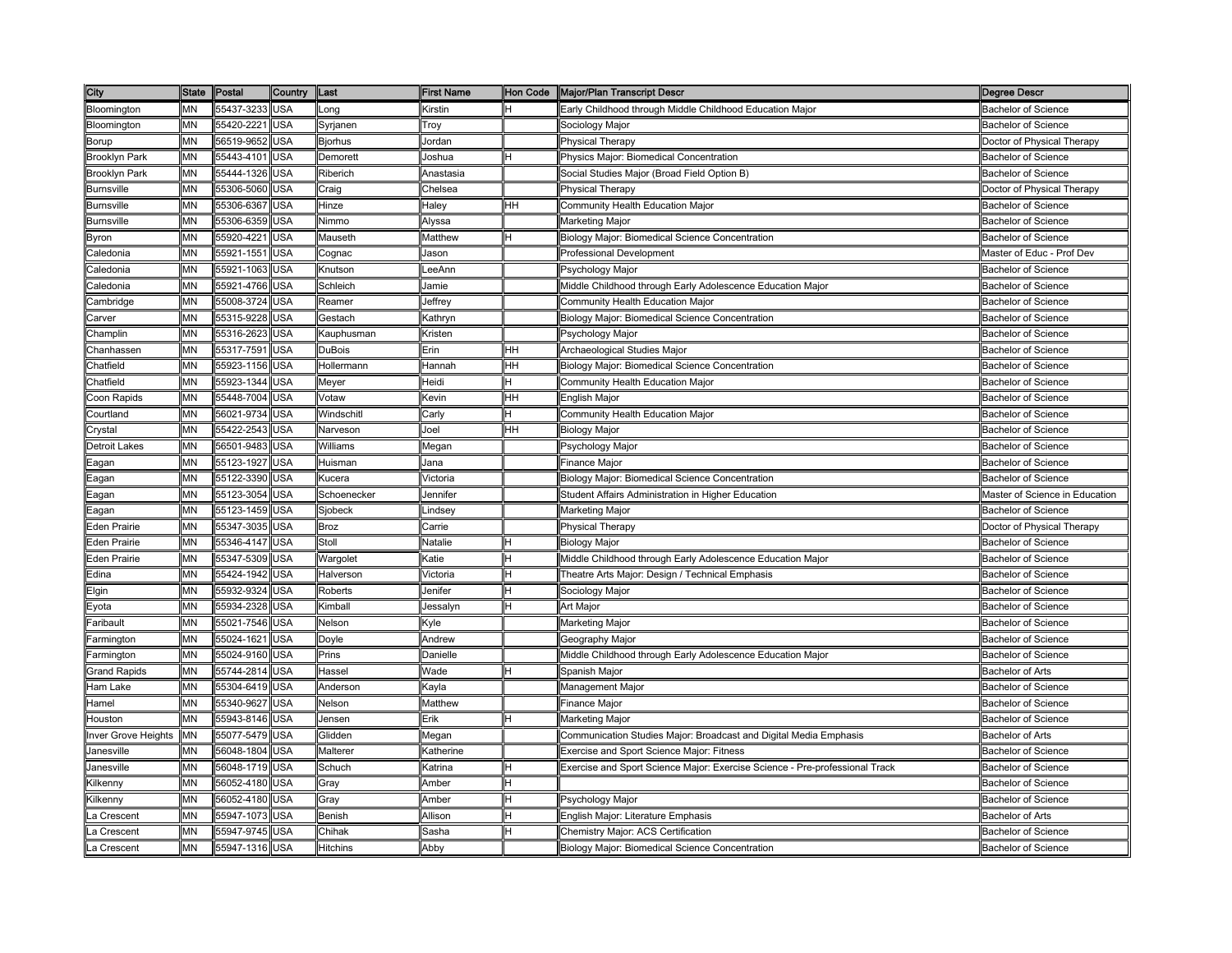| City                 |           | State Postal   | <b>Country</b> | Last            | <b>First Name</b> | Hon Code | Major/Plan Transcript Descr                                                 | <b>Degree Descr</b>            |
|----------------------|-----------|----------------|----------------|-----------------|-------------------|----------|-----------------------------------------------------------------------------|--------------------------------|
| Bloomington          | MN        | 55437-3233 USA |                | _ong            | Kirstin           | н        | Early Childhood through Middle Childhood Education Major                    | <b>Bachelor of Science</b>     |
| Bloomington          | MΝ        | 55420-2221     | USA            | Syrjanen        | Troy              |          | Sociology Major                                                             | Bachelor of Science            |
| Borup                | MN        | 56519-9652     | USA            | Bjorhus         | Jordan            |          | <b>Physical Therapy</b>                                                     | Doctor of Physical Therapy     |
| <b>Brooklyn Park</b> | MΝ        | 55443-4101     | <b>JSA</b>     | Demorett        | loshua            |          | Physics Major: Biomedical Concentration                                     | Bachelor of Science            |
| <b>Brooklyn Park</b> | MΝ        | 55444-1326     | USA            | Riberich        | Anastasia         |          | Social Studies Major (Broad Field Option B)                                 | <b>Bachelor of Science</b>     |
| <b>Burnsville</b>    | MN        | 55306-5060     | USA            | Craig           | Chelsea           |          | Physical Therapy                                                            | Doctor of Physical Therapy     |
| <b>Burnsville</b>    | MN        | 55306-6367     | <b>USA</b>     | Hinze           | Haley             | HH       | Community Health Education Major                                            | <b>Bachelor of Science</b>     |
| <b>Burnsville</b>    | MN        | 55306-6359     | USA            | Nimmo           | Alyssa            |          | Marketing Major                                                             | <b>Bachelor of Science</b>     |
| Byron                | MΝ        | 55920-4221     | USA            | Mauseth         | Matthew           |          | Biology Major: Biomedical Science Concentration                             | <b>Bachelor of Science</b>     |
| Caledonia            | MN        | 55921-1551     | USA            | Cognac          | Jason             |          | Professional Development                                                    | Master of Educ - Prof Dev      |
| Caledonia            | ΜN        | 55921-1063     | USA            | Knutson         | LeeAnn            |          | Psychology Major                                                            | <b>Bachelor of Science</b>     |
| Caledonia            | MΝ        | 55921-4766     | <b>JSA</b>     | Schleich        | Jamie             |          | Middle Childhood through Early Adolescence Education Major                  | <b>Bachelor of Science</b>     |
| Cambridge            | MΝ        | 55008-3724     | USA            | Reamer          | Jeffrey           |          | Community Health Education Major                                            | <b>Bachelor of Science</b>     |
| Carver:              | MΝ        | 55315-9228     | USA            | Gestach         | Kathryn           |          | Biology Major: Biomedical Science Concentration                             | <b>Bachelor of Science</b>     |
| Champlin             | MN        | 55316-2623     | USA            | Kauphusman      | Kristen           |          | Psychology Major                                                            | <b>Bachelor of Science</b>     |
| Chanhassen           | MN        | 55317-7591     | USA            | DuBois          | Erin              | HH       | Archaeological Studies Major                                                | <b>Bachelor of Science</b>     |
| Chatfield            | MN        | 55923-1156     | USA            | Hollermann      | Hannah            | HH       | Biology Major: Biomedical Science Concentration                             | <b>Bachelor of Science</b>     |
| Chatfield            | MΝ        | 55923-1344     | USA            | Meyer           | Heidi             |          | Community Health Education Major                                            | Bachelor of Science            |
| Coon Rapids          | ΜN        | 55448-7004     | USA            | Votaw           | Kevin             | HH       | English Major                                                               | <b>Bachelor of Science</b>     |
| Courtland            | ΜN        | 56021-9734     | USA            | Windschitl      | Carly             |          | Community Health Education Major                                            | <b>Bachelor of Science</b>     |
| <b>Crystal</b>       | MΝ        | 55422-2543     | <b>JSA</b>     | Narveson        | Joel              | HН       | <b>Biology Major</b>                                                        | <b>Bachelor of Science</b>     |
| Detroit Lakes        | MΝ        | 56501-9483     | <b>JSA</b>     | Williams        | Megan             |          | Psychology Major                                                            | <b>Bachelor of Science</b>     |
| Eagan                | MN        | 55123-1927     | USA            | Huisman         | Jana              |          | Finance Major                                                               | <b>Bachelor of Science</b>     |
| Eagan                | MN        | 55122-3390     | <b>USA</b>     | Kucera          | Victoria          |          | <b>Biology Major: Biomedical Science Concentration</b>                      | <b>Bachelor of Science</b>     |
| Eagan                | ΜN        | 55123-3054     | <b>USA</b>     | Schoenecker     | Jennifer          |          | Student Affairs Administration in Higher Education                          | Master of Science in Education |
| Eagan                | <b>MN</b> | 55123-1459     | <b>USA</b>     | Siobeck         | Lindsey           |          | <b>Marketing Major</b>                                                      | <b>Bachelor of Science</b>     |
| Eden Prairie         | ΜN        | 55347-3035     | USA            | <b>Broz</b>     | Carrie            |          | <b>Physical Therapy</b>                                                     | Doctor of Physical Therapy     |
| Eden Prairie         | MN        | 55346-4147     | <b>USA</b>     | Stoll           | Natalie           |          | <b>Biology Major</b>                                                        | <b>Bachelor of Science</b>     |
| Eden Prairie         | MΝ        | 55347-5309     | <b>JSA</b>     | Wargolet        | ≺atie             |          | Middle Childhood through Early Adolescence Education Major                  | <b>Bachelor of Science</b>     |
| Edina                | MΝ        | 55424-1942     | USA            | Halverson       | <b>Victoria</b>   |          | Theatre Arts Major: Design / Technical Emphasis                             | <b>Bachelor of Science</b>     |
| Elgin                | ΜN        | 55932-9324     | USA            | Roberts         | Jenifer           |          | Sociology Major                                                             | <b>Bachelor of Science</b>     |
| Eyota                | MN        | 55934-2328     | <b>USA</b>     | Kimball         | Jessalyn          |          | Art Major                                                                   | <b>Bachelor of Science</b>     |
| Faribault            | <b>MN</b> | 55021-7546     | USA            | Nelson          | Kyle              |          | Marketing Major                                                             | <b>Bachelor of Science</b>     |
| Farmington           | MN        | 55024-1621     | <b>USA</b>     | Doyle           | Andrew            |          | Geography Major                                                             | <b>Bachelor of Science</b>     |
| Farmington           | MN        | 55024-9160     | USA            | Prins           | Danielle          |          | Middle Childhood through Early Adolescence Education Major                  | <b>Bachelor of Science</b>     |
| <b>Grand Rapids</b>  | ΜN        | 55744-2814     | USA            | Hassel          | Wade              |          | Spanish Major                                                               | <b>Bachelor of Arts</b>        |
| Ham Lake             | MΝ        | 55304-6419     | USA            | Anderson        | Kayla             |          | Management Major                                                            | <b>Bachelor of Science</b>     |
| Hamel                | MΝ        | 55340-9627     | <b>JSA</b>     | Nelson          | Matthew           |          | Finance Major                                                               | Bachelor of Science            |
| Houston              | <b>MN</b> | 55943-8146     | <b>JSA</b>     | Jensen          | Erik              |          | Marketing Major                                                             | <b>Bachelor of Science</b>     |
| nver Grove Heights   | <b>MN</b> | 55077-5479     | USA            | Glidden         | Megan             |          | Communication Studies Major: Broadcast and Digital Media Emphasis           | <b>Bachelor of Arts</b>        |
| Janesville           | MN        | 56048-1804     | <b>USA</b>     | Malterer        | Katherine         |          | Exercise and Sport Science Major: Fitness                                   | <b>Bachelor of Science</b>     |
| Janesville           | MN        | 56048-1719 USA |                | Schuch          | Katrina           |          | Exercise and Sport Science Major: Exercise Science - Pre-professional Track | <b>Bachelor of Science</b>     |
| Kilkenny             | MΝ        | 56052-4180     | <b>USA</b>     | Grav            | Amber             |          |                                                                             | <b>Bachelor of Science</b>     |
| Kilkenny             | MΝ        | 56052-4180     | USA            | Gray            | Amber             |          | Psychology Major                                                            | <b>Bachelor of Science</b>     |
| a Crescent           | MΝ        | 55947-1073     | USA            | Benish          | Allison           |          | English Major: Literature Emphasis                                          | <b>Bachelor of Arts</b>        |
| a Crescent           | ΜN        | 55947-9745     | USA            | Chihak          | Sasha             |          | Chemistry Major: ACS Certification                                          | <b>Bachelor of Science</b>     |
| a Crescent.          | MΝ        | 55947-1316 USA |                | <b>Hitchins</b> | Abby              |          | Biology Major: Biomedical Science Concentration                             | <b>Bachelor of Science</b>     |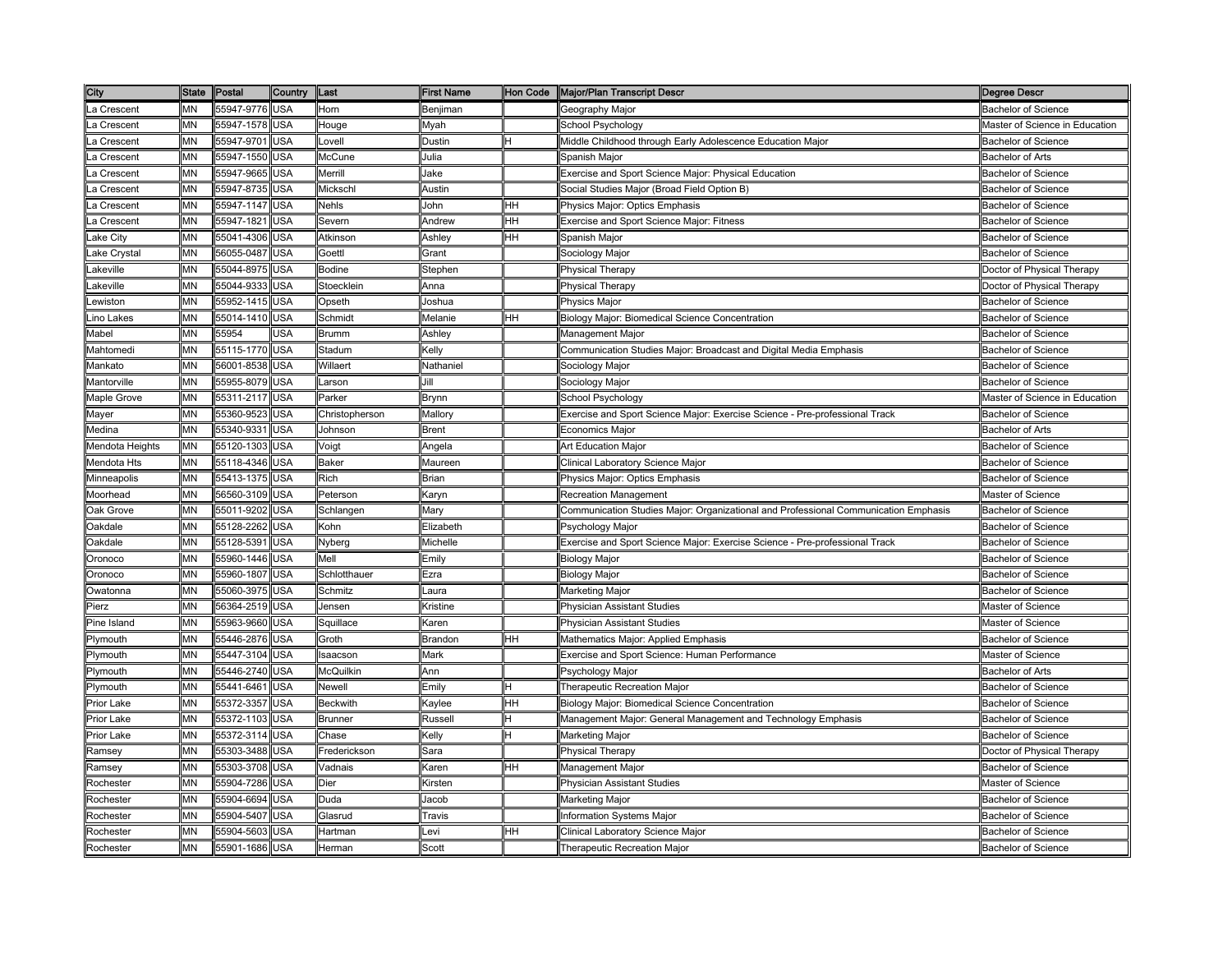| City            |           | State Postal   | <b>Country</b> | Last           | <b>First Name</b> |     | Hon Code   Major/Plan Transcript Descr                                              | <b>Degree Descr</b>            |
|-----------------|-----------|----------------|----------------|----------------|-------------------|-----|-------------------------------------------------------------------------------------|--------------------------------|
| La Crescent     | ΜN        | 55947-9776 USA |                | Horn           | Benjiman          |     | Geography Major                                                                     | <b>Bachelor of Science</b>     |
| a Crescent.     | MΝ        | 55947-1578     | <b>USA</b>     | Houge          | Myah              |     | School Psychology                                                                   | Master of Science in Education |
| .a Crescent     | <b>MN</b> | 55947-9701     | USA            | _ovell         | Dustin            |     | Middle Childhood through Early Adolescence Education Major                          | <b>Bachelor of Science</b>     |
| a Crescent      | MΝ        | 55947-1550     | <b>JSA</b>     | McCune         | Julia             |     | Spanish Majoı                                                                       | <b>Bachelor of Arts</b>        |
| a Crescent      | MΝ        | 55947-9665     | USA            | Merrill        | Jake              |     | Exercise and Sport Science Major: Physical Education                                | <b>Bachelor of Science</b>     |
| .a Crescent     | MN        | 55947-8735     | USA            | Mickschl       | Austin            |     | Social Studies Major (Broad Field Option B)                                         | <b>Bachelor of Science</b>     |
| a Crescent      | MN        | 55947-1147 USA |                | <b>Nehls</b>   | John              | HH  | Physics Major: Optics Emphasis                                                      | <b>Bachelor of Science</b>     |
| .a Crescent     | MN        | 55947-1821     | <b>USA</b>     | Severn         | Andrew            | HH  | Exercise and Sport Science Major: Fitness                                           | <b>Bachelor of Science</b>     |
| ake City        | MN        | 55041-4306     | <b>USA</b>     | Atkinson       | Ashley            | HН  | Spanish Major                                                                       | <b>Bachelor of Science</b>     |
| ake Crystal.    | MN        | 56055-0487     | USA            | Goettl         | Grant             |     | Sociology Major                                                                     | <b>Bachelor of Science</b>     |
| akeville        | ΜN        | 55044-8975     | USA            | Bodine         | Stephen           |     | Physical Therapy                                                                    | Doctor of Physical Therapy     |
| akeville.       | MΝ        | 55044-9333     | <b>JSA</b>     | Stoecklein     | Anna              |     | Physical Therapy                                                                    | Doctor of Physical Therapy     |
| ewiston.        | MΝ        | 55952-1415     | USA            | Opseth         | Joshua            |     | <b>Physics Major</b>                                                                | Bachelor of Science            |
| ino Lakes       | MΝ        | 55014-1410     | USA            | Schmidt        | Melanie           | HH. | Biology Major: Biomedical Science Concentration                                     | <b>Bachelor of Science</b>     |
| Mabel           | MN        | 55954          | <b>JSA</b>     | <b>Brumm</b>   | Ashley            |     | Management Major                                                                    | <b>Bachelor of Science</b>     |
| Mahtomedi       | MN        | 55115-1770 USA |                | Stadum         | Kelly             |     | Communication Studies Major: Broadcast and Digital Media Emphasis                   | <b>Bachelor of Science</b>     |
| Mankato         | ΜN        | 56001-8538     | <b>USA</b>     | Willaert       | Nathaniel         |     | Sociology Major                                                                     | <b>Bachelor of Science</b>     |
| Mantorville     | MΝ        | 55955-8079     | USA            | _arson         | Jill              |     | Sociology Major                                                                     | <b>Bachelor of Science</b>     |
| Maple Grove     | MΝ        | 55311-2117     | <b>USA</b>     | Parker         | Brynn             |     | School Psychology                                                                   | Master of Science in Education |
| Mayer           | MN        | 55360-9523     | USA            | Christopherson | Mallory           |     | Exercise and Sport Science Major: Exercise Science - Pre-professional Track         | <b>Bachelor of Science</b>     |
| Medina          | MΝ        | 55340-9331     | USA            | Johnson        | Brent             |     | Economics Major                                                                     | Bachelor of Arts               |
| Mendota Heights | MΝ        | 55120-1303     | USA            | Voigt          | Angela            |     | Art Education Major                                                                 | <b>Bachelor of Science</b>     |
| Mendota Hts     | MΝ        | 55118-4346     | USA            | <b>Baker</b>   | Maureen           |     | Clinical Laboratory Science Major                                                   | <b>Bachelor of Science</b>     |
| Minneapolis     | MN        | 55413-1375 USA |                | Rich           | <b>Brian</b>      |     | Physics Major: Optics Emphasis                                                      | <b>Bachelor of Science</b>     |
| Moorhead        | ΜN        | 56560-3109     | <b>USA</b>     | Peterson       | Karyn             |     | Recreation Management                                                               | Master of Science              |
| Oak Grove       | <b>MN</b> | 55011-9202     | <b>USA</b>     | Schlangen      | Mary              |     | Communication Studies Major: Organizational and Professional Communication Emphasis | <b>Bachelor of Science</b>     |
| Oakdale         | MΝ        | 55128-2262     | USA            | Kohn           | Elizabeth         |     | Psychology Major                                                                    | <b>Bachelor of Science</b>     |
| <b>Oakdale</b>  | <b>MN</b> | 55128-5391     | USA            | Nyberg         | Michelle          |     | Exercise and Sport Science Major: Exercise Science - Pre-professional Track         | <b>Bachelor of Science</b>     |
| Oronoco         | MΝ        | 55960-1446     | <b>JSA</b>     | Mell           | Emily             |     | Biology Major                                                                       | <b>Bachelor of Science</b>     |
| <b>Dronoco</b>  | MΝ        | 55960-1807     | USA            | Schlotthauer   | Ezra              |     | <b>Biology Major</b>                                                                | <b>Bachelor of Science</b>     |
| Owatonna        | MN        | 55060-3975     | USA            | Schmitz        | Laura             |     | Marketing Major                                                                     | <b>Bachelor of Science</b>     |
| Pierz           | MN        | 56364-2519 USA |                | Jensen         | Kristine          |     | Physician Assistant Studies                                                         | Master of Science              |
| Pine Island     | <b>MN</b> | 55963-9660 USA |                | Squillace      | Karen             |     | Physician Assistant Studies                                                         | Master of Science              |
| Plymouth        | MN        | 55446-2876 USA |                | Groth          | Brandon           | HH  | Mathematics Major: Applied Emphasis                                                 | <b>Bachelor of Science</b>     |
| Plymouth        | MΝ        | 55447-3104     | USA            | saacson        | Mark              |     | Exercise and Sport Science: Human Performance                                       | Master of Science              |
| Plymouth        | ΜN        | 55446-2740     | USA            | McQuilkin      | Ann               |     | Psychology Major                                                                    | <b>Bachelor of Arts</b>        |
| Plymouth        | MΝ        | 55441-6461     | USA            | Newell         | Emily             |     | Therapeutic Recreation Major                                                        | <b>Bachelor of Science</b>     |
| Prior Lake      | MΝ        | 55372-3357     | <b>JSA</b>     | Beckwith       | <b>Kaylee</b>     | HН  | Biology Major: Biomedical Science Concentration                                     | Bachelor of Science            |
| Prior Lake      | MΝ        | 55372-1103     | <b>JSA</b>     | <b>Brunner</b> | Russell           |     | Management Major: General Management and Technology Emphasis                        | <b>Bachelor of Science</b>     |
| Prior Lake      | MN        | 55372-3114     | <b>USA</b>     | Chase          | Kelly             |     | Marketing Major                                                                     | <b>Bachelor of Science</b>     |
| Ramsey          | MN        | 55303-3488     | <b>USA</b>     | Frederickson   | Sara              |     | <b>Physical Therapy</b>                                                             | Doctor of Physical Therapy     |
| Ramsey          | MN        | 55303-3708     | <b>USA</b>     | Vadnais        | Karen             | HH  | Management Major                                                                    | <b>Bachelor of Science</b>     |
| Rochester       | MΝ        | 55904-7286     | USA            | Dier           | Kirsten           |     | <b>Physician Assistant Studies</b>                                                  | Master of Science              |
| Rochester       | MΝ        | 55904-6694     | USA            | Duda           | Jacob             |     | Marketing Major                                                                     | <b>Bachelor of Science</b>     |
| Rochester       | MΝ        | 55904-5407     | USA            | Glasrud        | Travis            |     | Information Systems Major                                                           | <b>Bachelor of Science</b>     |
| Rochester       | ΜN        | 55904-5603     | USA            | Hartman        | _evi              | HН  | Clinical Laboratory Science Major                                                   | <b>Bachelor of Science</b>     |
| Rochester       | MΝ        | 55901-1686 USA |                | Herman         | Scott             |     | Therapeutic Recreation Major                                                        | <b>Bachelor of Science</b>     |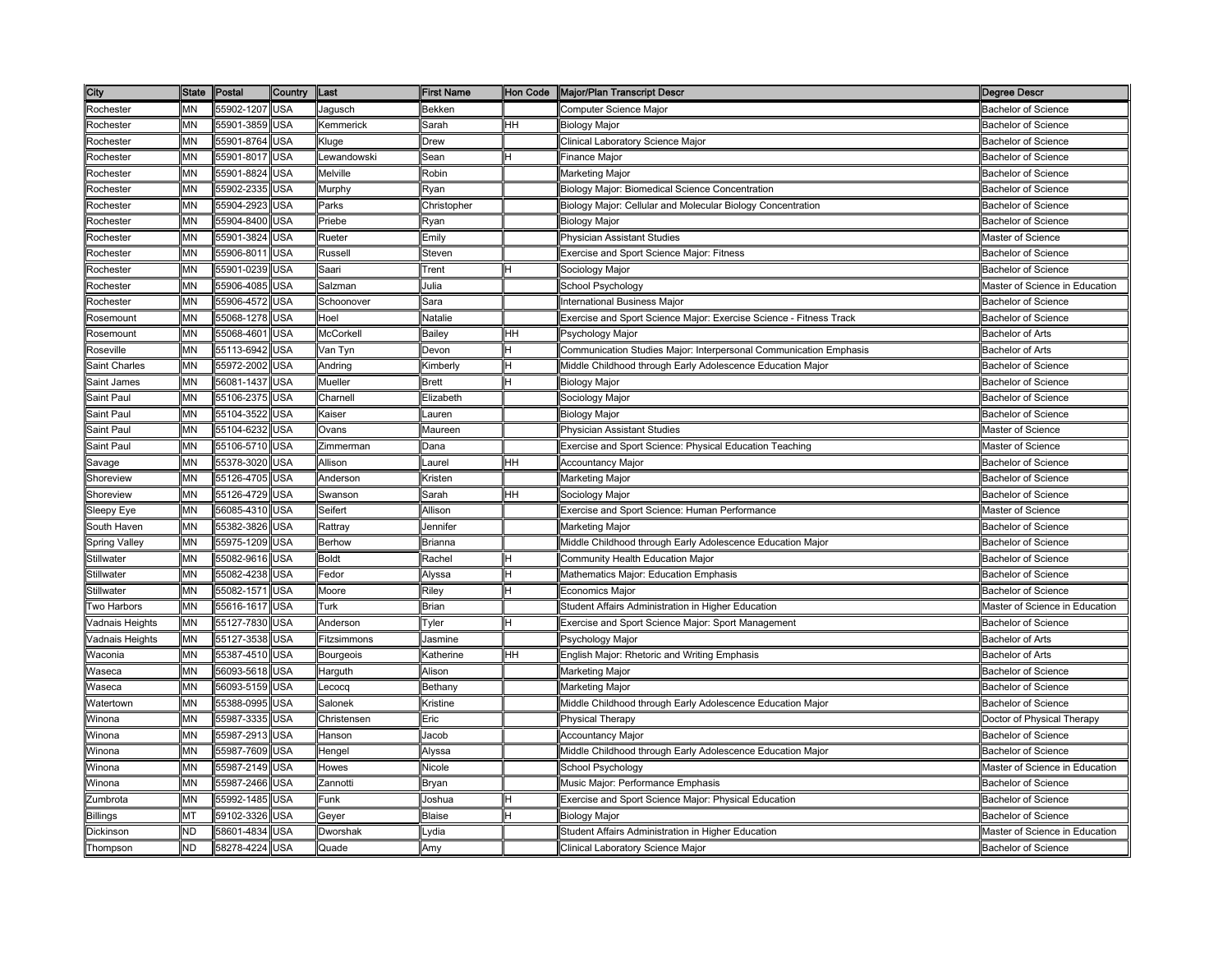| City                 |           | State Postal   | <b>Country</b> | Last                 | <b>First Name</b> |    | Hon Code   Major/Plan Transcript Descr                             | <b>Degree Descr</b>            |
|----------------------|-----------|----------------|----------------|----------------------|-------------------|----|--------------------------------------------------------------------|--------------------------------|
| Rochester            | ΜN        | 55902-1207 USA |                | Jagusch              | Bekken            |    | Computer Science Major                                             | <b>Bachelor of Science</b>     |
| Rochester            | MΝ        | 55901-3859     | <b>USA</b>     | Kemmerick            | Sarah             | HН | <b>Biology Major</b>                                               | <b>Bachelor of Science</b>     |
| Rochester            | MN        | 55901-8764     | USA            | Kluge                | <b>Drew</b>       |    | Clinical Laboratory Science Major                                  | <b>Bachelor of Science</b>     |
| Rochester            | MΝ        | 55901-8017     | <b>JSA</b>     | ewandowski           | sean              |    | Finance Major                                                      | Bachelor of Science            |
| Rochester            | MΝ        | 55901-8824     | <b>JSA</b>     | Melville             | Robin             |    | Marketing Major                                                    | <b>Bachelor of Science</b>     |
| Rochester            | MN        | 55902-2335     | USA            | Murphy               | Ryan              |    | Biology Major: Biomedical Science Concentration                    | <b>Bachelor of Science</b>     |
| Rochester            | MN        | 55904-2923     | USA            | Parks                | Christopher       |    | Biology Major: Cellular and Molecular Biology Concentration        | <b>Bachelor of Science</b>     |
| Rochester            | MN        | 55904-8400     | USA            | Priebe               | Ryan              |    | <b>Biology Major</b>                                               | <b>Bachelor of Science</b>     |
| Rochester            | ΜN        | 55901-3824     | USA            | Rueter               | Emilv             |    | <b>Physician Assistant Studies</b>                                 | Master of Science              |
| Rochester            | ΜN        | 55906-8011     | USA            | Russell              | Steven            |    | Exercise and Sport Science Major: Fitness                          | <b>Bachelor of Science</b>     |
| Rochester            | MΝ        | 55901-0239     | USA            | Saari                | Trent             |    | Sociology Major                                                    | <b>Bachelor of Science</b>     |
| Rochester            | MΝ        | 55906-4085     | <b>JSA</b>     | Salzman              | Julia             |    | School Psychology                                                  | Master of Science in Education |
| Rochester            | MΝ        | 55906-4572     | USA            | Schoonover           | Sara              |    | International Business Major                                       | Bachelor of Science            |
| Rosemount            | MΝ        | 55068-1278     | USA            | Hoel                 | Natalie           |    | Exercise and Sport Science Major: Exercise Science - Fitness Track | <b>Bachelor of Science</b>     |
| Rosemount            | MN        | 55068-4601     | USA            | McCorkell            | <b>Bailey</b>     | HH | Psychology Major                                                   | <b>Bachelor of Arts</b>        |
| Roseville            | MΝ        | 55113-6942     | USA            | Van Tyn              | Devon             |    | Communication Studies Major: Interpersonal Communication Emphasis  | <b>Bachelor of Arts</b>        |
| Saint Charles        | MΝ        | 55972-2002     | USA            | Andring              | Kimberly          |    | Middle Childhood through Early Adolescence Education Major         | <b>Bachelor of Science</b>     |
| Saint James          | MΝ        | 56081-1437     | USA            | Mueller              | Brett             |    | Biology Major                                                      | <b>Bachelor of Science</b>     |
| Saint Paul           | MN        | 55106-2375     | USA            | Charnell             | Elizabeth         |    | Sociology Major                                                    | <b>Bachelor of Science</b>     |
| Saint Paul           | MΝ        | 55104-3522     | USA            | Kaiser               | Lauren            |    | Biology Major                                                      | <b>Bachelor of Science</b>     |
| Saint Paul           | MΝ        | 55104-6232     | <b>JSA</b>     | Ovans                | Maureen           |    | Physician Assistant Studies                                        | Master of Science              |
|                      | MΝ        |                |                |                      |                   |    |                                                                    | Master of Science              |
| Saint Paul           | ΜN        | 55106-5710     | USA            | Zimmerman<br>Allison | Dana              | HH | Exercise and Sport Science: Physical Education Teaching            |                                |
| Savage               |           | 55378-3020     | <b>USA</b>     |                      | Laurel            |    | <b>Accountancy Major</b>                                           | Bachelor of Science            |
| Shoreview            | MN        | 55126-4705     | USA            | Anderson             | Kristen           |    | Marketing Major                                                    | <b>Bachelor of Science</b>     |
| Shoreview            | MΝ        | 55126-4729 USA |                | Swanson              | Sarah             | HH | Sociology Major                                                    | <b>Bachelor of Science</b>     |
| Sleepy Eye           | MN        | 56085-4310     | <b>USA</b>     | Seifert              | Allison           |    | Exercise and Sport Science: Human Performance                      | Master of Science              |
| South Haven          | MΝ        | 55382-3826     | USA            | Rattray              | Jennifer          |    | Marketing Major                                                    | <b>Bachelor of Science</b>     |
| <b>Spring Valley</b> | MN        | 55975-1209     | USA            | Berhow               | Brianna           |    | Middle Childhood through Early Adolescence Education Major         | <b>Bachelor of Science</b>     |
| Stillwater           | MΝ        | 55082-9616     | <b>JSA</b>     | <b>Boldt</b>         | Rachel            |    | Community Health Education Major                                   | Bachelor of Science            |
| Stillwater           | MN        | 55082-4238     | USA            | Fedor                | Alyssa            |    | Mathematics Major: Education Emphasis                              | <b>Bachelor of Science</b>     |
| Stillwater           | MN        | 55082-1571     | USA            | Moore                | Riley             |    | Economics Major                                                    | <b>Bachelor of Science</b>     |
| Two Harbors          | MN        | 55616-1617 USA |                | Turk                 | <b>Brian</b>      |    | Student Affairs Administration in Higher Education                 | Master of Science in Education |
| Vadnais Heights      | MN        | 55127-7830 USA |                | Anderson             | Tyler             |    | Exercise and Sport Science Major: Sport Management                 | <b>Bachelor of Science</b>     |
| Vadnais Heights      | <b>MN</b> | 55127-3538 USA |                | Fitzsimmons          | Jasmine           |    | Psychology Major                                                   | <b>Bachelor of Arts</b>        |
| Waconia              | <b>MN</b> | 55387-4510     | <b>USA</b>     | Bourgeois            | Katherine         | HH | English Major: Rhetoric and Writing Emphasis                       | <b>Bachelor of Arts</b>        |
| Naseca               | MΝ        | 56093-5618     | USA            | Harguth              | Alison            |    | Marketing Major                                                    | <b>Bachelor of Science</b>     |
| Naseca               | MΝ        | 56093-5159     | JSA            | _ecocq               | Bethany           |    | Marketing Major                                                    | Bachelor of Science            |
| Natertown            | MΝ        | 55388-0995     | USA            | <b>Salonek</b>       | <b>Kristine</b>   |    | Middle Childhood through Early Adolescence Education Major         | Bachelor of Science            |
| Winona               | MΝ        | 55987-3335     | USA            | Christensen          | Eric              |    | <b>Physical Therapy</b>                                            | Doctor of Physical Therapy     |
| Winona               | MN        | 55987-2913     | <b>USA</b>     | Hanson               | Jacob             |    | <b>Accountancy Major</b>                                           | Bachelor of Science            |
| Winona               | MΝ        | 55987-7609     | <b>USA</b>     | Hengel               | Alyssa            |    | Middle Childhood through Early Adolescence Education Major         | <b>Bachelor of Science</b>     |
| Winona               | ΜN        | 55987-2149     | USA            | Howes                | Nicole            |    | School Psychology                                                  | Master of Science in Education |
| Winona               | MΝ        | 55987-2466     | USA            | Zannotti             | Bryan             |    | Music Major: Performance Emphasis                                  | <b>Bachelor of Science</b>     |
| Zumbrota             | MN        | 55992-1485     | USA            | Funk                 | Joshua            |    | Exercise and Sport Science Major: Physical Education               | <b>Bachelor of Science</b>     |
| <b>Billings</b>      | МT        | 59102-3326     | <b>JSA</b>     | Geyer                | Blaise            |    | Biology Major                                                      | Bachelor of Science            |
| Dickinson            | <b>ND</b> | 58601-4834     | USA            | Dworshak             | _vdia             |    | Student Affairs Administration in Higher Education                 | Master of Science in Education |
| Thompson             | ND        | 58278-4224     | USA            | Quade                | Amy               |    | Clinical Laboratory Science Major                                  | <b>Bachelor of Science</b>     |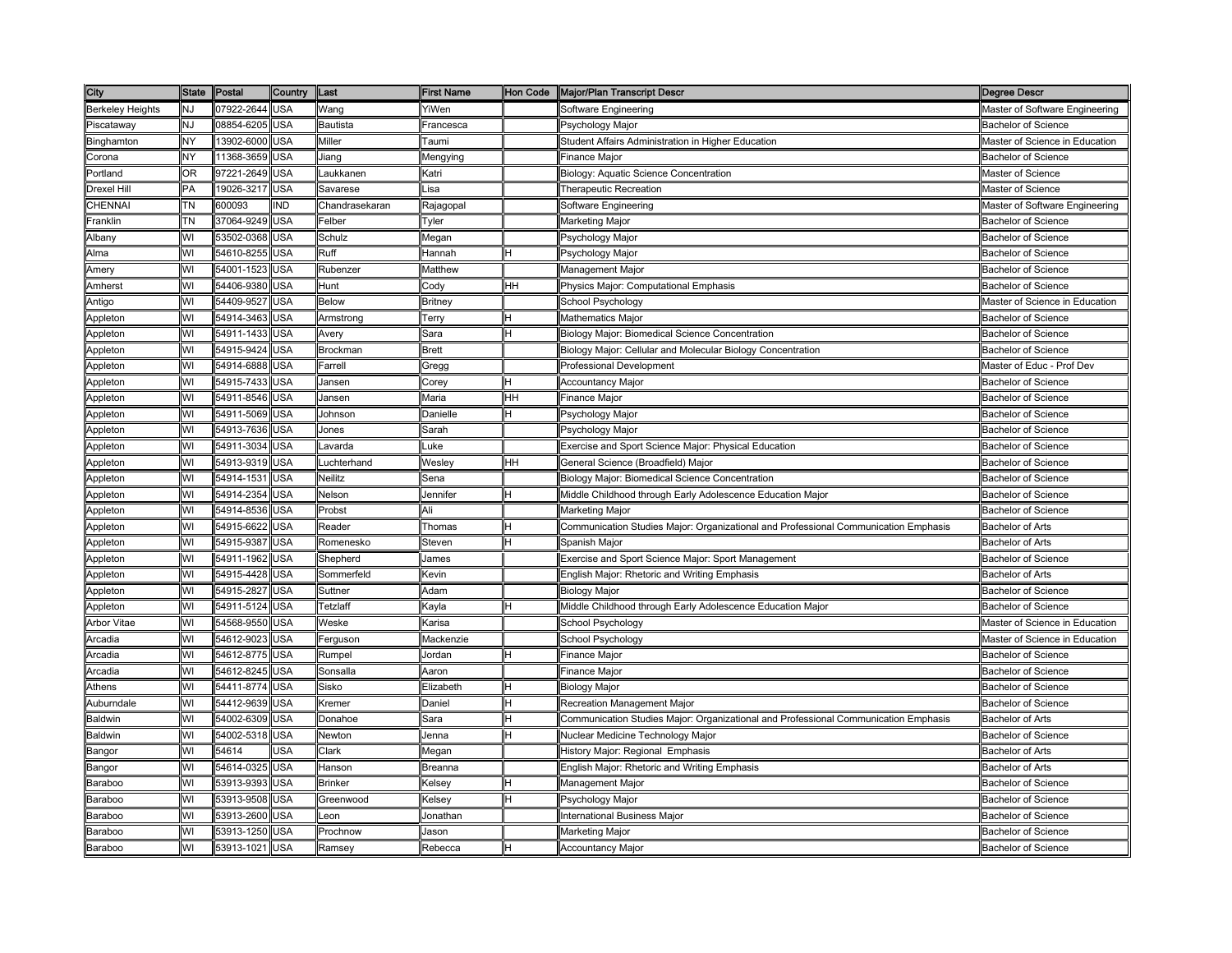| City                    | <b>State</b> | Postal         | Country    | Last            | First Name    | Hon Code | Major/Plan Transcript Descr                                                         | Degree Descr                   |
|-------------------------|--------------|----------------|------------|-----------------|---------------|----------|-------------------------------------------------------------------------------------|--------------------------------|
| <b>Berkeley Heights</b> | NJ           | 07922-2644     | <b>USA</b> | Wang            | YiWen         |          | Software Engineering                                                                | Master of Software Engineering |
| Piscataway              | NJ           | 08854-6205     | USA        | <b>Bautista</b> | Francesca     |          | Psychology Major                                                                    | Bachelor of Science            |
| Binghamton              | NY           | 13902-6000     | USA        | Miller          | Taumi         |          | Student Affairs Administration in Higher Education                                  | Master of Science in Education |
| Corona                  | NY           | 11368-3659     | JSA        | Jiang           | Mengying      |          | Finance Major                                                                       | Bachelor of Science            |
| Portland                | OR.          | 97221-2649     | USA        | Laukkanen       | Katri         |          | Biology: Aquatic Science Concentration                                              | Master of Science              |
| Drexel Hill             | PA           | 19026-3217     | USA        | Savarese        | Lisa          |          | Therapeutic Recreation                                                              | Master of Science              |
| CHENNAI                 | TΝ           | 600093         | IND        | Chandrasekaran  | Rajagopal     |          | Software Engineering                                                                | Master of Software Engineering |
| Franklin                | TΝ           | 37064-9249     | USA        | Felber          | Tyler         |          | Marketing Major                                                                     | <b>Bachelor of Science</b>     |
| Albany                  | WI           | 53502-0368     | USA        | Schulz          | Megan         |          | Psychology Major                                                                    | <b>Bachelor of Science</b>     |
| Alma                    | WI           | 54610-8255     | USA        | Ruff            | Hannah        |          | Psychology Major                                                                    | <b>Bachelor of Science</b>     |
| Amery                   | WI           | 54001-1523     | USA        | Rubenzer        | Matthew       |          | Management Major                                                                    | <b>Bachelor of Science</b>     |
| Amherst                 | WI           | 54406-9380     | USA        | Hunt            | Cody          | HН       | Physics Major: Computational Emphasis                                               | Bachelor of Science            |
| Antigo                  | WI           | 54409-9527     | <b>JSA</b> | Below           | Britney       |          | School Psychology                                                                   | Master of Science in Education |
| Appleton                | WI           | 54914-3463     | USA        | Armstrong       | Terry         |          | Mathematics Major                                                                   | <b>Bachelor of Science</b>     |
| Appleton                | WI           | 54911-1433     | USA        | Avery           | Sara          |          | Biology Major: Biomedical Science Concentration                                     | <b>Bachelor of Science</b>     |
| Appleton                | WI           | 54915-9424     | USA        | Brockman        | Brett         |          | Biology Major: Cellular and Molecular Biology Concentration                         | <b>Bachelor of Science</b>     |
| Appleton                | WI           | 54914-6888     | USA        | Farrell         | Gregg         |          | Professional Development                                                            | Master of Educ - Prof Dev      |
| Appleton                | WI           | 54915-7433     | USA        | Jansen          | Corey         |          | <b>Accountancy Major</b>                                                            | <b>Bachelor of Science</b>     |
| Appleton                | WI           | 54911-8546     | USA        | Jansen          | Maria         | HН       | Finance Major                                                                       | <b>Bachelor of Science</b>     |
| Appleton                | WI           | 54911-5069     | <b>JSA</b> | Johnson         | Danielle      |          | Psychology Major                                                                    | <b>Bachelor of Science</b>     |
| Appleton                | WI           | 54913-7636     | <b>JSA</b> | Jones           | Sarah         |          | Psychology Major                                                                    | Bachelor of Science            |
| Appleton                | WI           | 54911-3034     | <b>JSA</b> | avarda          | uke.          |          | Exercise and Sport Science Major: Physical Education                                | <b>Bachelor of Science</b>     |
| Appleton                | WI           | 54913-9319     | USA        | _uchterhand     | Wesley        | HH       | General Science (Broadfield) Major                                                  | <b>Bachelor of Science</b>     |
| Appleton                | WI           | 54914-1531     | <b>USA</b> | <b>Neilitz</b>  | Sena          |          | Biology Major: Biomedical Science Concentration                                     | <b>Bachelor of Science</b>     |
| Appleton                | WI           | 54914-2354     | USA        | Nelson          | Jennifer      |          | Middle Childhood through Early Adolescence Education Major                          | <b>Bachelor of Science</b>     |
| Appleton                | WI           | 54914-8536     | USA        | Probst          | Ali           |          | Marketing Major                                                                     | <b>Bachelor of Science</b>     |
| Appleton                | WI           | 54915-6622     | USA        | Reader          | Thomas        |          | Communication Studies Major: Organizational and Professional Communication Emphasis | <b>Bachelor of Arts</b>        |
| Appleton                | WI           | 54915-9387     | USA        | Romenesko       | Steven        |          | Spanish Major                                                                       | <b>Bachelor of Arts</b>        |
| Appleton                | WI           | 54911-1962     | <b>JSA</b> | Shepherd        | ames          |          | Exercise and Sport Science Major: Sport Management                                  | Bachelor of Science            |
| Appleton                | WI           | 54915-4428     | <b>JSA</b> | Sommerfeld      | Kevin         |          | English Major: Rhetoric and Writing Emphasis                                        | <b>Bachelor of Arts</b>        |
| Appleton                | WI           | 54915-2827     | USA        | Suttner         | Adam          |          | <b>Biology Major</b>                                                                | <b>Bachelor of Science</b>     |
| Appleton                | WI           | 54911-5124 USA |            | Tetzlaff        | Kayla         |          | Middle Childhood through Early Adolescence Education Major                          | Bachelor of Science            |
| Arbor Vitae             | WI           | 54568-9550     | USA        | Weske           | Karisa        |          | School Psychology                                                                   | Master of Science in Education |
| Arcadia                 | WI           | 54612-9023     | <b>USA</b> | Ferguson        | Mackenzie     |          | School Psychology                                                                   | Master of Science in Education |
| Arcadia                 | WI           | 54612-8775     | USA        | Rumpel          | Jordan        |          | Finance Major                                                                       | <b>Bachelor of Science</b>     |
| Arcadia                 | WI           | 54612-8245     | USA        | Sonsalla        | Aaron         |          | Finance Major                                                                       | Bachelor of Science            |
| Athens                  | WI           | 54411-8774     | USA        | Sisko           | Elizabeth     |          | <b>Biology Major</b>                                                                | <b>Bachelor of Science</b>     |
| Auburndale              | WI           | 54412-9639     | <b>JSA</b> | ≺remer          | Daniel        |          | Recreation Management Major                                                         | Bachelor of Science            |
| Baldwin                 | WI           | 54002-6309     | <b>JSA</b> | Donahoe         | Sara          |          | Communication Studies Major: Organizational and Professional Communication Emphasis | <b>Bachelor of Arts</b>        |
| Baldwin                 | WI           | 54002-5318     | USA        | Newton          | Jenna         |          | Nuclear Medicine Technology Major                                                   | <b>Bachelor of Science</b>     |
| Bangor                  | WI           | 54614          | <b>JSA</b> | Clark           | Megan         |          | History Major: Regional Emphasis                                                    | <b>Bachelor of Arts</b>        |
| Bangor                  | WI           | 54614-0325     | USA        | Hanson          | Breanna       |          | English Major: Rhetoric and Writing Emphasis                                        | Bachelor of Arts               |
| Baraboo                 | WI           | 53913-9393     | USA        | <b>Brinker</b>  | <b>Kelsey</b> |          | Management Major                                                                    | <b>Bachelor of Science</b>     |
| <b>Baraboo</b>          | WI           | 53913-9508     | USA        | Greenwood       | Kelsey        |          | Psychology Major                                                                    | <b>Bachelor of Science</b>     |
| Baraboo                 | WI           | 53913-2600     | USA        | _eon            | Jonathan      |          | International Business Major                                                        | <b>Bachelor of Science</b>     |
| Baraboo                 | WI           | 53913-1250     | USA        | Prochnow        | Jason         |          | Marketing Major                                                                     | <b>Bachelor of Science</b>     |
| Baraboo                 | WI           | 53913-1021     | USA        | Ramsev          | Rebecca       |          | <b>Accountancy Major</b>                                                            | <b>Bachelor of Science</b>     |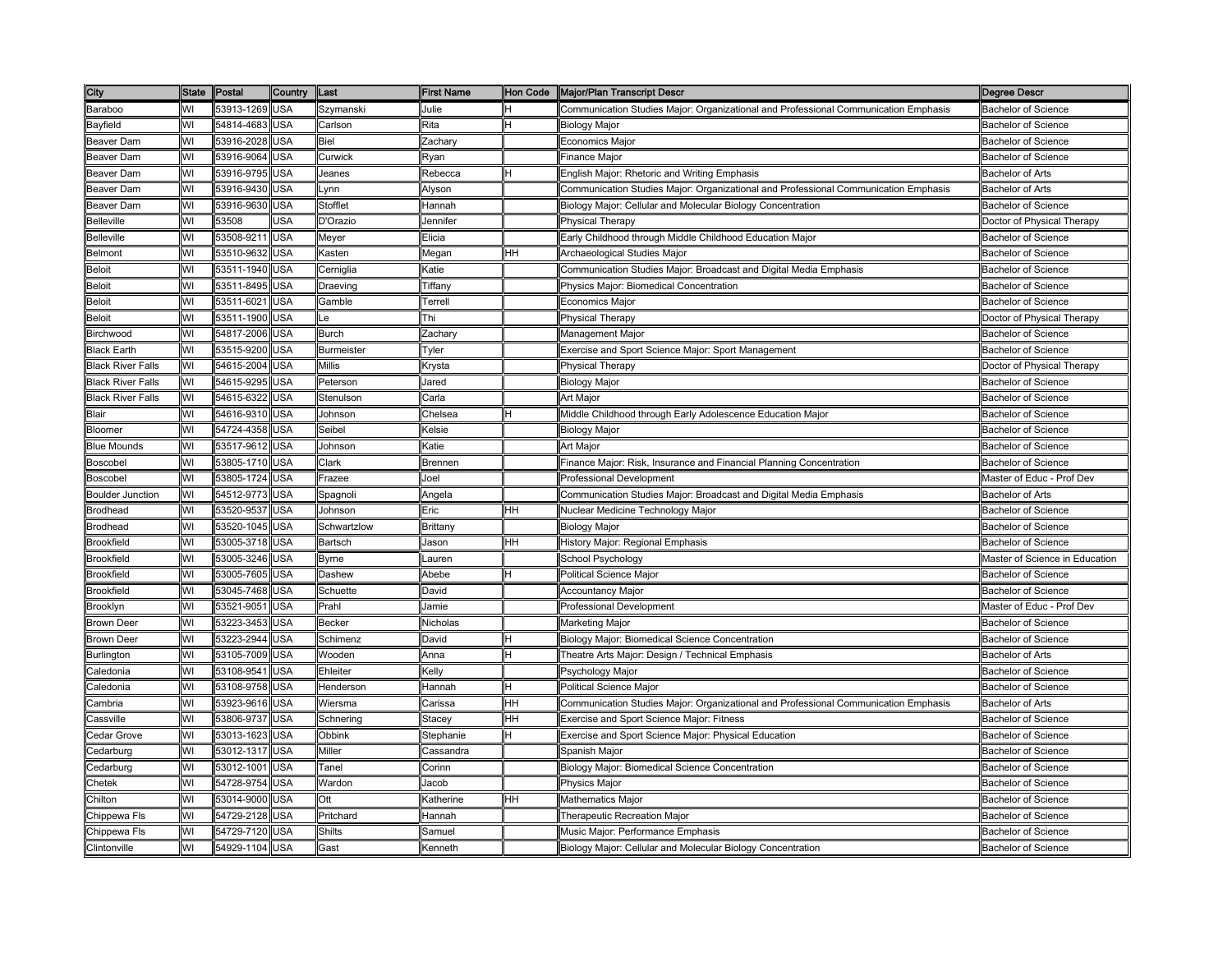| City                     | State | Postal         | Country    | Last              | <b>First Name</b>                                                                          | Hon Code | Major/Plan Transcript Descr                                                         | <b>Degree Descr</b>            |
|--------------------------|-------|----------------|------------|-------------------|--------------------------------------------------------------------------------------------|----------|-------------------------------------------------------------------------------------|--------------------------------|
| Baraboo                  | WI    | 53913-1269     | <b>USA</b> | Szymanski         | Julie                                                                                      |          | Communication Studies Major: Organizational and Professional Communication Emphasis | <b>Bachelor of Science</b>     |
| Bayfield                 | WI    | 54814-4683     | USA        | Carlson           | Rita                                                                                       |          | Biology Major                                                                       | <b>Bachelor of Science</b>     |
| Beaver Dam               | WI    | 53916-2028     | USA        | Biel              | Zachary                                                                                    |          | Economics Major                                                                     | Bachelor of Science            |
| <b>Beaver Dam</b>        | WI    | 53916-9064     | <b>JSA</b> | Curwick           | Ryan                                                                                       |          | Finance Major                                                                       | Bachelor of Science            |
| Beaver Dam               | WI    | 53916-9795     | USA        | Jeanes            | Rebecca                                                                                    |          | English Major: Rhetoric and Writing Emphasis                                        | Bachelor of Arts               |
| <b>Beaver Dam</b>        | WI    | 53916-9430     | USA        | Lynn              | Alyson                                                                                     |          | Communication Studies Major: Organizational and Professional Communication Emphasis | <b>Bachelor of Arts</b>        |
| Beaver Dam               | WI    | 53916-9630     | <b>USA</b> | Stofflet          | Hannah                                                                                     |          | Biology Major: Cellular and Molecular Biology Concentration                         | <b>Bachelor of Science</b>     |
| <b>Belleville</b>        | WI    | 53508          | USA        | D'Orazio          | Jennifer                                                                                   |          | Physical Therapy                                                                    | Doctor of Physical Therapy     |
| <b>Belleville</b>        | WI    | 53508-9211     | USA        | Meyer             | Elicia                                                                                     |          | Early Childhood through Middle Childhood Education Major                            | Bachelor of Science            |
| <b>Belmont</b>           | WI    | 53510-9632     | <b>USA</b> | Kasten            | Megan                                                                                      | HН       | <b>Archaeological Studies Major</b>                                                 | <b>Bachelor of Science</b>     |
| Beloit                   | WI    | 53511-1940     | USA        | Cerniglia         | ≺atie                                                                                      |          | Communication Studies Major: Broadcast and Digital Media Emphasis                   | Bachelor of Science            |
| <b>Beloit</b>            | WI    | 53511-8495     | <b>JSA</b> | Draeving          | Tiffanv                                                                                    |          | Physics Major: Biomedical Concentration                                             | Bachelor of Science            |
| Beloit                   | WI    | 53511-6021     | USA        | Gamble            | Terrell                                                                                    |          | Economics Major                                                                     | Bachelor of Science            |
| <b>Beloit</b>            | WI    | 53511-1900     | <b>USA</b> | Le                | Thi                                                                                        |          | <b>Physical Therapy</b>                                                             | Doctor of Physical Therapy     |
| Birchwood                | WI    | 54817-2006     | <b>USA</b> | <b>Burch</b>      | Zachary                                                                                    |          | Management Major                                                                    | <b>Bachelor of Science</b>     |
| <b>Black Earth</b>       | WI    | 53515-9200     | <b>USA</b> | <b>Burmeister</b> | Tyler                                                                                      |          | Exercise and Sport Science Major: Sport Management                                  | <b>Bachelor of Science</b>     |
| <b>Black River Falls</b> | WI    | 54615-2004     | <b>USA</b> | <b>Millis</b>     | Krysta                                                                                     |          | <b>Physical Therapy</b>                                                             | Doctor of Physical Therapy     |
| <b>Black River Falls</b> | WI    | 54615-9295     | USA        | Peterson          | Jared                                                                                      |          | <b>Biology Major</b>                                                                | <b>Bachelor of Science</b>     |
| <b>Black River Falls</b> | WI    | 54615-6322     | USA        | Stenulson         | Carla                                                                                      |          | Art Major                                                                           | <b>Bachelor of Science</b>     |
| Blair                    | WI    | 54616-9310     | USA        | Johnson           | Chelsea                                                                                    |          | Middle Childhood through Early Adolescence Education Major                          | Bachelor of Science            |
| Bloomer                  | WI    | 54724-4358     | USA        | Seibel            | Kelsie                                                                                     |          | Biology Major                                                                       | Bachelor of Science            |
| <b>Blue Mounds</b>       | WI    | 53517-9612     | <b>USA</b> | Johnson           | Katie                                                                                      |          | Art Major                                                                           | Bachelor of Science            |
| Boscobel                 | WI    | 53805-1710 USA |            | Clark             | Brennen                                                                                    |          | Finance Major: Risk, Insurance and Financial Planning Concentration                 | <b>Bachelor of Science</b>     |
| Boscobel                 | WI    | 53805-1724     | <b>USA</b> | Frazee            | Joel                                                                                       |          | <b>Professional Development</b>                                                     | Master of Educ - Prof Dev      |
| <b>Boulder Junction</b>  | WI    | 54512-9773 USA |            | Spagnoli          | Angela                                                                                     |          | Communication Studies Major: Broadcast and Digital Media Emphasis                   | Bachelor of Arts               |
| <b>Brodhead</b>          | WI    | 53520-9537     | USA        | Johnson           | Eric                                                                                       | HН       | Nuclear Medicine Technology Major                                                   | Bachelor of Science            |
| <b>Brodhead</b>          | WI    | 53520-1045     | <b>USA</b> | Schwartzlow       | Brittany                                                                                   |          | <b>Biology Major</b>                                                                | <b>Bachelor of Science</b>     |
| <b>Brookfield</b>        | WI    | 53005-3718     | USA        | Bartsch           | Jason                                                                                      | HН       | History Major: Regional Emphasis                                                    | <b>Bachelor of Science</b>     |
| <b>Brookfield</b>        | WI    | 53005-3246     | USA        | Byrne             | Lauren                                                                                     |          | School Psychology                                                                   | Master of Science in Education |
| <b>Brookfield</b>        | WI    | 53005-7605     | USA        | Dashew            | Abebe                                                                                      |          | Political Science Major                                                             | <b>Bachelor of Science</b>     |
| <b>Brookfield</b>        | WI    | 53045-7468     | USA        | Schuette          | David                                                                                      |          | Accountancy Major                                                                   | <b>Bachelor of Science</b>     |
| Brooklyn                 | WI    | 53521-9051     | <b>USA</b> | Prahl             | Jamie                                                                                      |          | Professional Development                                                            | Master of Educ - Prof Dev      |
| <b>Brown Deer</b>        | WI    | 53223-3453     | USA        | <b>Becker</b>     | Nicholas                                                                                   |          | Marketing Major                                                                     | Bachelor of Science            |
| <b>Brown Deer</b>        | WI    | 53223-2944     | <b>USA</b> | Schimenz          | David                                                                                      |          | Biology Major: Biomedical Science Concentration                                     | <b>Bachelor of Science</b>     |
| Burlington               | WI    | 53105-7009     | USA        | Wooden            | Anna                                                                                       |          | Theatre Arts Major: Design / Technical Emphasis                                     | <b>Bachelor of Arts</b>        |
| Caledonia                | WI    | 53108-9541     | USA        | Ehleiter          | <elly< td=""><td></td><td>Psychology Major</td><td><b>Bachelor of Science</b></td></elly<> |          | Psychology Major                                                                    | <b>Bachelor of Science</b>     |
| aledonia:                | WI    | 53108-9758     | USA        | Henderson         | Hannah                                                                                     |          | Political Science Major                                                             | Bachelor of Science            |
| :ambria                  | WI    | 53923-9616     | USA        | Wiersma           | Carissa                                                                                    | HН       | Communication Studies Major: Organizational and Professional Communication Emphasis | Bachelor of Arts               |
| Cassville                | WI    | 53806-9737     | USA        | Schnering         | Stacey                                                                                     | HН       | Exercise and Sport Science Major: Fitness                                           | <b>Bachelor of Science</b>     |
| Cedar Grove              | WI    | 53013-1623     | USA        | Obbink            | Stephanie                                                                                  |          | Exercise and Sport Science Major: Physical Education                                | <b>Bachelor of Science</b>     |
| Cedarburg                | WI    | 53012-1317     | <b>USA</b> | Miller            | Cassandra                                                                                  |          | Spanish Major                                                                       | <b>Bachelor of Science</b>     |
| Cedarburg                | WI    | 53012-1001     | <b>USA</b> | Tanel             | Corinn                                                                                     |          | Biology Major: Biomedical Science Concentration                                     | Bachelor of Science            |
| Chetek                   | WI    | 54728-9754     | USA        | Wardon            | Jacob                                                                                      |          | Physics Major                                                                       | Bachelor of Science            |
| Chilton                  | WI    | 53014-9000     | <b>USA</b> | Ott               | <b>Katherine</b>                                                                           | HН       | Mathematics Major                                                                   | Bachelor of Science            |
| Chippewa Fls             | WI    | 54729-2128     | USA        | Pritchard         | Hannah                                                                                     |          | Therapeutic Recreation Major                                                        | Bachelor of Science            |
| Chippewa Fls             | WI    | 54729-7120     | USA        | <b>Shilts</b>     | Samuel                                                                                     |          | Music Major: Performance Emphasis                                                   | Bachelor of Science            |
| Clintonville             | WI    | 54929-1104     | USA        | Gast              | Kenneth                                                                                    |          | Biology Major: Cellular and Molecular Biology Concentration                         | <b>Bachelor of Science</b>     |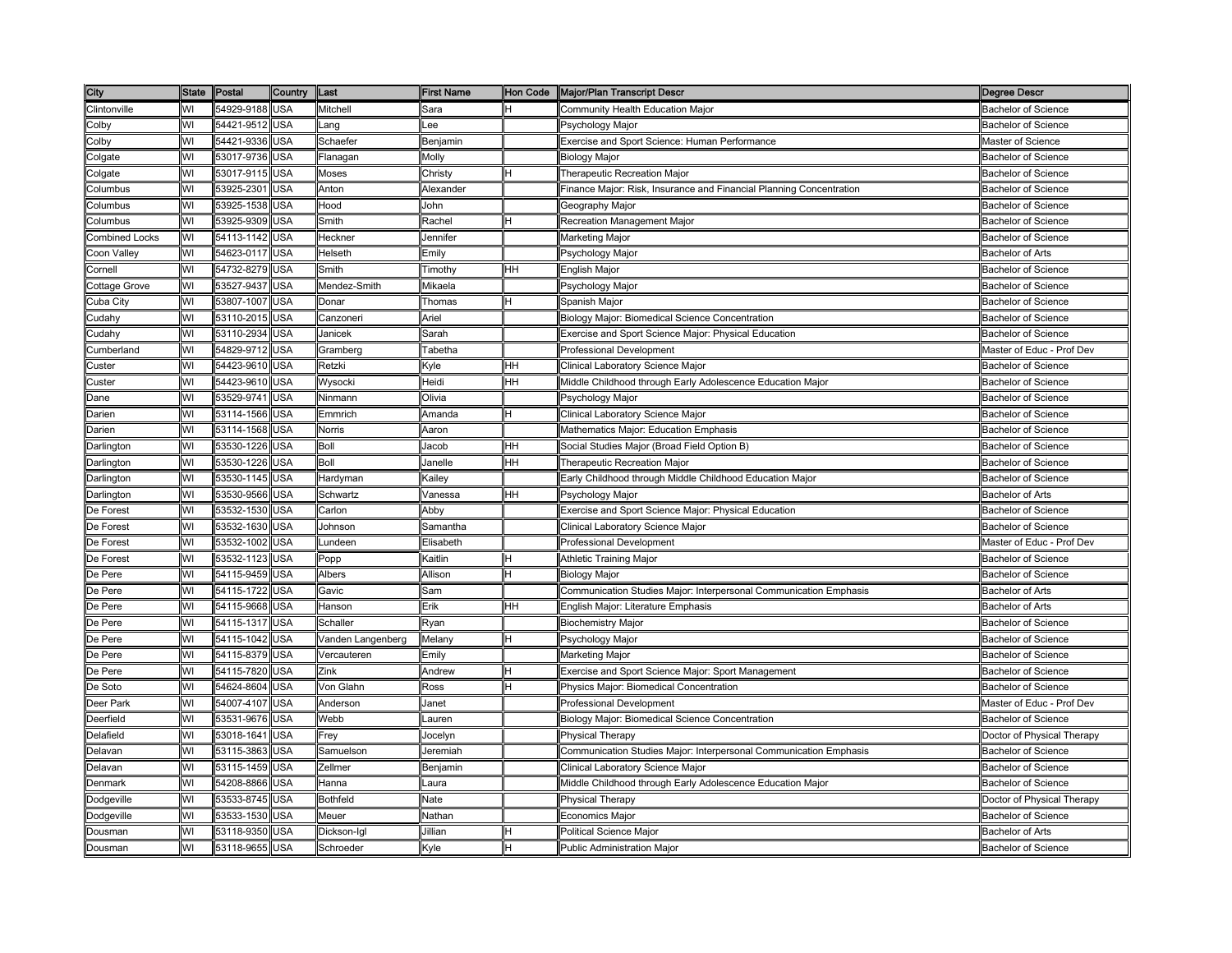| City                  |    | State Postal   | <b>Country</b> | Last              | <b>First Name</b> |    | Hon Code Major/Plan Transcript Descr                                | Degree Descr               |
|-----------------------|----|----------------|----------------|-------------------|-------------------|----|---------------------------------------------------------------------|----------------------------|
| Clintonville          | WI | 54929-9188     | <b>USA</b>     | <b>Mitchell</b>   | Sara              |    | Community Health Education Major                                    | <b>Bachelor of Science</b> |
| Colby                 | WI | 54421-9512     | <b>USA</b>     | _ang              | ee-               |    | Psychology Major                                                    | <b>Bachelor of Science</b> |
| Colby                 | WI | 54421-9336     | USA            | Schaefer          | Benjamin          |    | Exercise and Sport Science: Human Performance                       | Master of Science          |
| Colgate               | WI | 53017-9736     | <b>JSA</b>     | Flanagan          | Molly             |    | Biology Major                                                       | <b>Bachelor of Science</b> |
| Colgate               | WI | 53017-9115     | USA            | Moses             | Christy           |    | <b>Therapeutic Recreation Major</b>                                 | <b>Bachelor of Science</b> |
| Columbus              | WI | 53925-2301     | USA            | Anton             | Alexander         |    | Finance Major: Risk, Insurance and Financial Planning Concentration | Bachelor of Science        |
| Columbus              | WI | 53925-1538     | <b>USA</b>     | Hood              | John              |    | Geography Major                                                     | <b>Bachelor of Science</b> |
| Columbus              | WI | 53925-9309     | <b>USA</b>     | Smith             | Rachel            | н  | Recreation Management Major                                         | Bachelor of Science        |
| <b>Combined Locks</b> | WI | 54113-1142     | <b>USA</b>     | Heckner           | Jennifer          |    | Marketing Major                                                     | <b>Bachelor of Science</b> |
| Coon Valley           | WI | 54623-0117     | <b>USA</b>     | Helseth           | Emily             |    | Psychology Major                                                    | <b>Bachelor of Arts</b>    |
| Cornell               | WI | 54732-8279     | USA            | Smith             | Timothy           | HH | English Major                                                       | <b>Bachelor of Science</b> |
| Cottage Grove         | WI | 53527-9437     | <b>JSA</b>     | Mendez-Smith      | Mikaela           |    | Psychology Major                                                    | <b>Bachelor of Science</b> |
| Cuba City             | WI | 53807-1007     | USA            | Donar             | Thomas            |    | Spanish Major                                                       | Bachelor of Science        |
| Cudahy                | WI | 53110-2015     | USA            | Canzoneri         | Ariel             |    | <b>Biology Major: Biomedical Science Concentration</b>              | <b>Bachelor of Science</b> |
| Cudahy                | WI | 53110-2934     | <b>USA</b>     | Janicek           | Sarah             |    | Exercise and Sport Science Major: Physical Education                | <b>Bachelor of Science</b> |
| Cumberland            | WI | 54829-9712     | <b>USA</b>     | Gramberg          | Tabetha           |    | Professional Development                                            | Master of Educ - Prof Dev  |
| Custer                | WI | 54423-9610     | <b>USA</b>     | Retzki            | Kyle              | HH | Clinical Laboratory Science Major                                   | <b>Bachelor of Science</b> |
| Custer                | WI | 54423-9610     | USA            | Wysocki           | Heidi             | HН | Middle Childhood through Early Adolescence Education Major          | <b>Bachelor of Science</b> |
| Dane                  | WI | 53529-9741     | USA            | Ninmann           | Olivia            |    | Psychology Major                                                    | <b>Bachelor of Science</b> |
| Darien                | WI | 53114-1566     | USA            | Emmrich           | Amanda            |    | Clinical Laboratory Science Major                                   | <b>Bachelor of Science</b> |
| Darien                | WI | 53114-1568     | USA            | Norris            | Aaron             |    | Mathematics Major: Education Emphasis                               | <b>Bachelor of Science</b> |
| Darlington            | WI | 53530-1226     | USA            | Boll              | Jacob             | HH | Social Studies Major (Broad Field Option B)                         | <b>Bachelor of Science</b> |
| Darlington            | WI | 53530-1226     | <b>USA</b>     | Boll              | Janelle           | HH | Therapeutic Recreation Major                                        | <b>Bachelor of Science</b> |
| Darlington            | WI | 53530-1145     | USA            | Hardyman          | Kailey            |    | Early Childhood through Middle Childhood Education Major            | <b>Bachelor of Science</b> |
| Darlington            | WI | 53530-9566     | USA            | Schwartz          | Vanessa           | HH | Psychology Major                                                    | <b>Bachelor of Arts</b>    |
| De Forest             | WI | 53532-1530     | <b>USA</b>     | Carlon            | Abby              |    | Exercise and Sport Science Major: Physical Education                | <b>Bachelor of Science</b> |
| De Forest             | WI | 53532-1630     | <b>USA</b>     | Johnson           | Samantha          |    | Clinical Laboratory Science Major                                   | <b>Bachelor of Science</b> |
| De Forest             | WI | 53532-1002     | USA            | _undeen           | Elisabeth         |    | <b>Professional Development</b>                                     | Master of Educ - Prof Dev  |
| De Forest             | WI | 53532-1123     | <b>JSA</b>     | Popp              | <b>Kaitlin</b>    |    | Athletic Training Major                                             | Bachelor of Science        |
| De Pere               | WI | 54115-9459     | USA            | Albers            | Allison           |    | <b>Biology Major</b>                                                | <b>Bachelor of Science</b> |
| De Pere               | WI | 54115-1722     | USA            | Gavic             | Sam               |    | Communication Studies Major: Interpersonal Communication Emphasis   | <b>Bachelor of Arts</b>    |
| De Pere               | WI | 54115-9668 USA |                | Hanson            | Erik              | HH | English Major: Literature Emphasis                                  | <b>Bachelor of Arts</b>    |
| De Pere               | WI | 54115-1317 USA |                | Schaller          | Ryan              |    | <b>Biochemistry Major</b>                                           | Bachelor of Science        |
| De Pere               | WI | 54115-1042 USA |                | Vanden Langenberg | Melany            |    | Psychology Major                                                    | <b>Bachelor of Science</b> |
| De Pere               | WI | 54115-8379     | USA            | Vercauteren       | Emily             |    | Marketing Major                                                     | <b>Bachelor of Science</b> |
| De Pere               | WI | 54115-7820     | USA            | Zink              | Andrew            |    | Exercise and Sport Science Major: Sport Management                  | <b>Bachelor of Science</b> |
| De Soto               | WI | 54624-8604     | <b>JSA</b>     | √on Glahn         | Ross              |    | Physics Major: Biomedical Concentration                             | Bachelor of Science        |
| Deer Park             | WI | 54007-4107     | USA            | Anderson          | Janet             |    | Professional Development                                            | Master of Educ - Prof Dev  |
| Deerfield             | WI | 53531-9676     | USA            | Webb              | Lauren            |    | Biology Major: Biomedical Science Concentration                     | <b>Bachelor of Science</b> |
| Delafield             | WI | 53018-1641     | <b>USA</b>     | Frey              | Jocelyn           |    | Physical Therapy                                                    | Doctor of Physical Therapy |
| Delavan               | WI | 53115-3863     | <b>USA</b>     | Samuelson         | Jeremiah          |    | Communication Studies Major: Interpersonal Communication Emphasis   | <b>Bachelor of Science</b> |
| Delavan               | WI | 53115-1459     | USA            | Zellmer           | Benjamin          |    | Clinical Laboratory Science Major                                   | <b>Bachelor of Science</b> |
| Denmark               | WI | 54208-8866     | USA            | Hanna             | Laura             |    | Middle Childhood through Early Adolescence Education Major          | Bachelor of Science        |
| Dodgeville            | WI | 53533-8745     | USA            | <b>Bothfeld</b>   | Nate              |    | Physical Therapy                                                    | Doctor of Physical Therapy |
| Dodgeville            | WI | 53533-1530     | USA            | Meuer             | Nathan            |    | Economics Major                                                     | <b>Bachelor of Science</b> |
| Dousman               | WI | 53118-9350     | USA            | Dickson-Igl       | Jillian           |    | <b>Political Science Major</b>                                      | <b>Bachelor of Arts</b>    |
| Dousman               | WI | 53118-9655     | USA            | Schroeder         | Kyle              |    | <b>Public Administration Major</b>                                  | <b>Bachelor of Science</b> |
|                       |    |                |                |                   |                   |    |                                                                     |                            |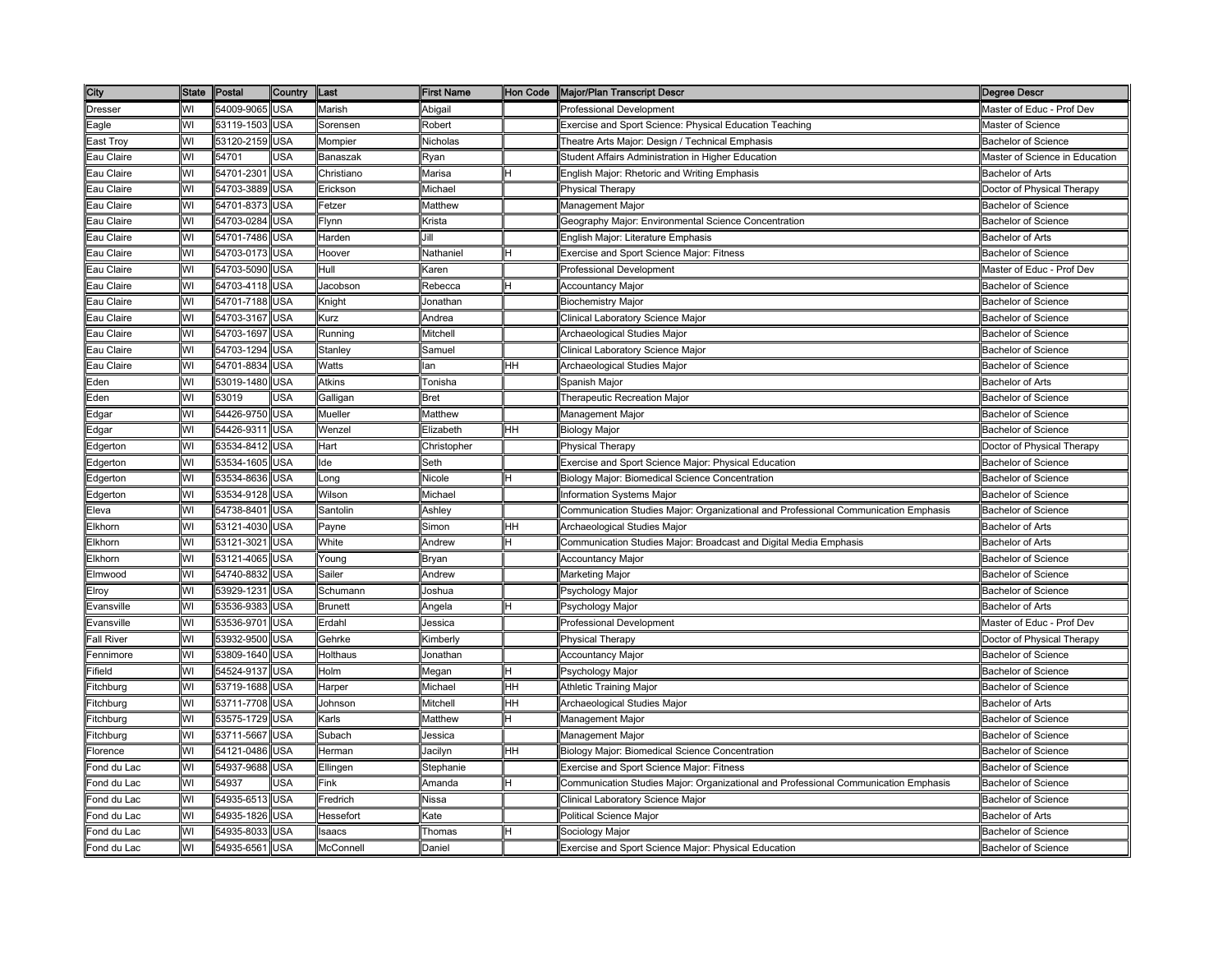| City                    | <b>State</b> | Postal         | Country    | Last             | <b>First Name</b> | Hon Code | Major/Plan Transcript Descr                                                         | Degree Descr                   |
|-------------------------|--------------|----------------|------------|------------------|-------------------|----------|-------------------------------------------------------------------------------------|--------------------------------|
| <b>Dresser</b>          | WI           | 54009-9065     | <b>USA</b> | Marish           | Abigail           |          | Professional Development                                                            | Master of Educ - Prof Dev      |
| Eagle                   | WI           | 53119-1503     | USA        | Sorensen         | Robert            |          | Exercise and Sport Science: Physical Education Teaching                             | Master of Science              |
| East Trov               | WI           | 53120-2159     | USA        | Mompier          | Nicholas          |          | Theatre Arts Major: Design / Technical Emphasis                                     | <b>Bachelor of Science</b>     |
| Eau Claire              | WI           | 54701          | <b>JSA</b> | Banaszak         | Ryan              |          | Student Affairs Administration in Higher Education                                  | Master of Science in Education |
| Eau Claire              | WI           | 54701-2301     | USA        | Christiano       | Marisa            |          | English Major: Rhetoric and Writing Emphasis                                        | Bachelor of Arts               |
| Eau Claire              | WI           | 54703-3889     | USA        | Erickson         | Michael           |          | <b>Physical Therapy</b>                                                             | Doctor of Physical Therapy     |
| Eau Claire              | WI           | 54701-8373     | <b>USA</b> | Fetzer           | Matthew           |          | Management Major                                                                    | <b>Bachelor of Science</b>     |
| Eau Claire              | WI           | 54703-0284     | <b>USA</b> | Flynn            | Krista            |          | Geography Major: Environmental Science Concentration                                | <b>Bachelor of Science</b>     |
| Eau Claire              | WI           | 54701-7486     | USA        | Harden           | Jill              |          | English Major: Literature Emphasis                                                  | Bachelor of Arts               |
| Eau Claire              | WI           | 54703-0173     | USA        | Hoover           | Nathaniel         |          | Exercise and Sport Science Major: Fitness                                           | <b>Bachelor of Science</b>     |
| Eau Claire              | WI           | 54703-5090     | USA        | Hull             | Karen             |          | Professional Development                                                            | Master of Educ - Prof Dev      |
| Eau Claire              | WI           | 54703-4118     | USA        | Jacobson         | Rebecca           |          | <b>Accountancy Major</b>                                                            | <b>Bachelor of Science</b>     |
| Eau Claire              | WI           | 54701-7188     | <b>JSA</b> | Knight           | Jonathan          |          | <b>Biochemistry Major</b>                                                           | <b>Bachelor of Science</b>     |
| Eau Claire              | WI           | 54703-3167     | <b>USA</b> | Kurz             | Andrea            |          | Clinical Laboratory Science Major                                                   | <b>Bachelor of Science</b>     |
| Eau Claire              | WI           | 54703-1697     | USA        | Running          | Mitchell          |          | Archaeological Studies Major                                                        | <b>Bachelor of Science</b>     |
| Eau Claire              | WI           | 54703-1294     | USA        | Stanley          | Samuel            |          | Clinical Laboratory Science Major                                                   | <b>Bachelor of Science</b>     |
| Eau Claire              | WI           | 54701-8834     | USA        | Watts            | lan               | HH       | Archaeological Studies Major                                                        | <b>Bachelor of Science</b>     |
| Eden                    | WI           | 53019-1480     | USA        | <b>Atkins</b>    | Tonisha           |          | Spanish Major                                                                       | <b>Bachelor of Arts</b>        |
| Eden                    | WI           | 53019          | <b>JSA</b> | Galligan         | Bret              |          | Therapeutic Recreation Major                                                        | <b>Bachelor of Science</b>     |
| Edgar                   | WI           | 54426-9750     | USA        | Mueller          | Matthew           |          | Management Major                                                                    | Bachelor of Science            |
| Edgar                   | WI           | 54426-9311     | USA        | Wenzel           | Elizabeth         | HН       | <b>Biology Major</b>                                                                | <b>Bachelor of Science</b>     |
| Edgerton                | WI           | 53534-8412     | USA        | Hart             | Christopher       |          | <b>Physical Therapy</b>                                                             | Doctor of Physical Therapy     |
| Edgerton                | WI           | 53534-1605     | <b>USA</b> | lde              | Seth              |          | Exercise and Sport Science Major: Physical Education                                | <b>Bachelor of Science</b>     |
| Edgerton                | WI           | 53534-8636     | USA        | _ong             | Nicole            |          | Biology Major: Biomedical Science Concentration                                     | Bachelor of Science            |
| Edgerton                | WI           | 53534-9128     | USA        | Wilson           | Michael           |          | Information Systems Major                                                           | <b>Bachelor of Science</b>     |
| Eleva                   | WI           | 54738-8401     | USA        | Santolin         | Ashley            |          | Communication Studies Major: Organizational and Professional Communication Emphasis | <b>Bachelor of Science</b>     |
| Elkhorn                 | WI           | 53121-4030     | USA        | Payne            | Simon             | HН       | Archaeological Studies Major                                                        | <b>Bachelor of Arts</b>        |
| Elkhorn                 | WI           | 53121-3021     | USA        | White            | Andrew            |          | Communication Studies Major: Broadcast and Digital Media Emphasis                   | <b>Bachelor of Arts</b>        |
| Elkhorn                 | WI           | 53121-4065     | <b>JSA</b> | Young            | Bryan             |          | <b>Accountancy Major</b>                                                            | <b>Bachelor of Science</b>     |
| Elmwood                 | WI           | 54740-8832     | USA        | Sailer           | Andrew            |          | Marketing Major                                                                     | <b>Bachelor of Science</b>     |
| Elroy                   | WI           | 53929-1231     | USA        | Schumann         | Joshua            |          | Psychology Major                                                                    | <b>Bachelor of Science</b>     |
| Evansville              | WI           | 53536-9383     | USA        | <b>Brunett</b>   | Angela            |          | Psychology Major                                                                    | <b>Bachelor of Arts</b>        |
| Evansville              | WI           | 53536-9701     | USA        | Erdahl           | Jessica           |          | <b>Professional Development</b>                                                     | Master of Educ - Prof Dev      |
| all River               | WI           | 53932-9500     | USA        | Gehrke           | Kimberly          |          | Physical Therapy                                                                    | Doctor of Physical Therapy     |
| Fennimore               | WI           | 53809-1640     | USA        | Holthaus         | Jonathan          |          | <b>Accountancy Major</b>                                                            | <b>Bachelor of Science</b>     |
| ifield                  | WI           | 54524-9137     | JSA        | Holm             | Megan             |          | Psychology Major                                                                    | Bachelor of Science            |
| itchburg                | WI           | 53719-1688     | <b>JSA</b> | Harper           | Michael           | HН       | Athletic Training Major                                                             | <b>Bachelor of Science</b>     |
| itchburg                | WI           | 53711-7708     | USA        | Johnson          | Mitchell          | HН       | Archaeological Studies Major                                                        | <b>Bachelor of Arts</b>        |
| itchburg                | WI           | 53575-1729     | <b>USA</b> | Karls            | Matthew           |          | Management Major                                                                    | <b>Bachelor of Science</b>     |
| itchburg                | WI           | 53711-5667     | USA        | Subach           | Jessica           |          | Management Major                                                                    | <b>Bachelor of Science</b>     |
| lorence                 | WI           | 54121-0486     | USA        | Herman           | Jacilyn           | HН       | Biology Major: Biomedical Science Concentration                                     | Bachelor of Science            |
| ond du Lac <sup>-</sup> | WI           | 54937-9688     | USA        | Ellingen         | Stephanie         |          | Exercise and Sport Science Major: Fitness                                           | Bachelor of Science            |
| ond du Lac <sup>-</sup> | WI           | 54937          | <b>JSA</b> | Fink             | Amanda            | н        | Communication Studies Major: Organizational and Professional Communication Emphasis | <b>Bachelor of Science</b>     |
| ond du Lac              | WI           | 54935-6513     | USA        | Fredrich         | Nissa             |          | Clinical Laboratory Science Major                                                   | <b>Bachelor of Science</b>     |
| ond du Lac              | WI           | 54935-1826     | <b>JSA</b> | <b>Hessefort</b> | <b>Cate</b>       |          | Political Science Major                                                             | <b>Bachelor of Arts</b>        |
| ond du Lac              | WI           | 54935-8033     | USA        | <b>Isaacs</b>    | Thomas            |          | Sociology Major                                                                     | <b>Bachelor of Science</b>     |
| Fond du Lac             | WI           | 54935-6561 USA |            | McConnell        | Daniel            |          | Exercise and Sport Science Major: Physical Education                                | <b>Bachelor of Science</b>     |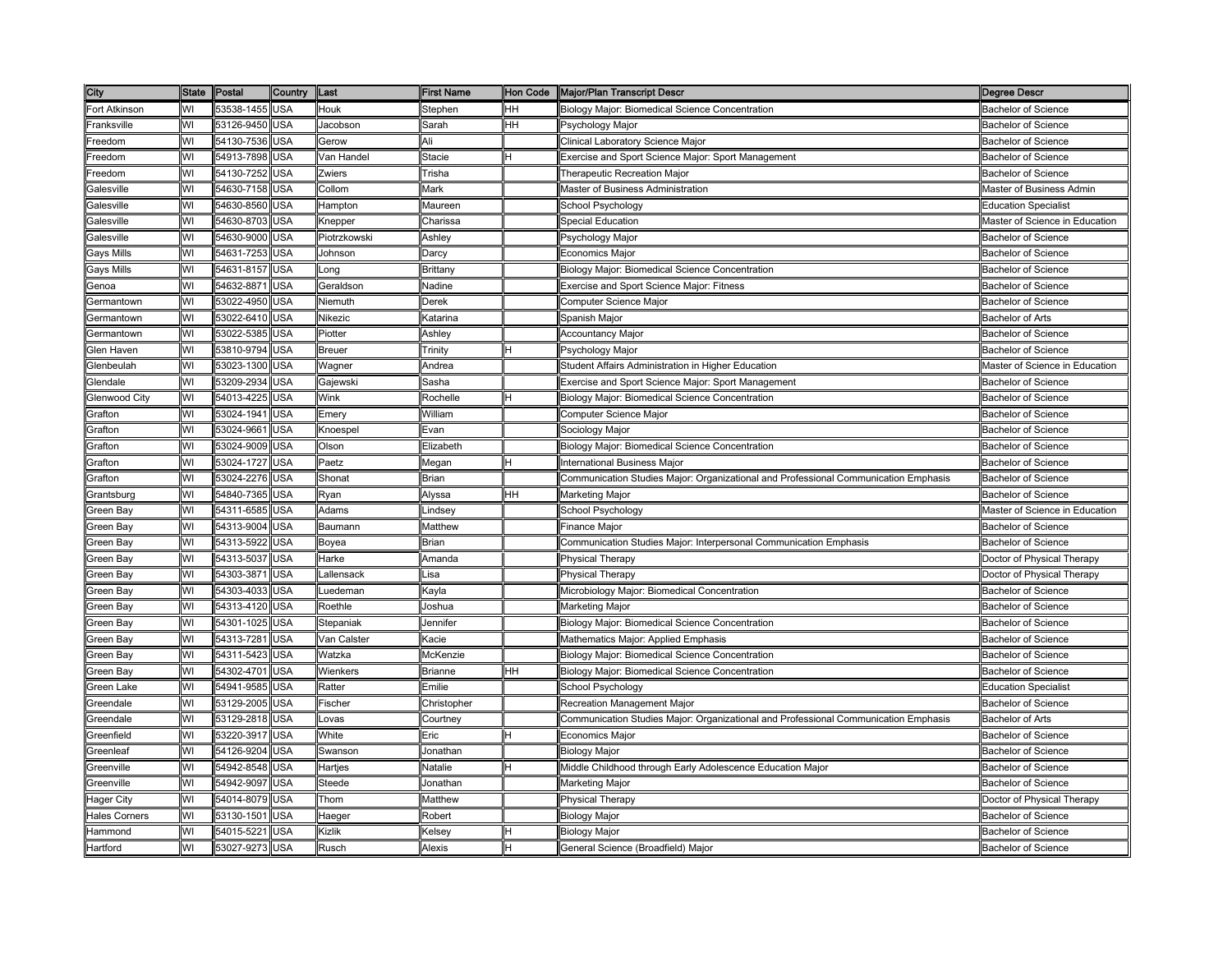| City                 | <b>State</b> | Postal         | Country    | Last          | First Name  | Hon Code | <b>Major/Plan Transcript Descri</b>                                                 | Degree Descr                   |
|----------------------|--------------|----------------|------------|---------------|-------------|----------|-------------------------------------------------------------------------------------|--------------------------------|
| Fort Atkinson        | WI           | 53538-1455     | <b>USA</b> | Houk          | Stephen     | HH       | Biology Major: Biomedical Science Concentration                                     | <b>Bachelor of Science</b>     |
| ranksville           | wı           | 53126-9450     | <b>USA</b> | Jacobson      | Sarah       | HН       | Psychology Major                                                                    | <b>Bachelor of Science</b>     |
| reedom               | WI           | 54130-7536     | USA        | Gerow         | Ali         |          | Clinical Laboratory Science Major                                                   | <b>Bachelor of Science</b>     |
| reedom               | WI           | 54913-7898     | <b>JSA</b> | Van Handel    | Stacie      |          | Exercise and Sport Science Major: Sport Management                                  | <b>Bachelor of Science</b>     |
| reedom               | WI           | 54130-7252     | USA        | Zwiers        | Trisha      |          | Therapeutic Recreation Major                                                        | <b>Bachelor of Science</b>     |
| Galesville           | WI           | 54630-7158     | USA        | Collom        | Mark        |          | Master of Business Administration                                                   | Master of Business Admin       |
| Galesville           | WI           | 54630-8560 USA |            | Hampton       | Maureen     |          | School Psychology                                                                   | <b>Education Specialist</b>    |
| Galesville           | WI           | 54630-8703     | <b>USA</b> | Knepper       | Charissa    |          | Special Education                                                                   | Master of Science in Education |
| Galesville           | WI           | 54630-9000     | USA        | Piotrzkowski  | Ashley      |          | Psychology Major                                                                    | <b>Bachelor of Science</b>     |
| Gays Mills           | WI           | 54631-7253     | USA        | Johnson       | Darcy       |          | Economics Major                                                                     | <b>Bachelor of Science</b>     |
| <b>Gays Mills</b>    | WI           | 54631-8157     | USA        | _ong          | Brittany    |          | Biology Major: Biomedical Science Concentration                                     | Bachelor of Science            |
| Genoa                | WI           | 54632-8871     | <b>JSA</b> | Geraldson     | Nadine      |          | Exercise and Sport Science Major: Fitness                                           | <b>Bachelor of Science</b>     |
| <b>Germantown</b>    | WI           | 53022-4950     | <b>JSA</b> | Niemuth       | Derek       |          | Computer Science Major                                                              | <b>Bachelor of Science</b>     |
| Germantown           | WI           | 53022-6410     | <b>USA</b> | Nikezic       | Katarina    |          | Spanish Major                                                                       | <b>Bachelor of Arts</b>        |
| Germantown           | WI           | 53022-5385     | USA        | Piotter       | Ashley      |          | Accountancy Major                                                                   | <b>Bachelor of Science</b>     |
| Glen Haven           | WI           | 53810-9794     | USA        | <b>Breuer</b> | Trinity     |          | Psychology Major                                                                    | <b>Bachelor of Science</b>     |
| Glenbeulah           | WI           | 53023-1300     | USA        | Wagner        | Andrea      |          | Student Affairs Administration in Higher Education                                  | Master of Science in Education |
| Glendale             | WI           | 53209-2934     | USA        | Gajewski      | Sasha       |          | Exercise and Sport Science Major: Sport Management                                  | <b>Bachelor of Science</b>     |
| <b>Glenwood City</b> | WI           | 54013-4225     | JSA        | Wink          | Rochelle    |          | Biology Major: Biomedical Science Concentration                                     | <b>Bachelor of Science</b>     |
| <b>Grafton</b>       | WI           | 53024-1941     | <b>JSA</b> | Emery         | William     |          | Computer Science Major                                                              | Bachelor of Science            |
| Grafton              | WI           | 53024-9661     | <b>JSA</b> | Knoespel      | Evan        |          | Sociology Major                                                                     | <b>Bachelor of Science</b>     |
| Grafton              | WI           | 53024-9009     | USA        | Olson         | Elizabeth   |          | Biology Major: Biomedical Science Concentration                                     | <b>Bachelor of Science</b>     |
| Grafton              | WI           | 53024-1727     | USA        | Paetz         | Megan       |          | <b>International Business Major</b>                                                 | <b>Bachelor of Science</b>     |
| Grafton              | WI           | 53024-2276     | USA        | Shonat        | Brian       |          | Communication Studies Major: Organizational and Professional Communication Emphasis | <b>Bachelor of Science</b>     |
| Grantsburg           | WI           | 54840-7365     | USA        | Ryan          | Alyssa      | HH.      | Marketing Major                                                                     | <b>Bachelor of Science</b>     |
| Green Bay            | WI           | 54311-6585     | USA        | Adams         | Lindsey     |          | School Psychology                                                                   | Master of Science in Education |
| Green Bay            | WI           | 54313-9004     | USA        | Baumann       | Matthew     |          | Finance Major                                                                       | <b>Bachelor of Science</b>     |
| Green Bay            | WI           | 54313-5922     | USA        | Boyea         | Brian       |          | Communication Studies Major: Interpersonal Communication Emphasis                   | <b>Bachelor of Science</b>     |
| Green Bay            | WI           | 54313-5037     | <b>JSA</b> | Harke         | Amanda      |          | Physical Therapy                                                                    | Doctor of Physical Therapy     |
| Green Bay            | WI           | 54303-3871     | USA        | _allensack    | Lisa        |          | <b>Physical Therapy</b>                                                             | Doctor of Physical Therapy     |
| Green Bay            | WI           | 54303-4033     | USA        | .uedeman      | Kayla       |          | Microbiology Major: Biomedical Concentration                                        | Bachelor of Science            |
| Green Bay            | WI           | 54313-4120 USA |            | Roethle       | Joshua      |          | Marketing Major                                                                     | <b>Bachelor of Science</b>     |
| Green Bay            | WI           | 54301-1025     | USA        | Stepaniak     | Jennifer    |          | Biology Major: Biomedical Science Concentration                                     | <b>Bachelor of Science</b>     |
| Green Bay            | WI           | 54313-7281     | USA        | Van Calster   | Kacie       |          | Mathematics Major: Applied Emphasis                                                 | <b>Bachelor of Science</b>     |
| Green Bay            | WI           | 54311-5423     | USA        | Watzka        | McKenzie    |          | Biology Major: Biomedical Science Concentration                                     | <b>Bachelor of Science</b>     |
| Green Bay            | WI           | 54302-4701     | <b>JSA</b> | Wienkers      | Brianne     | HН       | Biology Major: Biomedical Science Concentration                                     | <b>Bachelor of Science</b>     |
| Green Lake           | WI           | 54941-9585     | <b>JSA</b> | Ratter        | Emilie      |          | School Psychology                                                                   | <b>Education Specialist</b>    |
| Greendale            | WI           | 53129-2005     | USA        | Fischer       | Christopher |          | Recreation Management Major                                                         | <b>Bachelor of Science</b>     |
| Greendale            | WI           | 53129-2818     | <b>USA</b> | Lovas         | Courtney    |          | Communication Studies Major: Organizational and Professional Communication Emphasis | <b>Bachelor of Arts</b>        |
| Greenfield           | WI           | 53220-3917     | USA        | White         | Eric        |          | Economics Major                                                                     | <b>Bachelor of Science</b>     |
| Greenleaf            | WI           | 54126-9204     | USA        | Swanson       | Jonathan    |          | <b>Biology Major</b>                                                                | <b>Bachelor of Science</b>     |
| Greenville           | WI           | 54942-8548     | USA        | Hartjes       | Natalie     |          | Middle Childhood through Early Adolescence Education Major                          | <b>Bachelor of Science</b>     |
| Greenville           | WI           | 54942-9097     | USA        | Steede        | Jonathan    |          | Marketing Major                                                                     | <b>Bachelor of Science</b>     |
| Hager City           | WI           | 54014-8079     | <b>JSA</b> | Thom          | Matthew     |          | Physical Therapy                                                                    | Doctor of Physical Therapy     |
| Hales Corners        | WI           | 53130-1501     | <b>JSA</b> | Haeger        | Robert      |          | Biology Major                                                                       | Bachelor of Science            |
| Hammond              | WI           | 54015-5221     | JSA        | Kizlik        | Kelsey      |          | <b>Biology Major</b>                                                                | <b>Bachelor of Science</b>     |
| Hartford             | WI           | 53027-9273 USA |            | Rusch         | Alexis      | Η        | General Science (Broadfield) Major                                                  | <b>Bachelor of Science</b>     |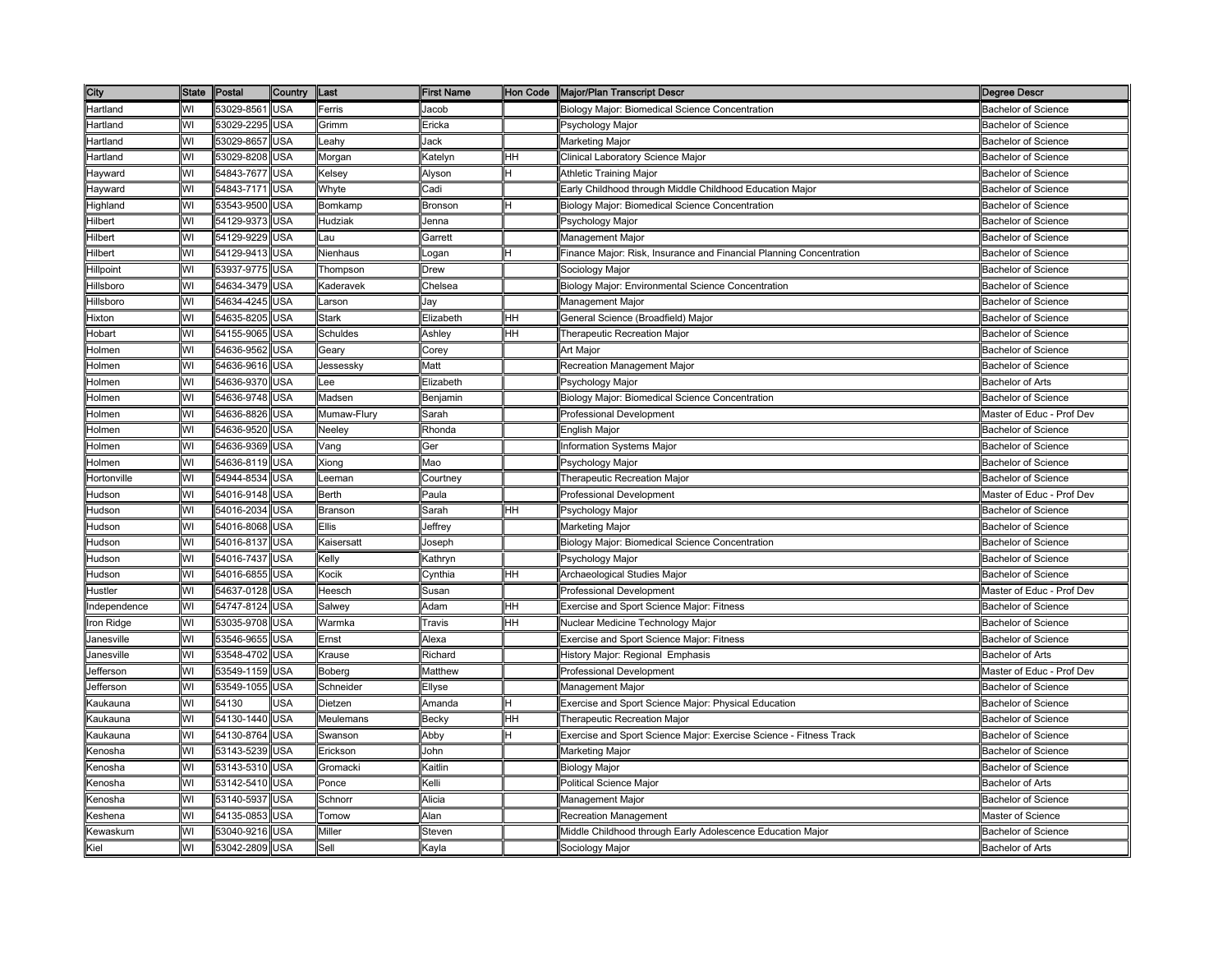| City          | <b>State</b> | Postal     | Country    | Last         | <b>First Name</b> | Hon Code | <b>Major/Plan Transcript Descri</b>                                 | Degree Descr               |
|---------------|--------------|------------|------------|--------------|-------------------|----------|---------------------------------------------------------------------|----------------------------|
| Hartland      | WI           | 53029-8561 | <b>USA</b> | Ferris       | Jacob             |          | Biology Major: Biomedical Science Concentration                     | <b>Bachelor of Science</b> |
| Hartland      | WI           | 53029-2295 | <b>USA</b> | Grimm        | Ericka            |          | <sup>⊃</sup> sychology Major                                        | <b>Bachelor of Science</b> |
| Hartland      | WI           | 53029-8657 | <b>USA</b> | Leahγ        | Jack              |          | Marketing Major                                                     | <b>Bachelor of Science</b> |
| Hartland      | WI           | 53029-8208 | USA        | Morgan       | <b>Katelyn</b>    | HН       | Clinical Laboratory Science Major                                   | <b>Bachelor of Science</b> |
| Hayward       | WI           | 54843-7677 | <b>USA</b> | Kelsey       | Alyson            | H        | Athletic Training Major                                             | <b>Bachelor of Science</b> |
| Hayward       | WI           | 54843-7171 | <b>USA</b> | Whyte        | Cadi              |          | Early Childhood through Middle Childhood Education Major            | <b>Bachelor of Science</b> |
| Highland      | WI           | 53543-9500 | <b>USA</b> | Bomkamp      | Bronson           |          | Biology Major: Biomedical Science Concentration                     | <b>Bachelor of Science</b> |
| Hilbert       | WI           | 54129-9373 | USA        | Hudziak      | Jenna             |          | Psychology Major                                                    | <b>Bachelor of Science</b> |
| Hilbert       | WI           | 54129-9229 | <b>USA</b> | Lau          | Garrett           |          | Management Major                                                    | <b>Bachelor of Science</b> |
| Hilbert       | WI           | 54129-9413 | <b>USA</b> | Nienhaus     | ogan              |          | Finance Major: Risk, Insurance and Financial Planning Concentration | <b>Bachelor of Science</b> |
| Hillpoint     | WI           | 53937-9775 | <b>USA</b> | Thompson     | Drew              |          | Sociology Major                                                     | <b>Bachelor of Science</b> |
| Hillsboro     | WI           | 54634-3479 | <b>USA</b> | Kaderavek    | Chelsea           |          | Biology Major: Environmental Science Concentration                  | <b>Bachelor of Science</b> |
| Hillsboro     | WI           | 54634-4245 | <b>USA</b> | Larson       | lav               |          | Management Major                                                    | <b>Bachelor of Science</b> |
| Hixton        | WI           | 54635-8205 | <b>USA</b> | <b>Stark</b> | Elizabeth         | HН       | General Science (Broadfield) Major                                  | Bachelor of Science        |
| Hobart        | WI           | 54155-9065 | <b>USA</b> | Schuldes     | Ashley            | HН       | Therapeutic Recreation Major                                        | <b>Bachelor of Science</b> |
| Holmen        | WI           | 54636-9562 | <b>USA</b> | Geary        | Corey             |          | Art Major                                                           | <b>Bachelor of Science</b> |
| Holmen        | WI           | 54636-9616 | <b>USA</b> | Jessessky    | Matt              |          | Recreation Management Major                                         | <b>Bachelor of Science</b> |
| Holmen        | WI           | 54636-9370 | <b>USA</b> | Lee          | Elizabeth         |          | <sup>2</sup> sychology Major                                        | <b>Bachelor of Arts</b>    |
| Holmen        | WI           | 54636-9748 | <b>USA</b> | Madsen       | Benjamin          |          | Biology Major: Biomedical Science Concentration                     | <b>Bachelor of Science</b> |
| Holmen        | WI           | 54636-8826 | USA        | Mumaw-Flury  | Sarah             |          | Professional Development                                            | Master of Educ - Prof Dev  |
| Holmen        | WI           | 54636-9520 | USA        | Neeley       | Rhonda            |          | English Major                                                       | <b>Bachelor of Science</b> |
| Holmen        | WI           | 54636-9369 | <b>JSA</b> | Vang         | Ger               |          | nformation Systems Major                                            | <b>Bachelor of Science</b> |
| Holmen        | WI           | 54636-8119 | <b>USA</b> | Xiong        | Mao               |          | Psychology Major                                                    | <b>Bachelor of Science</b> |
| Hortonville   | WI           | 54944-8534 | <b>USA</b> | Leeman       | Courtney          |          | Therapeutic Recreation Major                                        | <b>Bachelor of Science</b> |
| Hudson        | WI           | 54016-9148 | <b>USA</b> | Berth        | Paula             |          | Professional Development                                            | Master of Educ - Prof Dev  |
| Hudson        | WI           | 54016-2034 | <b>USA</b> | Branson      | Sarah             | HH       | Psychology Major                                                    | <b>Bachelor of Science</b> |
| Hudson        | WI           | 54016-8068 | <b>USA</b> | Ellis        | Jeffrey           |          | Marketing Major                                                     | <b>Bachelor of Science</b> |
| Hudson        | WI           | 54016-8137 | <b>USA</b> | Kaisersatt   | loseph            |          | Biology Major: Biomedical Science Concentration                     | <b>Bachelor of Science</b> |
| Hudson        | WI           | 54016-7437 | <b>JSA</b> | Kelly        | (athryn           |          | <sup>9</sup> sychology Major                                        | Bachelor of Science        |
| <b>Hudson</b> | WI           | 54016-6855 | <b>USA</b> | Kocik        | <b>Conthia</b>    | HН       | Archaeological Studies Major                                        | <b>Bachelor of Science</b> |
| Hustler       | WI           | 54637-0128 | USA        | Heesch       | Susan             |          | Professional Development                                            | Master of Educ - Prof Dev  |
| Independence  | WI           | 54747-8124 | <b>USA</b> | Salwey       | Adam              | HН       | Exercise and Sport Science Major: Fitness                           | <b>Bachelor of Science</b> |
| Iron Ridge    | WI           | 53035-9708 | <b>USA</b> | Warmka       | Γravis            | HН       | Nuclear Medicine Technology Major                                   | <b>Bachelor of Science</b> |
| Janesville    | WI           | 53546-9655 | <b>USA</b> | Ernst        | Alexa             |          | Exercise and Sport Science Major: Fitness                           | <b>Bachelor of Science</b> |
| Janesville    | WI           | 53548-4702 | USA        | Krause       | Richard           |          | History Major: Regional Emphasis                                    | <b>Bachelor of Arts</b>    |
| Jefferson     | WI           | 53549-1159 | <b>USA</b> | Boberg       | Matthew           |          | Professional Development                                            | Master of Educ - Prof Dev  |
| Jefferson     | WI           | 53549-1055 | <b>USA</b> | Schneider    | Ellyse            |          | Management Major                                                    | <b>Bachelor of Science</b> |
| Kaukauna      | WI           | 54130      | <b>JSA</b> | Dietzen      | \manda            |          | Exercise and Sport Science Major: Physical Education                | Bachelor of Science        |
| Kaukauna      | WI           | 54130-1440 | <b>USA</b> | Meulemans    | Becky             | HН       | Therapeutic Recreation Major                                        | <b>Bachelor of Science</b> |
| Kaukauna      | WI           | 54130-8764 | <b>USA</b> | Swanson      | Abby              |          | Exercise and Sport Science Major: Exercise Science - Fitness Track  | <b>Bachelor of Science</b> |
| Kenosha       | WI           | 53143-5239 | <b>USA</b> | Erickson     | John              |          | Marketing Major                                                     | <b>Bachelor of Science</b> |
| Kenosha       | WI           | 53143-5310 | <b>USA</b> | Gromacki     | Kaitlin           |          | <b>Biology Major</b>                                                | <b>Bachelor of Science</b> |
| Kenosha       | WI           | 53142-5410 | <b>USA</b> | Ponce        | Kelli             |          | Political Science Major                                             | <b>Bachelor of Arts</b>    |
| Kenosha       | WI           | 53140-5937 | <b>USA</b> | Schnorr      | Alicia            |          | Management Major                                                    | <b>Bachelor of Science</b> |
| Keshena       | WI           | 54135-0853 | <b>USA</b> | Tomow        | Alan              |          | Recreation Management                                               | Master of Science          |
| Kewaskum      | WI           | 53040-9216 | USA        | Miller       | Steven            |          | Middle Childhood through Early Adolescence Education Major          | <b>Bachelor of Science</b> |
| Kiel          | WI           | 53042-2809 | <b>USA</b> | Sell         | Kayla             |          | Sociology Major                                                     | <b>Bachelor of Arts</b>    |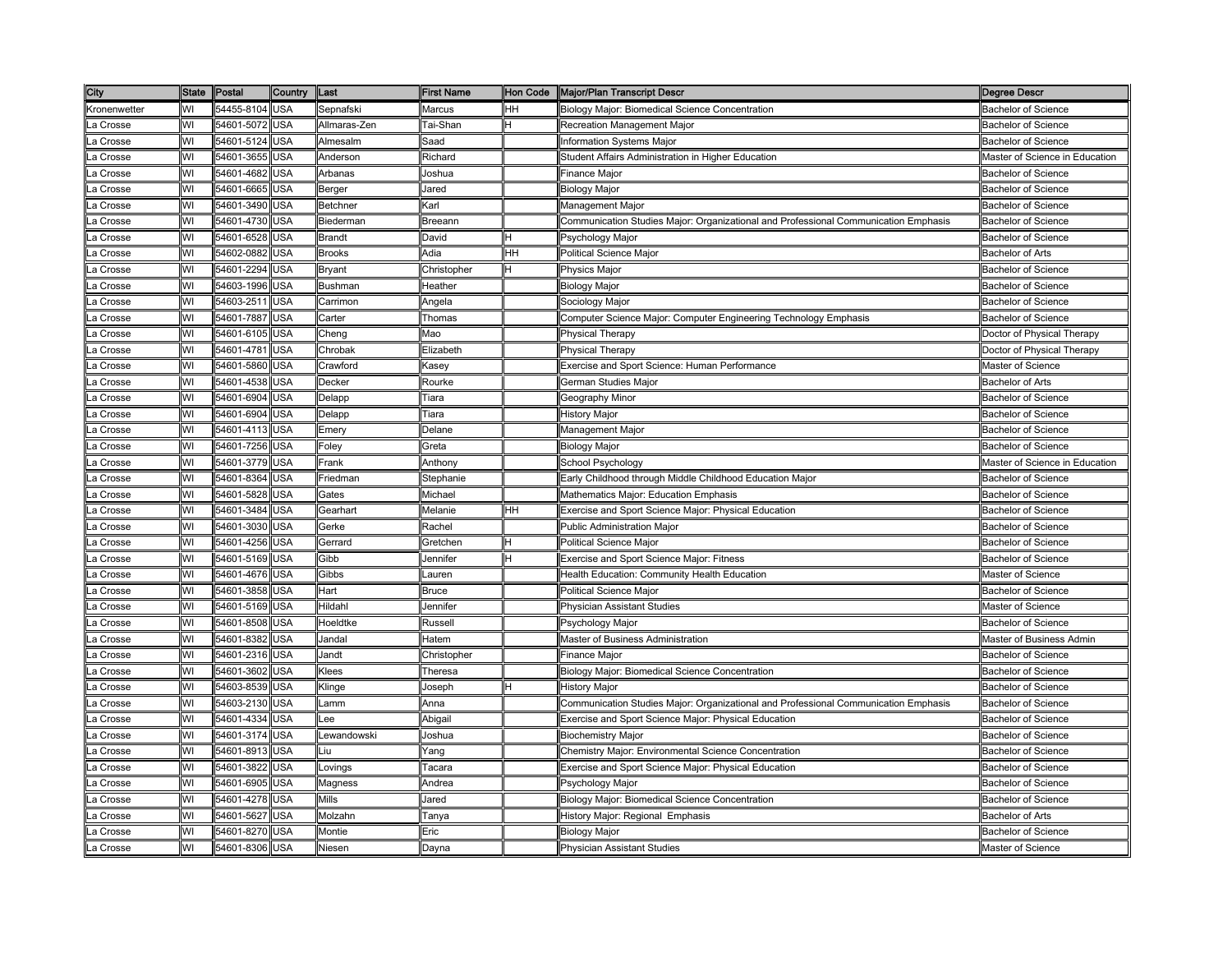| City         | State | Postal         | Country    | Last          | First Name                                                                                                     | Hon Code | <b>Major/Plan Transcript Descri</b>                                                 | Degree Descr                   |
|--------------|-------|----------------|------------|---------------|----------------------------------------------------------------------------------------------------------------|----------|-------------------------------------------------------------------------------------|--------------------------------|
| Kronenwetter | WI    | 54455-8104     | <b>USA</b> | Sepnafski     | Marcus                                                                                                         | HH       | Biology Major: Biomedical Science Concentration                                     | <b>Bachelor of Science</b>     |
| a Crosse     | WI    | 54601-5072     | USA        | Allmaras-Zen  | Tai-Shan                                                                                                       |          | Recreation Management Major                                                         | Bachelor of Science            |
| .a Crosse    | WI    | 54601-5124     | USA        | Almesalm      | Saad                                                                                                           |          | <b>Information Systems Major</b>                                                    | <b>Bachelor of Science</b>     |
| a Crosse     | WI    | 54601-3655     | <b>JSA</b> | Anderson      | Richard                                                                                                        |          | Student Affairs Administration in Higher Education                                  | Master of Science in Education |
| a Crosse     | WI    | 54601-4682     | USA        | Arbanas       | Joshua                                                                                                         |          | Finance Major                                                                       | <b>Bachelor of Science</b>     |
| .a Crosse    | WI    | 54601-6665     | USA        | Berger        | Jared                                                                                                          |          | <b>Biology Major</b>                                                                | <b>Bachelor of Science</b>     |
| a Crosse     | WI    | 54601-3490     | <b>USA</b> | Betchner      | Karl                                                                                                           |          | Management Major                                                                    | <b>Bachelor of Science</b>     |
| .a Crosse    | WI    | 54601-4730     | USA        | Biederman     | Breeann                                                                                                        |          | Communication Studies Major: Organizational and Professional Communication Emphasis | <b>Bachelor of Science</b>     |
| .a Crosse    | WI    | 54601-6528     | USA        | Brandt        | David                                                                                                          |          | Psychology Major                                                                    | <b>Bachelor of Science</b>     |
| a Crosse     | WI    | 54602-0882     | USA        | <b>Brooks</b> | Adia                                                                                                           | HН       | Political Science Major                                                             | Bachelor of Arts               |
| .a Crosse    | WI    | 54601-2294     | USA        | Bryant        | Christopher                                                                                                    |          | Physics Major                                                                       | <b>Bachelor of Science</b>     |
| a Crosse     | WI    | 54603-1996     | <b>JSA</b> | Bushman       | Heather                                                                                                        |          | Biology Major                                                                       | Bachelor of Science            |
| .a Crosse    | WI    | 54603-2511     | <b>JSA</b> | Carrimon      | Angela                                                                                                         |          | Sociology Major                                                                     | Bachelor of Science            |
| a Crosse     | WI    | 54601-7887     | USA        | Carter        | Thomas                                                                                                         |          | Computer Science Major: Computer Engineering Technology Emphasis                    | Bachelor of Science            |
| a Crosse     | WI    | 54601-6105     | USA        | Cheng         | Mao                                                                                                            |          | Physical Therapy                                                                    | Doctor of Physical Therapy     |
| La Crosse    | WI    | 54601-4781     | USA        | Chrobak       | Elizabeth                                                                                                      |          | <b>Physical Therapy</b>                                                             | Doctor of Physical Therapy     |
| a Crosse     | WI    | 54601-5860     | USA        | Crawford      | <asey< td=""><td></td><td>Exercise and Sport Science: Human Performance</td><td>Master of Science</td></asey<> |          | Exercise and Sport Science: Human Performance                                       | Master of Science              |
| _a Crosse    | WI    | 54601-4538     | USA        | Decker        | Rourke                                                                                                         |          | German Studies Major                                                                | <b>Bachelor of Arts</b>        |
| a Crosse     | WI    | 54601-6904     | USA        | Delapp        | Tiara                                                                                                          |          | Geography Minor                                                                     | <b>Bachelor of Science</b>     |
| .a Crosse    | WI    | 54601-6904     | <b>JSA</b> | Delapp        | Tiara                                                                                                          |          | <b>History Major</b>                                                                | Bachelor of Science            |
| .a Crosse    | WI    | 54601-4113     | USA        | Emery         | Delane                                                                                                         |          | Management Major                                                                    | Bachelor of Science            |
| a Crosse     | WI    | 54601-7256     | <b>JSA</b> | Foley         | Greta                                                                                                          |          | Biology Major                                                                       | <b>Bachelor of Science</b>     |
| a Crosse     | WI    | 54601-3779     | USA        | Frank         | Anthony                                                                                                        |          | School Psychology                                                                   | Master of Science in Education |
| .a Crosse    | WI    | 54601-8364     | <b>USA</b> | Friedman      | Stephanie                                                                                                      |          | Early Childhood through Middle Childhood Education Major                            | <b>Bachelor of Science</b>     |
| a Crosse     | WI    | 54601-5828     | USA        | Gates         | Michael                                                                                                        |          | Mathematics Major: Education Emphasis                                               | <b>Bachelor of Science</b>     |
| _a Crosse    | WI    | 54601-3484     | USA        | Gearhart      | Melanie                                                                                                        | HH       | Exercise and Sport Science Major: Physical Education                                | <b>Bachelor of Science</b>     |
| a Crosse     | WI    | 54601-3030     | <b>USA</b> | Gerke         | Rachel                                                                                                         |          | <b>Public Administration Major</b>                                                  | <b>Bachelor of Science</b>     |
| .a Crosse    | WI    | 54601-4256     | USA        | Gerrard       | Gretchen                                                                                                       |          | <b>Political Science Major</b>                                                      | <b>Bachelor of Science</b>     |
| a Crosse     | WI    | 54601-5169     | <b>JSA</b> | Gibb          | lennifer                                                                                                       |          | Exercise and Sport Science Major: Fitness                                           | Bachelor of Science            |
| a Crosse     | WI    | 54601-4676     | USA        | Gibbs         | auren                                                                                                          |          | Health Education: Community Health Education                                        | Master of Science              |
| .a Crosse    | WI    | 54601-3858     | USA        | Hart          | Bruce                                                                                                          |          | Political Science Major                                                             | <b>Bachelor of Science</b>     |
| a Crosse     | WI    | 54601-5169 USA |            | Hildahl       | Jennifer                                                                                                       |          | <b>Physician Assistant Studies</b>                                                  | Master of Science              |
| .a Crosse    | WI    | 54601-8508     | USA        | Hoeldtke      | Russell                                                                                                        |          | Psychology Major                                                                    | <b>Bachelor of Science</b>     |
| a Crosse     | WI    | 54601-8382 USA |            | Jandal        | Hatem                                                                                                          |          | Master of Business Administration                                                   | Master of Business Admin       |
| a Crosse.    | WI    | 54601-2316     | USA        | Jandt         | Christopher                                                                                                    |          | Finance Major                                                                       | <b>Bachelor of Science</b>     |
| _a Crosse    | WI    | 54601-3602     | USA        | Klees         | Theresa                                                                                                        |          | Biology Major: Biomedical Science Concentration                                     | Bachelor of Science            |
| a Crosse     | WI    | 54603-8539     | USA        | Klinge        | Joseph                                                                                                         |          | History Major                                                                       | <b>Bachelor of Science</b>     |
| a Crosse     | WI    | 54603-2130     | USA        | amm.          | Anna                                                                                                           |          | Communication Studies Major: Organizational and Professional Communication Emphasis | Bachelor of Science            |
| a Crosse     | WI    | 54601-4334     | <b>JSA</b> | -ee           | Abigail                                                                                                        |          | Exercise and Sport Science Major: Physical Education                                | <b>Bachelor of Science</b>     |
| a Crosse     | WI    | 54601-3174     | <b>USA</b> | _ewandowski   | Joshua                                                                                                         |          | <b>Biochemistry Major</b>                                                           | <b>Bachelor of Science</b>     |
| .a Crosse    | WI    | 54601-8913     | USA        | Liu.          | Yang                                                                                                           |          | Chemistry Major: Environmental Science Concentration                                | <b>Bachelor of Science</b>     |
| .a Crosse    | WI    | 54601-3822     | USA        | _ovings       | ⊺acara                                                                                                         |          | Exercise and Sport Science Major: Physical Education                                | <b>Bachelor of Science</b>     |
| La Crosse    | WI    | 54601-6905     | USA        | Magness       | Andrea                                                                                                         |          | Psychology Major                                                                    | <b>Bachelor of Science</b>     |
| a Crosse     | WI    | 54601-4278     | USA        | Mills         | Jared                                                                                                          |          | Biology Major: Biomedical Science Concentration                                     | <b>Bachelor of Science</b>     |
| a Crosse     | WI    | 54601-5627     | USA        | Molzahn       | Tanya                                                                                                          |          | History Major: Regional Emphasis                                                    | <b>Bachelor of Arts</b>        |
| .a Crosse    | WI    | 54601-8270     | USA        | Montie        | Eric                                                                                                           |          | Biology Major                                                                       | Bachelor of Science            |
| a Crosse     | WI    | 54601-8306 USA |            | Niesen        | Davna                                                                                                          |          | <b>Physician Assistant Studies</b>                                                  | Master of Science              |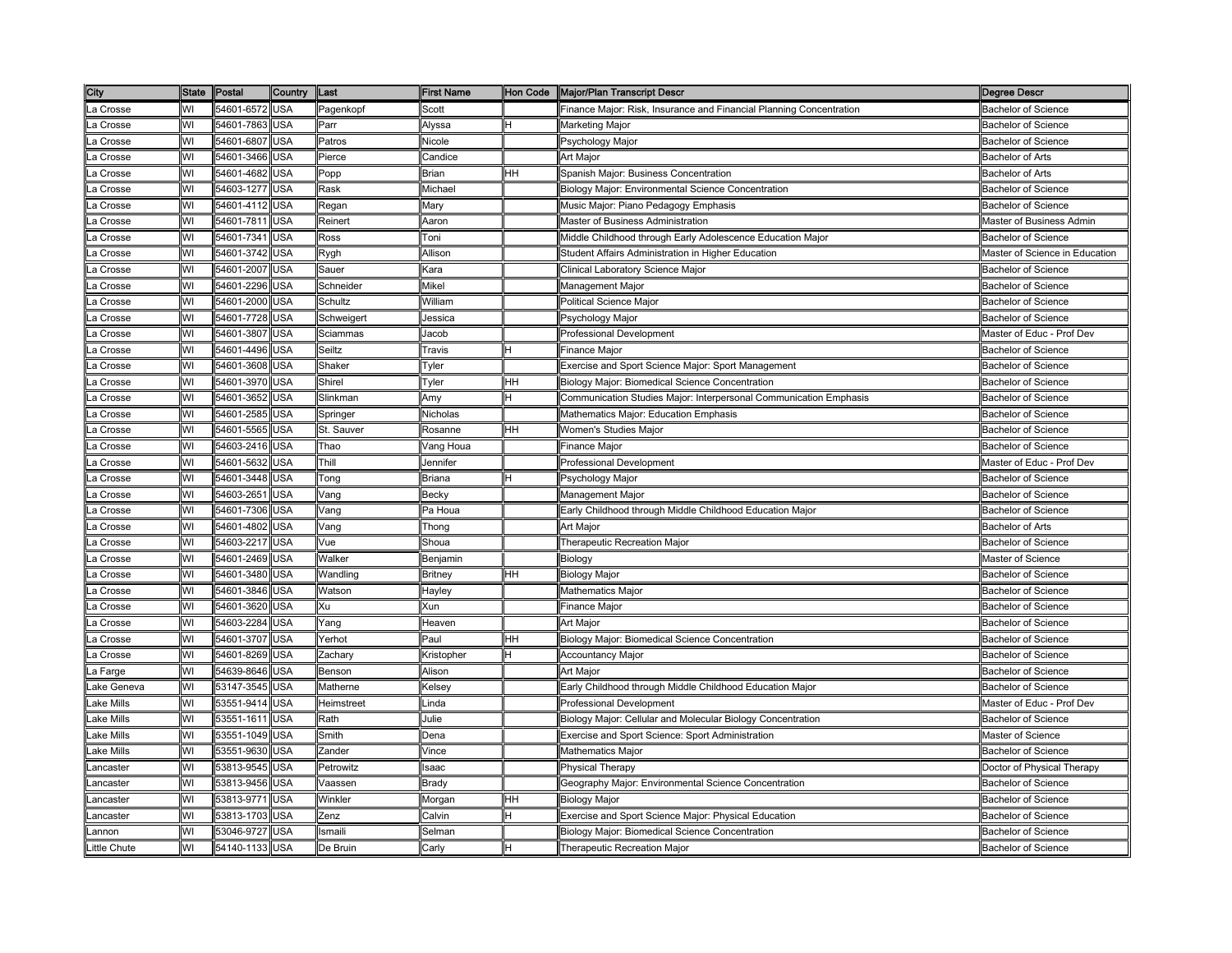| City         | <b>State</b> | Postal         | Country    | Last       | <b>First Name</b> | Hon Code | <b>Major/Plan Transcript Descri</b>                                 | Degree Descr                   |
|--------------|--------------|----------------|------------|------------|-------------------|----------|---------------------------------------------------------------------|--------------------------------|
| La Crosse    | WI           | 54601-6572     | <b>USA</b> | Pagenkopf  | Scott             |          | Finance Major: Risk, Insurance and Financial Planning Concentration | <b>Bachelor of Science</b>     |
| La Crosse    | wı           | 54601-7863     | <b>USA</b> | Parr       | Alyssa            |          | Marketing Major                                                     | <b>Bachelor of Science</b>     |
| .a Crosse    | WI           | 54601-6807     | USA        | Patros     | Nicole            |          | Psychology Major                                                    | <b>Bachelor of Science</b>     |
| a Crosse     | WI           | 54601-3466     | <b>JSA</b> | Pierce     | Candice           |          | Art Major                                                           | Bachelor of Arts               |
| a Crosse     | WI           | 54601-4682     | USA        | Popp       | Brian             | HH       | Spanish Major: Business Concentration                               | <b>Bachelor of Arts</b>        |
| .a Crosse    | WI           | 54603-1277     | USA        | Rask       | Michael           |          | Biology Major: Environmental Science Concentration                  | <b>Bachelor of Science</b>     |
| .a Crosse    | WI           | 54601-4112 USA |            | Regan      | Mary              |          | Music Major: Piano Pedagogy Emphasis                                | <b>Bachelor of Science</b>     |
| .a Crosse    | WI           | 54601-7811     | USA        | Reinert    | Aaron             |          | Master of Business Administration                                   | Master of Business Admin       |
| .a Crosse    | WI           | 54601-7341     | USA        | Ross       | Toni              |          | Middle Childhood through Early Adolescence Education Major          | <b>Bachelor of Science</b>     |
| a Crosse     | WI           | 54601-3742     | USA        | Rygh       | Allison           |          | Student Affairs Administration in Higher Education                  | Master of Science in Education |
| .a Crosse    | WI           | 54601-2007     | USA        | Sauer      | Kara              |          | Clinical Laboratory Science Major                                   | <b>Bachelor of Science</b>     |
| a Crosse     | WI           | 54601-2296     | <b>JSA</b> | Schneider  | Mikel             |          | Management Major                                                    | Bachelor of Science            |
| .a Crosse    | WI           | 54601-2000     | USA        | Schultz    | William           |          | Political Science Major                                             | <b>Bachelor of Science</b>     |
| a Crosse     | WI           | 54601-7728     | USA        | Schweigert | Jessica           |          | Psychology Major                                                    | Bachelor of Science            |
| .a Crosse    | WI           | 54601-3807     | USA        | Sciammas   | Jacob             |          | Professional Development                                            | Master of Educ - Prof Dev      |
| La Crosse    | WI           | 54601-4496     | USA        | Seiltz     | Travis            |          | Finance Major                                                       | <b>Bachelor of Science</b>     |
| a Crosse     | WI           | 54601-3608     | <b>USA</b> | Shaker     | Tyler             |          | Exercise and Sport Science Major: Sport Management                  | <b>Bachelor of Science</b>     |
| _a Crosse    | WI           | 54601-3970     | USA        | Shirel     | Tyler             | HН       | Biology Major: Biomedical Science Concentration                     | <b>Bachelor of Science</b>     |
| _a Crosse    | WI           | 54601-3652     | USA        | Slinkman   | Amy               |          | Communication Studies Major: Interpersonal Communication Emphasis   | <b>Bachelor of Science</b>     |
| .a Crosse    | WI           | 54601-2585     | <b>JSA</b> | Springer   | Nicholas          |          | Mathematics Major: Education Emphasis                               | Bachelor of Science            |
| .a Crosse    | WI           | 54601-5565     | <b>JSA</b> | St. Sauver | Rosanne           | HН       | Women's Studies Major                                               | Bachelor of Science            |
| a Crosse     | WI           | 54603-2416     | USA        | Thao       | √ang Houa         |          | Finance Major                                                       | <b>Bachelor of Science</b>     |
| a Crosse     | WI           | 54601-5632     | USA        | Thill      | Jennifer          |          | Professional Development                                            | Master of Educ - Prof Dev      |
| .a Crosse    | WI           | 54601-3448     | <b>USA</b> | Tong       | Briana            | н        | Psychology Major                                                    | <b>Bachelor of Science</b>     |
| a Crosse     | WI           | 54603-2651     | USA        | Vang       | Becky             |          | Management Major                                                    | <b>Bachelor of Science</b>     |
| _a Crosse    | WI           | 54601-7306     | USA        | Vang       | Pa Houa           |          | Early Childhood through Middle Childhood Education Major            | <b>Bachelor of Science</b>     |
| a Crosse     | WI           | 54601-4802     | USA        | Vang       | Thong             |          | <b>Art Maior</b>                                                    | <b>Bachelor of Arts</b>        |
| .a Crosse    | WI           | 54603-2217     | <b>USA</b> | Vue        | Shoua             |          | Therapeutic Recreation Major                                        | <b>Bachelor of Science</b>     |
| a Crosse     | WI           | 54601-2469     | <b>JSA</b> | Nalker     | 3enjamin          |          | Biology                                                             | Master of Science              |
| a Crosse     | WI           | 54601-3480     | USA        | Wandling   | Britney           | HН       | <b>Biology Major</b>                                                | <b>Bachelor of Science</b>     |
| .a Crosse    | WI           | 54601-3846     | USA        | Watson     | Hayley            |          | Mathematics Major                                                   | <b>Bachelor of Science</b>     |
| a Crosse     | WI           | 54601-3620 USA |            | Xu         | Xun               |          | Finance Major                                                       | Bachelor of Science            |
| .a Crosse    | WI           | 54603-2284     | USA        | Yang       | Heaven            |          | Art Major                                                           | <b>Bachelor of Science</b>     |
| a Crosse     | WI           | 54601-3707 USA |            | Yerhot     | Paul              | HH       | Biology Major: Biomedical Science Concentration                     | <b>Bachelor of Science</b>     |
| a Crosse     | WI           | 54601-8269     | USA        | Zachary    | Kristopher        | н        | Accountancy Major                                                   | <b>Bachelor of Science</b>     |
| .a Farge     | WI           | 54639-8646     | USA        | Benson     | Alison            |          | Art Major                                                           | Bachelor of Science            |
| ake Geneva.  | WI           | 53147-3545     | USA        | Matherne   | Kelsey            |          | Early Childhood through Middle Childhood Education Major            | <b>Bachelor of Science</b>     |
| ake Mills    | WI           | 53551-9414     | <b>JSA</b> | Heimstreet | _inda             |          | Professional Development                                            | Master of Educ - Prof Dev      |
| ake Mills    | WI           | 53551-1611     | USA        | Rath       | Julie             |          | Biology Major: Cellular and Molecular Biology Concentration         | <b>Bachelor of Science</b>     |
| ake Mills    | WI           | 53551-1049     | <b>USA</b> | Smith      | Dena              |          | Exercise and Sport Science: Sport Administration                    | Master of Science              |
| ake Mills    | WI           | 53551-9630     | USA        | Zander     | Vince             |          | Mathematics Major                                                   | <b>Bachelor of Science</b>     |
| .ancaster    | WI           | 53813-9545     | USA        | Petrowitz  | saac              |          | <b>Physical Therapy</b>                                             | Doctor of Physical Therapy     |
| _ancaster    | WI           | 53813-9456     | USA        | √aassen    | Brady             |          | Geography Major: Environmental Science Concentration                | <b>Bachelor of Science</b>     |
| .ancaster    | WI           | 53813-9771     | USA        | Winkler    | Morgan            | ΗH       | Biology Major                                                       | <b>Bachelor of Science</b>     |
| .ancaster    | WI           | 53813-1703     | <b>USA</b> | Zenz       | Calvin            |          | Exercise and Sport Science Major: Physical Education                | <b>Bachelor of Science</b>     |
| .annon       | WI           | 53046-9727     | USA        | Ismaili    | Selman            |          | Biology Major: Biomedical Science Concentration                     | <b>Bachelor of Science</b>     |
| Little Chute | WI           | 54140-1133 USA |            | De Bruin   | Carlv             |          | Therapeutic Recreation Major                                        | <b>Bachelor of Science</b>     |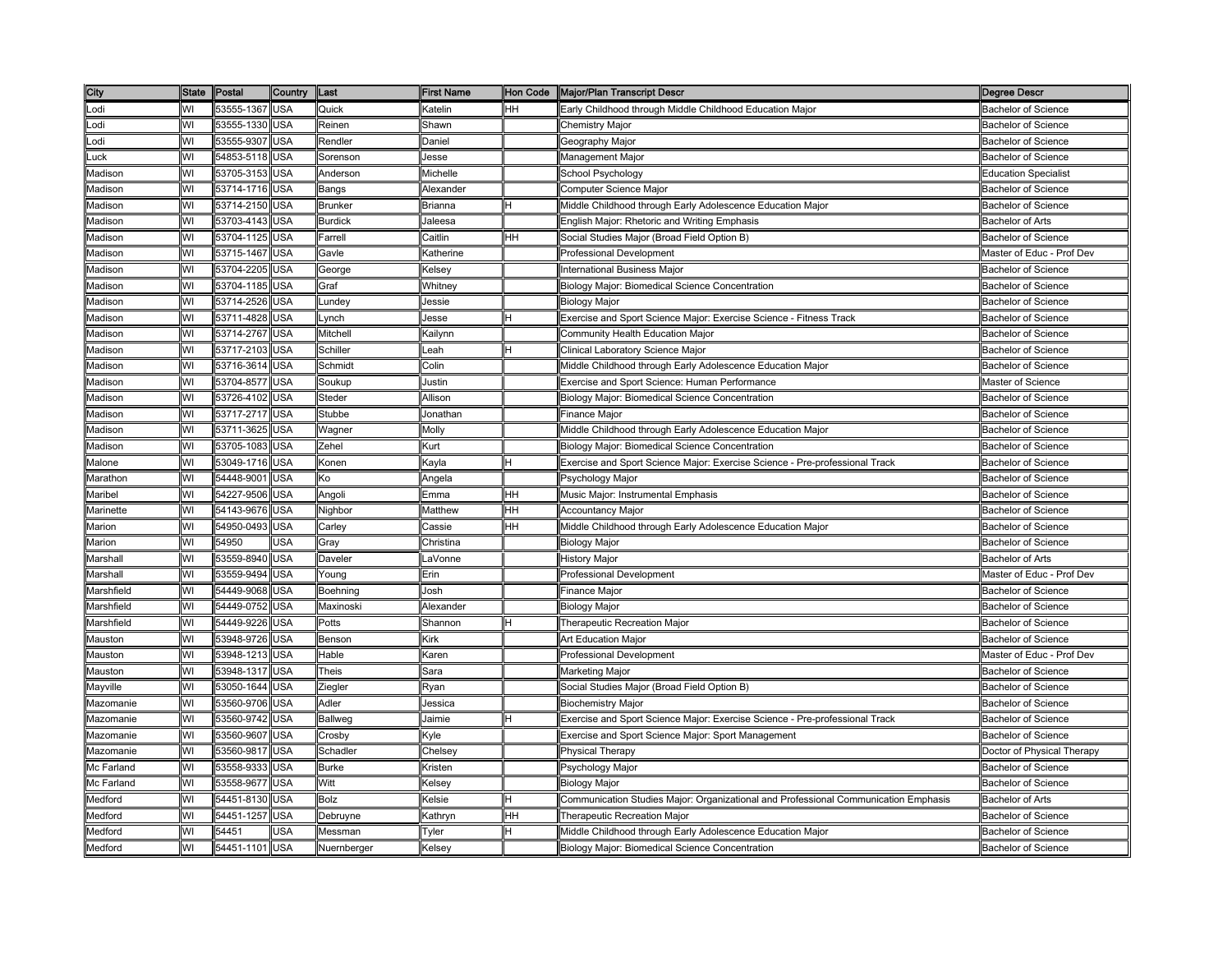| City       | State | Postal         | Country    | Last           | <b>First Name</b>                                                                                                | Hon Code | Major/Plan Transcript Descr                                                         | <b>Degree Descr</b>         |
|------------|-------|----------------|------------|----------------|------------------------------------------------------------------------------------------------------------------|----------|-------------------------------------------------------------------------------------|-----------------------------|
| Lodi       | WI    | 53555-1367 USA |            | Quick          | Katelin                                                                                                          | HН       | Early Childhood through Middle Childhood Education Major                            | <b>Bachelor of Science</b>  |
| _odi       | WI    | 53555-1330 USA |            | Reinen         | Shawn                                                                                                            |          | Chemistry Major                                                                     | <b>Bachelor of Science</b>  |
| .odi       | WI    | 53555-9307     | <b>USA</b> | Rendler        | Daniel                                                                                                           |          | Geography Major                                                                     | <b>Bachelor of Science</b>  |
| .uck       | WI    | 54853-5118     | USA        | Sorenson       | Jesse                                                                                                            |          | Management Major                                                                    | Bachelor of Science         |
| Madison    | WI    | 53705-3153 USA |            | Anderson       | Michelle                                                                                                         |          | School Psychology                                                                   | <b>Education Specialist</b> |
| Madison    | WI    | 53714-1716 USA |            | Bangs          | Alexander                                                                                                        |          | Computer Science Major                                                              | <b>Bachelor of Science</b>  |
| Madison    | WI    | 53714-2150 USA |            | <b>Brunker</b> | Brianna                                                                                                          |          | Middle Childhood through Early Adolescence Education Major                          | <b>Bachelor of Science</b>  |
| Madison    | WI    | 53703-4143 USA |            | <b>Burdick</b> | Jaleesa                                                                                                          |          | English Major: Rhetoric and Writing Emphasis                                        | <b>Bachelor of Arts</b>     |
| Madison    | WI    | 53704-1125     | <b>USA</b> | Farrell        | Caitlin                                                                                                          | ΗH       | Social Studies Major (Broad Field Option B)                                         | <b>Bachelor of Science</b>  |
| Madison    | WI    | 53715-1467     | <b>USA</b> | Gavle          | Katherine                                                                                                        |          | <b>Professional Development</b>                                                     | Master of Educ - Prof Dev   |
| Madison    | WI    | 53704-2205     | USA        | George         | <elsey< td=""><td></td><td>International Business Major</td><td>Bachelor of Science</td></elsey<>                |          | International Business Major                                                        | Bachelor of Science         |
| Madison    | WI    | 53704-1185     | USA        | Graf           | Whitney                                                                                                          |          | <b>Biology Major: Biomedical Science Concentration</b>                              | Bachelor of Science         |
| Madison    | WI    | 53714-2526     | USA        | Lundey         | lessie                                                                                                           |          | <b>Biology Major</b>                                                                | Bachelor of Science         |
| Madison    | WI    | 53711-4828 USA |            | Lynch          | Jesse                                                                                                            | н        | Exercise and Sport Science Major: Exercise Science - Fitness Track                  | <b>Bachelor of Science</b>  |
| Madison    | WI    | 53714-2767     | <b>USA</b> | Mitchell       | Kailynn                                                                                                          |          | Community Health Education Major                                                    | <b>Bachelor of Science</b>  |
| Madison    | WI    | 53717-2103 USA |            | Schiller       | -eah                                                                                                             |          | Clinical Laboratory Science Major                                                   | <b>Bachelor of Science</b>  |
| Madison    | WI    | 53716-3614     | <b>USA</b> | Schmidt        | Colin                                                                                                            |          | Middle Childhood through Early Adolescence Education Major                          | <b>Bachelor of Science</b>  |
| Madison    | WI    | 53704-8577     | <b>USA</b> | Soukup         | Justin                                                                                                           |          | Exercise and Sport Science: Human Performance                                       | Master of Science           |
| Madison    | WI    | 53726-4102     | USA        | Steder         | Allison                                                                                                          |          | Biology Major: Biomedical Science Concentration                                     | <b>Bachelor of Science</b>  |
| Madison    | WI    | 53717-2717     | USA        | Stubbe         | Jonathan                                                                                                         |          | Finance Major                                                                       | Bachelor of Science         |
| Madison    | WI    | 53711-3625     | USA        | Wagner         | Molly                                                                                                            |          | Middle Childhood through Early Adolescence Education Major                          | <b>Bachelor of Science</b>  |
| Madison    | WI    | 53705-1083     | <b>USA</b> | Zehel          | <urt< td=""><td></td><td>Biology Major: Biomedical Science Concentration</td><td>Bachelor of Science</td></urt<> |          | Biology Major: Biomedical Science Concentration                                     | Bachelor of Science         |
| Malone     | WI    | 53049-1716 USA |            | Konen          | Kayla                                                                                                            |          | Exercise and Sport Science Major: Exercise Science - Pre-professional Track         | <b>Bachelor of Science</b>  |
| Marathon   | WI    | 54448-9001     | <b>USA</b> | Ko             | Angela                                                                                                           |          | Psychology Major                                                                    | Bachelor of Science         |
| Maribel    | WI    | 54227-9506     | <b>USA</b> | Angoli         | Emma                                                                                                             | HH.      | Music Major: Instrumental Emphasis                                                  | <b>Bachelor of Science</b>  |
| Marinette  | WI    | 54143-9676     | USA        | Nighbor        | Matthew                                                                                                          | HН       | Accountancy Major                                                                   | <b>Bachelor of Science</b>  |
| Marion     | WI    | 54950-0493     | USA        | Carley         | Cassie                                                                                                           | HН       | Middle Childhood through Early Adolescence Education Major                          | <b>Bachelor of Science</b>  |
| Marion     | WI    | 54950          | <b>JSA</b> | Grav           | Christina                                                                                                        |          | Biology Major                                                                       | <b>Bachelor of Science</b>  |
| Marshall   | WI    | 53559-8940     | <b>USA</b> | Daveler        | _aVonne                                                                                                          |          | History Major                                                                       | <b>Bachelor of Arts</b>     |
| Marshall   | WI    | 53559-9494     | <b>USA</b> | Young          | Erin                                                                                                             |          | Professional Development                                                            | Master of Educ - Prof Dev   |
| Marshfield | WI    | 54449-9068     | <b>USA</b> | Boehning       | Josh                                                                                                             |          | Finance Major                                                                       | <b>Bachelor of Science</b>  |
| Marshfield | WI    | 54449-0752 USA |            | Maxinoski      | Alexander                                                                                                        |          | <b>Biology Major</b>                                                                | <b>Bachelor of Science</b>  |
| Marshfield | WI    | 54449-9226     | <b>USA</b> | Potts          | Shannon                                                                                                          |          | Therapeutic Recreation Major                                                        | <b>Bachelor of Science</b>  |
| Mauston    | WI    | 53948-9726     | USA        | Benson         | Kirk                                                                                                             |          | Art Education Major                                                                 | <b>Bachelor of Science</b>  |
| Mauston    | WI    | 53948-1213     | <b>USA</b> | Hable          | Karen                                                                                                            |          | Professional Development                                                            | Master of Educ - Prof Dev   |
| Mauston    | WI    | 53948-1317     | USA        | Theis          | Sara                                                                                                             |          | Marketing Major                                                                     | Bachelor of Science         |
| Mayville   | WI    | 53050-1644     | USA        | Ziegler        | Ryan                                                                                                             |          | Social Studies Major (Broad Field Option B)                                         | Bachelor of Science         |
| Mazomanie  | WI    | 53560-9706     | USA        | Adler          | Jessica                                                                                                          |          | <b>Biochemistry Major</b>                                                           | Bachelor of Science         |
| Mazomanie  | WI    | 53560-9742 USA |            | <b>Ballweg</b> | Jaimie                                                                                                           |          | Exercise and Sport Science Major: Exercise Science - Pre-professional Track         | <b>Bachelor of Science</b>  |
| Mazomanie  | WI    | 53560-9607     | <b>USA</b> | Crosby         | <γle                                                                                                             |          | Exercise and Sport Science Major: Sport Management                                  | <b>Bachelor of Science</b>  |
| Mazomanie  | WI    | 53560-9817     | <b>USA</b> | Schadler       | Chelsey                                                                                                          |          | <b>Physical Therapy</b>                                                             | Doctor of Physical Therapy  |
| Mc Farland | WI    | 53558-9333     | <b>USA</b> | <b>Burke</b>   | Kristen                                                                                                          |          | Psychology Major                                                                    | <b>Bachelor of Science</b>  |
| Mc Farland | WI    | 53558-9677     | <b>USA</b> | Witt           | Kelsey                                                                                                           |          | <b>Biology Major</b>                                                                | <b>Bachelor of Science</b>  |
| Medford    | WI    | 54451-8130     | USA        | Bolz           | Kelsie                                                                                                           |          | Communication Studies Major: Organizational and Professional Communication Emphasis | <b>Bachelor of Arts</b>     |
| Medford    | WI    | 54451-1257     | USA        | Debruyne       | <b>Kathryn</b>                                                                                                   | HН       | Therapeutic Recreation Major                                                        | Bachelor of Science         |
| Medford    | WI    | 54451          | USA        | Messman        | Tyler                                                                                                            |          | Middle Childhood through Early Adolescence Education Major                          | <b>Bachelor of Science</b>  |
| Medford    | WI    | 54451-1101 USA |            | Nuernberger    | Kelsey                                                                                                           |          | Biology Major: Biomedical Science Concentration                                     | <b>Bachelor of Science</b>  |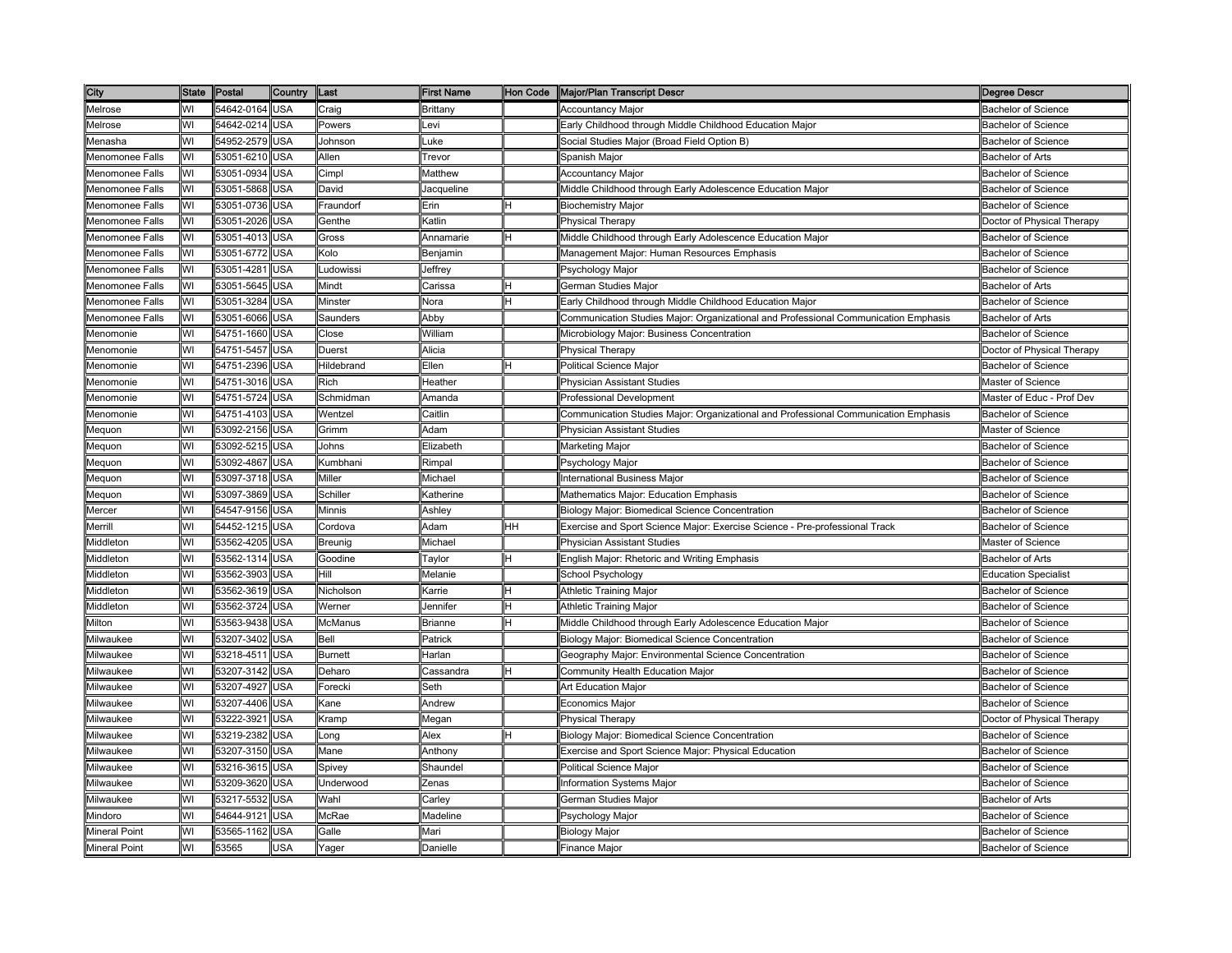| City                   | State Postal |            | Country    | <b>Last</b>    | <b>First Name</b> |    | Hon Code Major/Plan Transcript Descr                                                | <b>Degree Descr</b>         |
|------------------------|--------------|------------|------------|----------------|-------------------|----|-------------------------------------------------------------------------------------|-----------------------------|
| Melrose                | WI           | 54642-0164 | <b>USA</b> | Craig          | Brittany          |    | <b>Accountancy Major</b>                                                            | <b>Bachelor of Science</b>  |
| Melrose                | WI           | 54642-0214 | <b>USA</b> | Powers         | .evi              |    | Early Childhood through Middle Childhood Education Major                            | <b>Bachelor of Science</b>  |
| Menasha                | WI           | 54952-2579 | <b>USA</b> | Johnson        | uke.              |    | Social Studies Major (Broad Field Option B)                                         | <b>Bachelor of Science</b>  |
| Menomonee Falls        | WI           | 53051-6210 | USA        | Allen          | revor             |    | Spanish Major                                                                       | <b>Bachelor of Arts</b>     |
| <b>Menomonee Falls</b> | WI           | 53051-0934 | USA        | Cimpl          | Matthew           |    | <b>Accountancy Major</b>                                                            | <b>Bachelor of Science</b>  |
| Menomonee Falls        | WI           | 53051-5868 | <b>USA</b> | David          | lacqueline        |    | Middle Childhood through Early Adolescence Education Major                          | <b>Bachelor of Science</b>  |
| Menomonee Falls        | WI           | 53051-0736 | <b>USA</b> | Fraundorf      | Erin              |    | <b>Biochemistry Major</b>                                                           | <b>Bachelor of Science</b>  |
| <b>Menomonee Falls</b> | WI           | 53051-2026 | USA        | Genthe         | Katlin            |    | <b>Physical Therapy</b>                                                             | Doctor of Physical Therapy  |
| Menomonee Falls        | WI           | 53051-4013 | <b>USA</b> | Gross          | Annamarie         |    | Middle Childhood through Early Adolescence Education Major                          | <b>Bachelor of Science</b>  |
| <b>Menomonee Falls</b> | W١           | 53051-6772 | <b>USA</b> | Kolo           | 3enjamin          |    | Management Major: Human Resources Emphasis                                          | <b>Bachelor of Science</b>  |
| Menomonee Falls        | WI           | 53051-4281 | <b>USA</b> | Ludowissi      | Jeffrey           |    | <sup>⊃</sup> sychology Major                                                        | <b>Bachelor of Science</b>  |
| Menomonee Falls        | W١           | 53051-5645 | <b>JSA</b> | Mindt          | Carissa           |    | German Studies Major                                                                | <b>Bachelor of Arts</b>     |
| <b>Menomonee Falls</b> | WI           | 53051-3284 | USA        | Minster        | Vora              |    | Early Childhood through Middle Childhood Education Major                            | Bachelor of Science         |
| Menomonee Falls        | WI           | 53051-6066 | USA        | Saunders       | Abby              |    | Communication Studies Major: Organizational and Professional Communication Emphasis | <b>Bachelor of Arts</b>     |
| Menomonie              | WI           | 54751-1660 | <b>USA</b> | Close          | William           |    | Microbiology Major: Business Concentration                                          | <b>Bachelor of Science</b>  |
| Menomonie              | W١           | 54751-5457 | <b>USA</b> | Duerst         | Alicia            |    | <b>Physical Therapy</b>                                                             | Doctor of Physical Therapy  |
| Menomonie              | WI           | 54751-2396 | <b>USA</b> | Hildebrand     | Ellen             |    | Political Science Major                                                             | <b>Bachelor of Science</b>  |
| Menomonie              | WI           | 54751-3016 | <b>USA</b> | Rich           | Heather           |    | Physician Assistant Studies                                                         | Master of Science           |
| Menomonie              | W١           | 54751-5724 | <b>USA</b> | Schmidman      | Amanda            |    | Professional Development                                                            | Master of Educ - Prof Dev   |
| Menomonie              | WI           | 54751-4103 | <b>USA</b> | Wentzel        | Caitlin           |    | Communication Studies Major: Organizational and Professional Communication Emphasis | <b>Bachelor of Science</b>  |
| Mequon                 | WI           | 53092-2156 | <b>JSA</b> | Grimm          | Adam              |    | Physician Assistant Studies                                                         | Master of Science           |
| Mequon                 | WI           | 53092-5215 | <b>USA</b> | Johns          | Elizabeth         |    | Marketing Major                                                                     | <b>Bachelor of Science</b>  |
| Mequon                 | WI           | 53092-4867 | <b>USA</b> | Kumbhani       | Rimpal            |    | Psychology Major                                                                    | <b>Bachelor of Science</b>  |
| Mequon                 | WI           | 53097-3718 | <b>USA</b> | Miller         | Michael           |    | International Business Major                                                        | <b>Bachelor of Science</b>  |
| Mequon                 | W١           | 53097-3869 | <b>USA</b> | Schiller       | <b>Katherine</b>  |    | Mathematics Major: Education Emphasis                                               | <b>Bachelor of Science</b>  |
| Mercer                 | WI           | 54547-9156 | <b>USA</b> | Minnis         | Ashlev            |    | Biology Major: Biomedical Science Concentration                                     | <b>Bachelor of Science</b>  |
| Merrill                | WI           | 54452-1215 | <b>USA</b> | Cordova        | Adam              | HН | Exercise and Sport Science Major: Exercise Science - Pre-professional Track         | <b>Bachelor of Science</b>  |
| Middleton              | WI           | 53562-4205 | <b>USA</b> | Breunig        | Michael           |    | Physician Assistant Studies                                                         | Master of Science           |
| Middleton              | WI           | 53562-1314 | USA        | Goodine        | avlor             |    | English Major: Rhetoric and Writing Emphasis                                        | <b>Bachelor of Arts</b>     |
| Middleton              | WI           | 53562-3903 | <b>USA</b> | Hill           | Melanie           |    | <b>School Psychology</b>                                                            | <b>Education Specialist</b> |
| Middleton              | WI           | 53562-3619 | <b>USA</b> | Nicholson      | <b>Karrie</b>     |    | Athletic Training Major                                                             | <b>Bachelor of Science</b>  |
| Middleton              | WI           | 53562-3724 | <b>USA</b> | Werner         | Jennifer          |    | <b>Athletic Training Major</b>                                                      | <b>Bachelor of Science</b>  |
| Milton                 | WI           | 53563-9438 | <b>USA</b> | McManus        | Brianne           |    | Middle Childhood through Early Adolescence Education Major                          | <b>Bachelor of Science</b>  |
| Milwaukee              | WI           | 53207-3402 | <b>USA</b> | Bell           | Patrick           |    | Biology Major: Biomedical Science Concentration                                     | <b>Bachelor of Science</b>  |
| Milwaukee              | WI           | 53218-4511 | <b>USA</b> | <b>Burnett</b> | Harlan            |    | Geography Major: Environmental Science Concentration                                | <b>Bachelor of Science</b>  |
| Milwaukee              | WI           | 53207-3142 | <b>USA</b> | Deharo         | Cassandra         |    | Community Health Education Major                                                    | <b>Bachelor of Science</b>  |
| Milwaukee              | WI           | 53207-4927 | <b>USA</b> | Forecki        | Seth              |    | Art Education Major                                                                 | <b>Bachelor of Science</b>  |
| Milwaukee              | WI           | 53207-4406 | <b>JSA</b> | Kane           | <b>\ndrew</b>     |    | Economics Major                                                                     | <b>Bachelor of Science</b>  |
| Milwaukee              | WI           | 53222-3921 | USA        | Kramp          | Megan             |    | Physical Therapy                                                                    | Doctor of Physical Therapy  |
| Milwaukee              | WI           | 53219-2382 | USA        | Long           | Alex              |    | Biology Major: Biomedical Science Concentration                                     | <b>Bachelor of Science</b>  |
| Milwaukee              | WI           | 53207-3150 | <b>USA</b> | Mane           | Anthony           |    | Exercise and Sport Science Major: Physical Education                                | <b>Bachelor of Science</b>  |
| Milwaukee              | WI           | 53216-3615 | <b>USA</b> | Spivey         | Shaundel          |    | Political Science Major                                                             | <b>Bachelor of Science</b>  |
| Milwaukee              | WI           | 53209-3620 | <b>USA</b> | Underwood      | Zenas             |    | Information Systems Major                                                           | <b>Bachelor of Science</b>  |
| Milwaukee              | WI           | 53217-5532 | USA        | Wahl           | Carley            |    | German Studies Major                                                                | <b>Bachelor of Arts</b>     |
| Mindoro                | WI           | 54644-9121 | <b>USA</b> | McRae          | Madeline          |    | <sup>⊃</sup> sychology Major                                                        | <b>Bachelor of Science</b>  |
| <b>Mineral Point</b>   | WI           | 53565-1162 | USA        | Galle          | Mari              |    | Biology Major                                                                       | <b>Bachelor of Science</b>  |
| <b>Mineral Point</b>   | WI           | 53565      | <b>JSA</b> | Yager          | Danielle          |    | Finance Major                                                                       | <b>Bachelor of Science</b>  |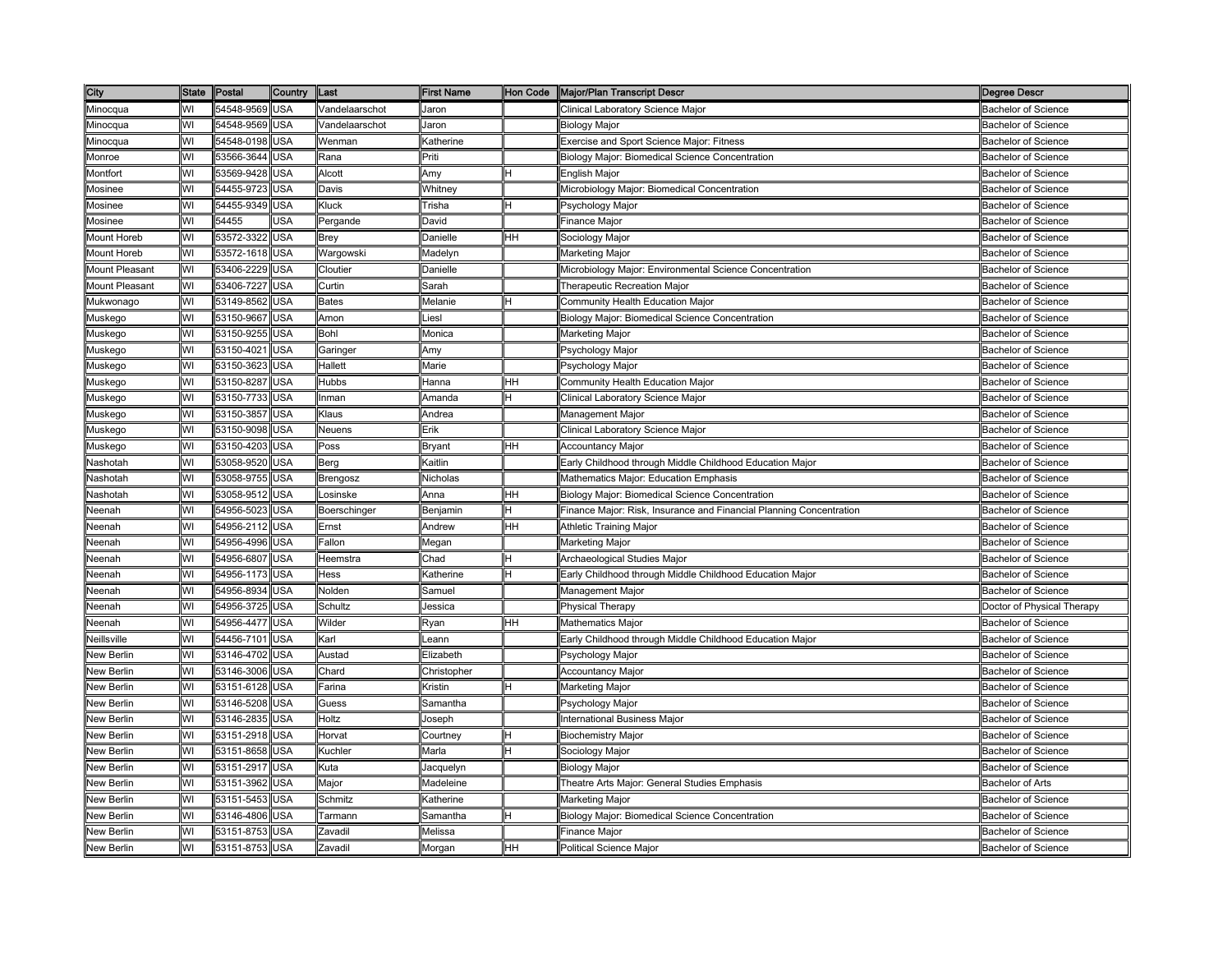| City                  | State Postal |                | Country    | <b>ILast</b>   | <b>First Name</b> |    | Hon Code Major/Plan Transcript Descr                                | <b>Degree Descr</b>        |
|-----------------------|--------------|----------------|------------|----------------|-------------------|----|---------------------------------------------------------------------|----------------------------|
| Minocqua              | WI           | 54548-9569     | <b>USA</b> | Vandelaarschot | Jaron             |    | Clinical Laboratory Science Major                                   | <b>Bachelor of Science</b> |
| Minocqua              | WI           | 54548-9569     | <b>USA</b> | Vandelaarschot | Jaron             |    | Biology Major                                                       | <b>Bachelor of Science</b> |
| Minocqua              | WI           | 54548-0198     | <b>USA</b> | Wenman         | Katherine         |    | <b>Exercise and Sport Science Major: Fitness</b>                    | <b>Bachelor of Science</b> |
| Monroe                | W            | 53566-3644     | <b>JSA</b> | Rana           | Priti             |    | Biology Major: Biomedical Science Concentration                     | Bachelor of Science        |
| Montfort              | WI           | 53569-9428     | USA        | Alcott         | Αmγ               |    | English Major                                                       | <b>Bachelor of Science</b> |
| Mosinee               | WI           | 54455-9723     | USA        | Davis          | Whitney           |    | Microbiology Major: Biomedical Concentration                        | Bachelor of Science        |
| Mosinee               | WI           | 54455-9349     | <b>USA</b> | Kluck          | Trisha            |    | Psychology Major                                                    | <b>Bachelor of Science</b> |
| Mosinee               | WI           | 54455          | USA        | Pergande       | David             |    | Finance Major                                                       | <b>Bachelor of Science</b> |
| Mount Horeb           | WI           | 53572-3322     | <b>USA</b> | <b>Brey</b>    | <b>Danielle</b>   | HН | Sociology Major                                                     | <b>Bachelor of Science</b> |
| Mount Horeb           | WI           | 53572-1618     | <b>USA</b> | Wargowski      | Madelyn           |    | Marketing Major                                                     | <b>Bachelor of Science</b> |
| Mount Pleasant        | WI           | 53406-2229     | <b>USA</b> | Cloutier       | <b>Danielle</b>   |    | Microbiology Major: Environmental Science Concentration             | <b>Bachelor of Science</b> |
| <b>Mount Pleasant</b> | WI           | 53406-7227     | USA        | Curtin         | Sarah             |    | Therapeutic Recreation Major                                        | <b>Bachelor of Science</b> |
| Mukwonago             | WI           | 53149-8562     | USA        | <b>Bates</b>   | Melanie           | H  | Community Health Education Major                                    | Bachelor of Science        |
| Muskego               | WI           | 53150-9667     | USA        | Amon           | iesl.             |    | Biology Major: Biomedical Science Concentration                     | <b>Bachelor of Science</b> |
| Muskego               | WI           | 53150-9255     | <b>USA</b> | Bohl           | Monica            |    | Marketing Major                                                     | <b>Bachelor of Science</b> |
| Muskego               | WI           | 53150-4021     | <b>USA</b> | Garinger       | Amy               |    | Psychology Major                                                    | <b>Bachelor of Science</b> |
| Muskego               | WI           | 53150-3623     | <b>USA</b> | Hallett        | Marie             |    | Psychology Major                                                    | <b>Bachelor of Science</b> |
| Muskego               | WI           | 53150-8287     | <b>USA</b> | <b>Hubbs</b>   | Hanna             | HН | Community Health Education Major                                    | <b>Bachelor of Science</b> |
| Muskego               | W١           | 53150-7733     | <b>USA</b> | Inman          | Amanda            | H  | Clinical Laboratory Science Major                                   | <b>Bachelor of Science</b> |
| Muskego               | WI           | 53150-3857     | <b>USA</b> | Klaus          | Andrea            |    | Management Major                                                    | <b>Bachelor of Science</b> |
| Muskego               | WI           | 53150-9098     | <b>JSA</b> | Neuens         | Erik              |    | Clinical Laboratory Science Major                                   | <b>Bachelor of Science</b> |
| Muskego               | WI           | 53150-4203     | <b>JSA</b> | Poss           | 3ryant            | HН | Accountancy Major                                                   | <b>Bachelor of Science</b> |
| Nashotah              | WI           | 53058-9520     | <b>USA</b> | Berg           | Kaitlin           |    | Early Childhood through Middle Childhood Education Major            | <b>Bachelor of Science</b> |
| Nashotah              | WI           | 53058-9755     | <b>USA</b> | Brengosz       | Nicholas          |    | Mathematics Major: Education Emphasis                               | <b>Bachelor of Science</b> |
| Nashotah              | WI           | 53058-9512     | <b>USA</b> | Losinske       | Anna              | HН | Biology Major: Biomedical Science Concentration                     | <b>Bachelor of Science</b> |
| Neenah                | WI           | 54956-5023     | <b>USA</b> | Boerschinger   | Benjamin          |    | Finance Major: Risk, Insurance and Financial Planning Concentration | <b>Bachelor of Science</b> |
| Neenah                | WI           | 54956-2112     | USA        | Ernst          | Andrew            | ΗH | Athletic Training Major                                             | <b>Bachelor of Science</b> |
| Neenah                | WI           | 54956-4996     | <b>USA</b> | Fallon         | Megan             |    | Marketing Major                                                     | <b>Bachelor of Science</b> |
| Neenah                | WI           | 54956-6807     | USA        | Heemstra       | Chad              |    | Archaeological Studies Major                                        | <b>Bachelor of Science</b> |
| Neenah                | WI           | 54956-1173     | <b>USA</b> | Hess           | Katherine         |    | Early Childhood through Middle Childhood Education Major            | <b>Bachelor of Science</b> |
| Neenah                | WI           | 54956-8934     | <b>USA</b> | Nolden         | Samuel            |    | Management Major                                                    | <b>Bachelor of Science</b> |
| Neenah                | WI           | 54956-3725     | <b>USA</b> | Schultz        | Jessica           |    | Physical Therapy                                                    | Doctor of Physical Therapy |
| Neenah                | WI           | 54956-4477     | <b>USA</b> | Wilder         | २yan              | HН | Mathematics Major                                                   | <b>Bachelor of Science</b> |
| Neillsville           | WI           | 54456-7101 USA |            | Karl           | eann.             |    | Early Childhood through Middle Childhood Education Major            | <b>Bachelor of Science</b> |
| New Berlin            | WI           | 53146-4702     | <b>USA</b> | Austad         | Elizabeth         |    | <sup>⊃</sup> sychology Major                                        | <b>Bachelor of Science</b> |
| <b>New Berlin</b>     | WI           | 53146-3006     | <b>USA</b> | Chard          | Christopher       |    | <b>Accountancy Major</b>                                            | <b>Bachelor of Science</b> |
| New Berlin            | WI           | 53151-6128     | <b>USA</b> | Farina         | Kristin           |    | Marketing Major                                                     | <b>Bachelor of Science</b> |
| New Berlin            | W١           | 53146-5208     | <b>JSA</b> | Guess          | 3amantha          |    | <sup>2</sup> sychology Major                                        | Bachelor of Science        |
| New Berlin            | WI           | 53146-2835     | USA        | Holtz          | loseph            |    | nternational Business Major                                         | <b>Bachelor of Science</b> |
| <b>New Berlin</b>     | WI           | 53151-2918     | <b>USA</b> | Horvat         | Courtney          |    | Biochemistry Major                                                  | <b>Bachelor of Science</b> |
| <b>New Berlin</b>     | WI           | 53151-8658     | <b>USA</b> | Kuchler        | Marla             |    | Sociology Major                                                     | <b>Bachelor of Science</b> |
| New Berlin            | WI           | 53151-2917     | <b>USA</b> | Kuta           | lacquelyn         |    | Biology Major                                                       | Bachelor of Science        |
| New Berlin            | WI           | 53151-3962     | <b>USA</b> | Major          | Madeleine         |    | Theatre Arts Major: General Studies Emphasis                        | <b>Bachelor of Arts</b>    |
| New Berlin            | WI           | 53151-5453     | USA        | Schmitz        | <b>Katherine</b>  |    | Marketing Major                                                     | <b>Bachelor of Science</b> |
| <b>New Berlin</b>     | WI           | 53146-4806     | <b>USA</b> | Tarmann        | Samantha          |    | Biology Major: Biomedical Science Concentration                     | <b>Bachelor of Science</b> |
| <b>New Berlin</b>     | WI           | 53151-8753     | USA        | Zavadil        | Melissa           |    | Finance Major                                                       | <b>Bachelor of Science</b> |
| <b>New Berlin</b>     | WI           | 53151-8753     | <b>USA</b> | Zavadil        | Morgan            | HН | Political Science Maior                                             | <b>Bachelor of Science</b> |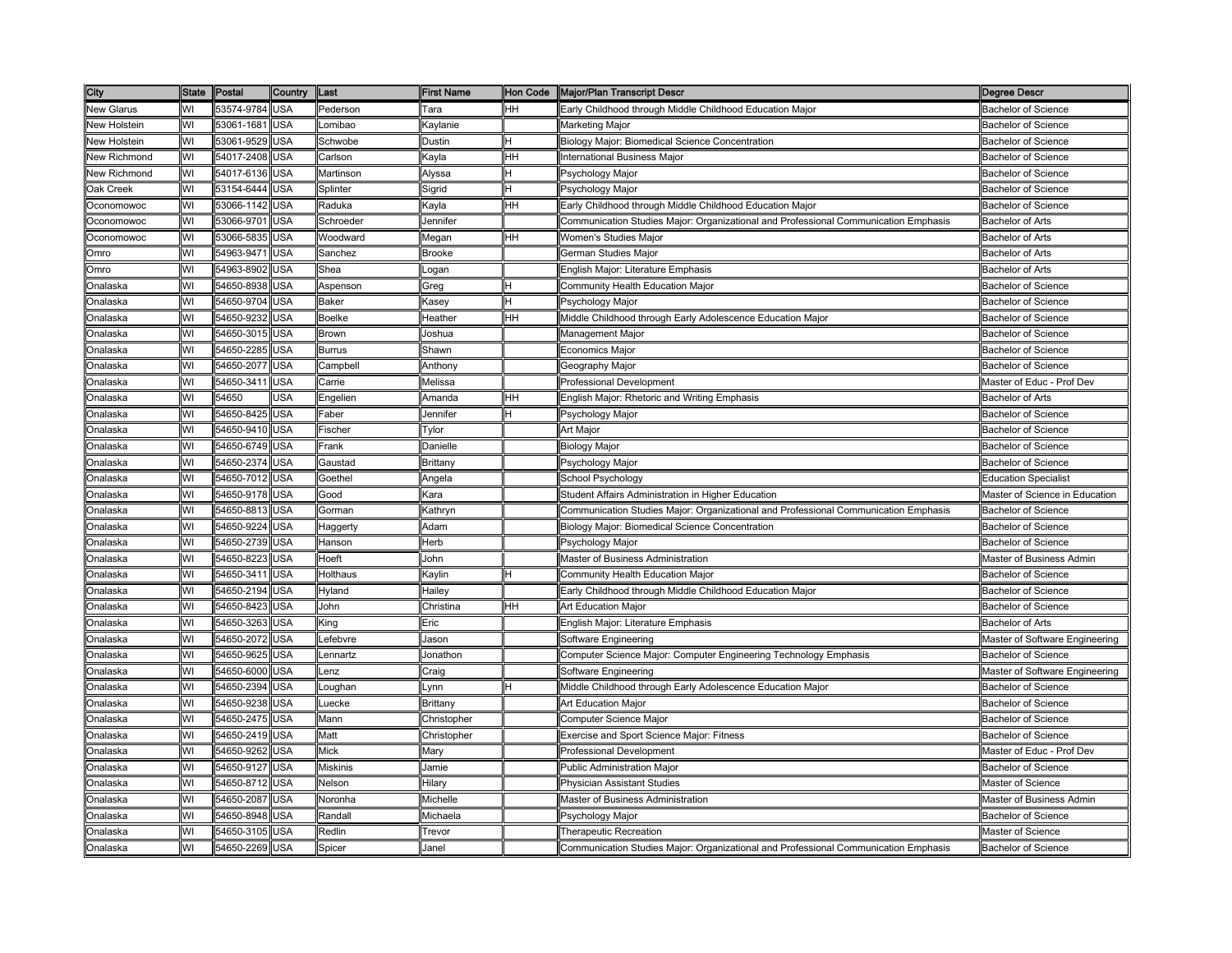| City                |    | State Postal   | <b>Country</b> | Last              | <b>First Name</b> | <b>Hon Code</b> | Major/Plan Transcript Descr                                                         | <b>Degree Descr</b>            |
|---------------------|----|----------------|----------------|-------------------|-------------------|-----------------|-------------------------------------------------------------------------------------|--------------------------------|
| <b>New Glarus</b>   | WI | 53574-9784     | <b>USA</b>     | Pederson          | Tara              | HН              | Early Childhood through Middle Childhood Education Major                            | <b>Bachelor of Science</b>     |
| New Holstein        | WI | 53061-1681     | USA            | _omibao           | Kaylanie          |                 | Marketing Major                                                                     | Bachelor of Science            |
| New Holstein        | WI | 53061-9529     | USA            | Schwobe           | Dustin            |                 | Biology Major: Biomedical Science Concentration                                     | <b>Bachelor of Science</b>     |
| <b>New Richmond</b> | WI | 54017-2408     | <b>JSA</b>     | Carlson           | (ayla             | HН              | nternational Business Maior                                                         | Bachelor of Science            |
| <b>New Richmond</b> | WI | 54017-6136     | USA            | Martinson         | Alyssa            |                 | Psychology Major                                                                    | <b>Bachelor of Science</b>     |
| <b>Jak Creek</b>    | WI | 53154-6444     | USA            | Splinter          | Sigrid            |                 | Psychology Major                                                                    | Bachelor of Science            |
| Oconomowoc          | WI | 53066-1142 USA |                | Raduka            | Kayla             | HH              | Early Childhood through Middle Childhood Education Major                            | <b>Bachelor of Science</b>     |
| Oconomowoc          | WI | 53066-9701     | USA            | Schroeder         | Jennifer          |                 | Communication Studies Major: Organizational and Professional Communication Emphasis | <b>Bachelor of Arts</b>        |
| Oconomowoc          | WI | 53066-5835     | USA            | Woodward          | Megan             | HН              | Women's Studies Major                                                               | <b>Bachelor of Arts</b>        |
| Omro                | WI | 54963-9471     | USA            | Sanchez           | Brooke            |                 | German Studies Major                                                                | Bachelor of Arts               |
| Omro                | WI | 54963-8902     | <b>JSA</b>     | Shea              | _ogan             |                 | English Major: Literature Emphasis                                                  | <b>Bachelor of Arts</b>        |
| Onalaska            | WI | 54650-8938     | JSA            | Aspenson          | Greg              |                 | Community Health Education Major                                                    | Bachelor of Science            |
| <b>Onalaska</b>     | WI | 54650-9704     | USA            | Baker             | ≺asev             |                 | Psychology Major                                                                    | Bachelor of Science            |
| Onalaska            | WI | 54650-9232     | USA            | <b>Boelke</b>     | Heather           | HH              | Middle Childhood through Early Adolescence Education Major                          | <b>Bachelor of Science</b>     |
| Onalaska            | WI | 54650-3015     | USA            | Brown             | Joshua            |                 | Management Major                                                                    | <b>Bachelor of Science</b>     |
| Onalaska            | WI | 54650-2285     | USA            | Burrus            | Shawn             |                 | Economics Major                                                                     | <b>Bachelor of Science</b>     |
| Onalaska            | WI | 54650-2077     | USA            | Campbell          | Anthony           |                 | Geography Major                                                                     | <b>Bachelor of Science</b>     |
| Onalaska            | WI | 54650-3411     | USA            | Carrie            | Melissa           |                 | Professional Development                                                            | Master of Educ - Prof Dev      |
| Onalaska            | WI | 54650          | <b>JSA</b>     | Engelien          | Amanda            | ΗH              | English Major: Rhetoric and Writing Emphasis                                        | Bachelor of Arts               |
| Onalaska            | WI | 54650-8425     | USA            | <sup>=</sup> aber | Jennifer          |                 | Psychology Major                                                                    | <b>Bachelor of Science</b>     |
| Onalaska            | WI | 54650-9410     | USA            | Fischer           | Tylor             |                 | Art Major                                                                           | <b>Bachelor of Science</b>     |
| Onalaska            | WI | 54650-6749     | USA            | Frank             | Danielle          |                 | Biology Major                                                                       | <b>Bachelor of Science</b>     |
| Onalaska            | WI | 54650-2374     | <b>USA</b>     | Gaustad           | Brittany          |                 | Psychology Major                                                                    | Bachelor of Science            |
| Onalaska            | WI | 54650-7012 USA |                | Goethel           | Angela            |                 | School Psychology                                                                   | <b>Education Specialist</b>    |
| Onalaska            | WI | 54650-9178 USA |                | Good              | Kara              |                 | Student Affairs Administration in Higher Education                                  | Master of Science in Education |
| Onalaska            | WI | 54650-8813     | USA            | Gorman            | Kathryn           |                 | Communication Studies Major: Organizational and Professional Communication Emphasis | <b>Bachelor of Science</b>     |
| Onalaska            | WI | 54650-9224     | USA            | Haggerty          | Adam              |                 | Biology Major: Biomedical Science Concentration                                     | <b>Bachelor of Science</b>     |
| Onalaska            | WI | 54650-2739     | <b>JSA</b>     | Hanson            | Herb              |                 | Psychology Major                                                                    | <b>Bachelor of Science</b>     |
| Dnalaska            | WI | 54650-8223     | <b>JSA</b>     | Hoeft             | John              |                 | Master of Business Administration                                                   | Master of Business Admin       |
| <b>Onalaska</b>     | WI | 54650-3411     | USA            | <b>Holthaus</b>   | Kaylin            |                 | Community Health Education Major                                                    | <b>Bachelor of Science</b>     |
| Onalaska            | WI | 54650-2194     | <b>USA</b>     | Hyland            | Hailey            |                 | Early Childhood through Middle Childhood Education Major                            | <b>Bachelor of Science</b>     |
| Onalaska            | WI | 54650-8423     | USA            | John              | Christina         | HH              | Art Education Major                                                                 | <b>Bachelor of Science</b>     |
| Onalaska            | WI | 54650-3263     | USA            | King              | Eric              |                 | English Major: Literature Emphasis                                                  | <b>Bachelor of Arts</b>        |
| Onalaska            | WI | 54650-2072     | USA            | _efebvre          | Jason             |                 | Software Engineering                                                                | Master of Software Engineering |
| Onalaska            | WI | 54650-9625     | USA            | _ennartz          | Jonathon          |                 | Computer Science Major: Computer Engineering Technology Emphasis                    | <b>Bachelor of Science</b>     |
| Dnalaska            | WI | 54650-6000     | <b>JSA</b>     | _enz              | Craig             |                 | Software Engineering                                                                | Master of Software Engineering |
| <b>Onalaska</b>     | WI | 54650-2394     | <b>JSA</b>     | _oughan           | .ynn              |                 | Middle Childhood through Early Adolescence Education Major                          | <b>Bachelor of Science</b>     |
| Onalaska            | WI | 54650-9238     | USA            | _uecke            | Brittany          |                 | Art Education Major                                                                 | <b>Bachelor of Science</b>     |
| Onalaska            | WI | 54650-2475     | USA            | Mann              | Christopher       |                 | Computer Science Major                                                              | <b>Bachelor of Science</b>     |
| Onalaska            | WI | 54650-2419     | USA            | Matt              | Christopher       |                 | Exercise and Sport Science Major: Fitness                                           | <b>Bachelor of Science</b>     |
| Onalaska            | WI | 54650-9262     | USA            | <b>Mick</b>       | Mary              |                 | Professional Development                                                            | Master of Educ - Prof Dev      |
| Onalaska            | WI | 54650-9127     | USA            | <b>Miskinis</b>   | Jamie             |                 | Public Administration Major                                                         | <b>Bachelor of Science</b>     |
| Onalaska            | WI | 54650-8712     | USA            | Nelson            | Hilary            |                 | Physician Assistant Studies                                                         | Master of Science              |
| Onalaska            | WI | 54650-2087     | USA            | Noronha           | Michelle          |                 | Master of Business Administration                                                   | Master of Business Admin       |
| <b>Onalaska</b>     | WI | 54650-8948     | <b>JSA</b>     | Randall           | Michaela          |                 | Psychology Major                                                                    | Bachelor of Science            |
| Onalaska            | W١ | 54650-3105     | USA            | Redlin            | Trevor            |                 | Therapeutic Recreation                                                              | Master of Science              |
| Onalaska            | WI | 54650-2269 USA |                | Spicer            | Janel             |                 | Communication Studies Major: Organizational and Professional Communication Emphasis | <b>Bachelor of Science</b>     |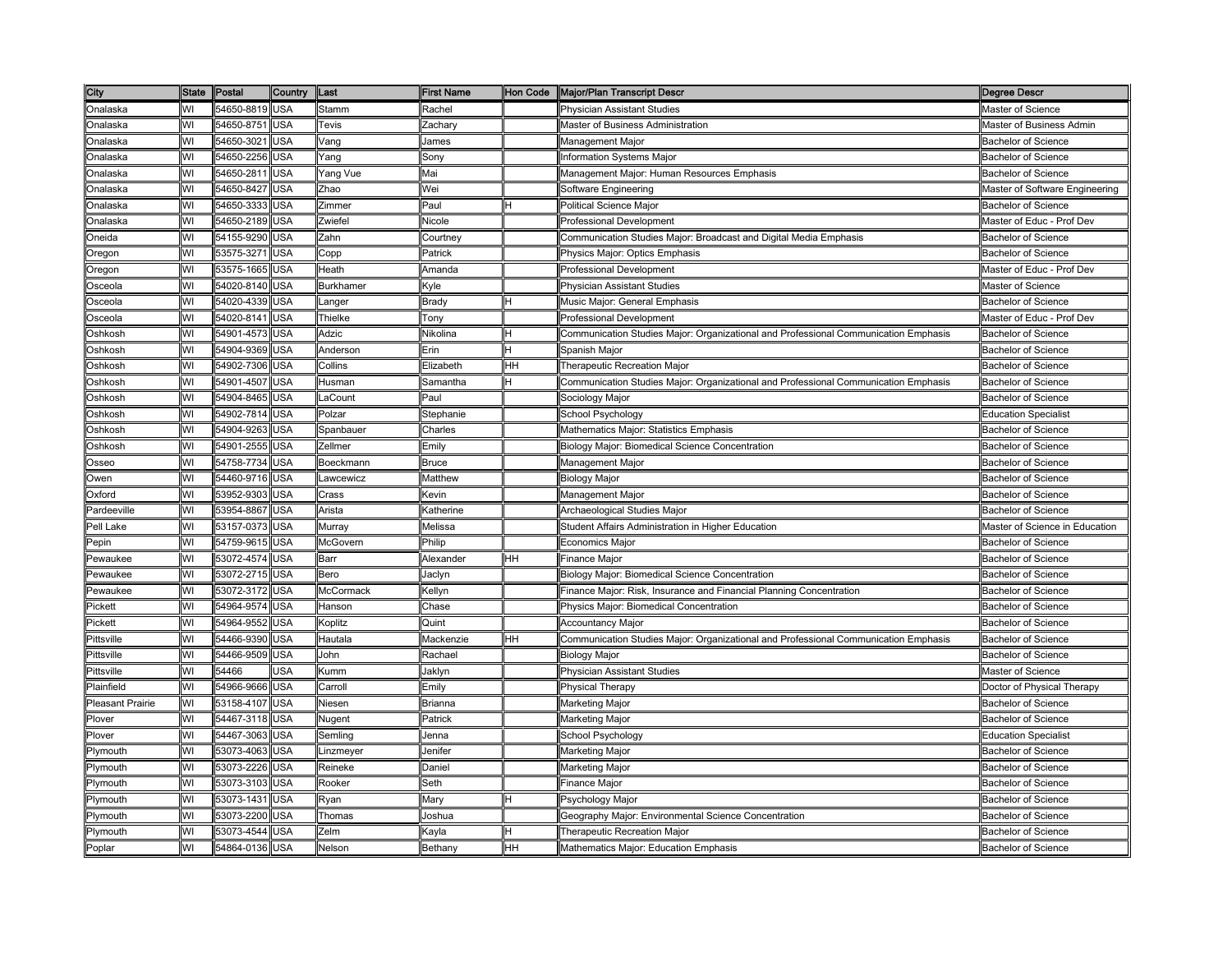| City                 |    | State Postal   | <b>Country</b> | Last                                                                                                      | <b>First Name</b> |           | Hon Code Major/Plan Transcript Descr                                                | <b>Degree Descr</b>            |
|----------------------|----|----------------|----------------|-----------------------------------------------------------------------------------------------------------|-------------------|-----------|-------------------------------------------------------------------------------------|--------------------------------|
| Onalaska             | WI | 54650-8819 USA |                | Stamm                                                                                                     | Rachel            |           | Physician Assistant Studies                                                         | Master of Science              |
| Onalaska             | WI | 54650-8751     | USA            | Tevis                                                                                                     | Zachary           |           | Master of Business Administration                                                   | Master of Business Admin       |
| Onalaska             | WI | 54650-3021     | <b>JSA</b>     | √ang                                                                                                      | James             |           | Management Major                                                                    | <b>Bachelor of Science</b>     |
| )nalaska             | WI | 54650-2256     | <b>JSA</b>     | Yang                                                                                                      | 3onv              |           | nformation Systems Major                                                            | Bachelor of Science            |
| <b>Onalaska</b>      | WI | 54650-2811     | USA            | Yang Vue                                                                                                  | Mai               |           | Management Major: Human Resources Emphasis                                          | Bachelor of Science            |
| Onalaska             | WI | 54650-8427     | USA            | Zhao                                                                                                      | Wei               |           | Software Engineering                                                                | Master of Software Engineering |
| Onalaska             | WI | 54650-3333 USA |                | Zimmer                                                                                                    | Paul              |           | Political Science Major                                                             | <b>Bachelor of Science</b>     |
| Onalaska             | WI | 54650-2189     | USA            | Zwiefel                                                                                                   | Nicole            |           | Professional Development                                                            | Master of Educ - Prof Dev      |
| Oneida               | WI | 54155-9290     | <b>USA</b>     | Zahn                                                                                                      | Courtney          |           | Communication Studies Major: Broadcast and Digital Media Emphasis                   | <b>Bachelor of Science</b>     |
| Oregon               | WI | 53575-3271     | USA            | Copp                                                                                                      | Patrick           |           | Physics Major: Optics Emphasis                                                      | Bachelor of Science            |
| Oregon               | WI | 53575-1665     | USA            | Heath                                                                                                     | Amanda            |           | Professional Development                                                            | Master of Educ - Prof Dev      |
| Osceola              | WI | 54020-8140     | JSA            | Burkhamer                                                                                                 | (yle              |           | Physician Assistant Studies                                                         | Master of Science              |
| )sceola              | WI | 54020-4339     | <b>JSA</b>     | _anger                                                                                                    | Bradv             |           | Music Major: General Emphasis                                                       | Bachelor of Science            |
| Osceola              | WI | 54020-8141     | USA            | Thielke                                                                                                   | Tony              |           | Professional Development                                                            | Master of Educ - Prof Dev      |
| Oshkosh              | WI | 54901-4573     | <b>USA</b>     | Adzic                                                                                                     | Nikolina          |           | Communication Studies Major: Organizational and Professional Communication Emphasis | <b>Bachelor of Science</b>     |
| Oshkosh              | WI | 54904-9369     | USA            | Anderson                                                                                                  | Erin              |           | Spanish Major                                                                       | <b>Bachelor of Science</b>     |
| Oshkosh              | WI | 54902-7306     | USA            | Collins                                                                                                   | Elizabeth         | HН        | Therapeutic Recreation Major                                                        | <b>Bachelor of Science</b>     |
| Oshkosh              | WI | 54901-4507     | USA            | Husman                                                                                                    | Samantha          |           | Communication Studies Major: Organizational and Professional Communication Emphasis | <b>Bachelor of Science</b>     |
| Oshkosh              | WI | 54904-8465     | USA            | _aCount                                                                                                   | Paul              |           | Sociology Major                                                                     | <b>Bachelor of Science</b>     |
| Oshkosh              | WI | 54902-7814     | <b>JSA</b>     | Polzar                                                                                                    | Stephanie         |           | School Psychology                                                                   | Education Specialist           |
| Oshkosh              | WI | 54904-9263     | USA            | Spanbauer                                                                                                 | Charles           |           | Mathematics Major: Statistics Emphasis                                              | <b>Bachelor of Science</b>     |
| <b>Oshkosh</b>       | WI | 54901-2555     | USA            | Zellmer                                                                                                   | Emily             |           | Biology Major: Biomedical Science Concentration                                     | <b>Bachelor of Science</b>     |
| Osseo                | WI | 54758-7734     | <b>USA</b>     | Boeckmann                                                                                                 | <b>Bruce</b>      |           | Management Major                                                                    | Bachelor of Science            |
| Owen                 | WI | 54460-9716     | <b>USA</b>     | _awcewicz                                                                                                 | Matthew           |           | Biology Major                                                                       | Bachelor of Science            |
| Oxford               | WI | 53952-9303     | <b>USA</b>     | Crass                                                                                                     | Kevin             |           | Management Major                                                                    | Bachelor of Science            |
| Pardeeville          | WI | 53954-8867     | USA            | Arista                                                                                                    | Katherine         |           | Archaeological Studies Major                                                        | <b>Bachelor of Science</b>     |
| Pell Lake            | WI | 53157-0373     | <b>USA</b>     | Murray                                                                                                    | Melissa           |           | Student Affairs Administration in Higher Education                                  | Master of Science in Education |
| epin?                | WI | 54759-9615     | <b>JSA</b>     | McGovern                                                                                                  | Philip            |           | Economics Major                                                                     | Bachelor of Science            |
| <sup>9</sup> ewaukee | WI | 53072-4574     | <b>JSA</b>     | Barr                                                                                                      | Alexander         | HН        | Finance Major                                                                       | <b>Bachelor of Science</b>     |
| Pewaukee             | WI | 53072-2715     | USA            | Bero                                                                                                      | Jaclyn            |           | Biology Major: Biomedical Science Concentration                                     | <b>Bachelor of Science</b>     |
| Pewaukee             | WI | 53072-3172     | <b>USA</b>     | <b>McCormack</b>                                                                                          | Kellyn            |           | Finance Major: Risk, Insurance and Financial Planning Concentration                 | <b>Bachelor of Science</b>     |
| Pickett              | WI | 54964-9574     | <b>USA</b>     | Hanson                                                                                                    | Chase             |           | Physics Major: Biomedical Concentration                                             | <b>Bachelor of Science</b>     |
| Pickett              | WI | 54964-9552     | USA            | Koplitz                                                                                                   | Quint             |           | <b>Accountancy Major</b>                                                            | Bachelor of Science            |
| Pittsville           | WI | 54466-9390     | USA            | Hautala                                                                                                   | Mackenzie         | HН        | Communication Studies Major: Organizational and Professional Communication Emphasis | <b>Bachelor of Science</b>     |
| <b>Pittsville</b>    | WI | 54466-9509     | USA            | John                                                                                                      | Rachael           |           | <b>Biology Major</b>                                                                | <b>Bachelor of Science</b>     |
| Pittsville           | WI | 54466          | <b>JSA</b>     | <umm< td=""><td>Jaklyn</td><td></td><td>Physician Assistant Studies</td><td>Master of Science</td></umm<> | Jaklyn            |           | Physician Assistant Studies                                                         | Master of Science              |
| Plainfield           | WI | 54966-9666     | <b>JSA</b>     | Carroll                                                                                                   | Emilv             |           | Physical Therapy                                                                    | Doctor of Physical Therapy     |
| Pleasant Prairie     | WI | 53158-4107     | USA            | Niesen                                                                                                    | 3rianna           |           | Marketing Major                                                                     | Bachelor of Science            |
| Plover               | WI | 54467-3118     | <b>USA</b>     | Nugent                                                                                                    | Patrick           |           | <b>Marketing Major</b>                                                              | <b>Bachelor of Science</b>     |
| Plover               | WI | 54467-3063     | USA            | Semling                                                                                                   | Jenna             |           | School Psychology                                                                   | Education Specialist           |
| Plymouth             | WI | 53073-4063     | <b>USA</b>     | _inzmeyer                                                                                                 | Jenifer           |           | Marketing Major                                                                     | <b>Bachelor of Science</b>     |
| Plymouth             | WI | 53073-2226     | USA            | Reineke                                                                                                   | Daniel            |           | Marketing Major                                                                     | Bachelor of Science            |
| Plymouth             | WI | 53073-3103     | USA            | Rooker                                                                                                    | Seth              |           | Finance Major                                                                       | <b>Bachelor of Science</b>     |
| Plymouth             | WI | 53073-1431     | USA            | Ryan                                                                                                      | Mary              |           | <sup>⊃</sup> sychology Major                                                        | <b>Bachelor of Science</b>     |
| Plymouth             | WI | 53073-2200     | USA            | Thomas                                                                                                    | loshua            |           | Geography Major: Environmental Science Concentration                                | Bachelor of Science            |
| Plymouth             | WI | 53073-4544     | USA            | Zelm                                                                                                      | Kayla             |           | Therapeutic Recreation Major                                                        | Bachelor of Science            |
| Poplar               | WI | 54864-0136 USA |                | Nelson                                                                                                    | Bethany           | <b>HH</b> | Mathematics Major: Education Emphasis                                               | Bachelor of Science            |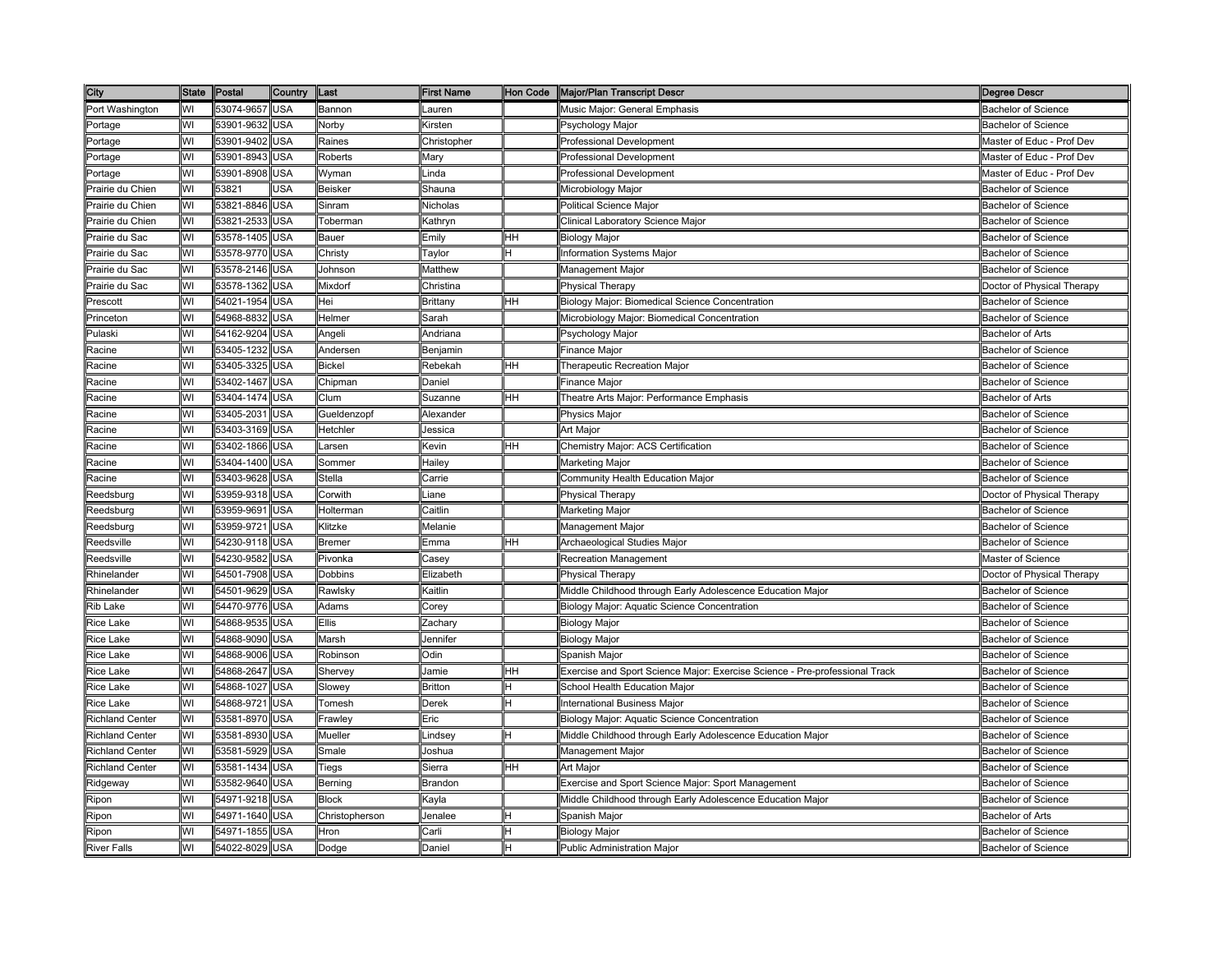| City                   | State Postal |                | Country    | Last           | <b>First Name</b>                                                                                                                    |    | Hon Code Major/Plan Transcript Descr                                        | <b>Degree Descr</b>        |
|------------------------|--------------|----------------|------------|----------------|--------------------------------------------------------------------------------------------------------------------------------------|----|-----------------------------------------------------------------------------|----------------------------|
| Port Washington        | WI           | 53074-9657     | <b>USA</b> | Bannon         | auren                                                                                                                                |    | Music Major: General Emphasis                                               | Bachelor of Science        |
| Portage                | WI           | 53901-9632     | <b>USA</b> | Norby          | Kirsten                                                                                                                              |    | <sup>2</sup> sychology Major                                                | <b>Bachelor of Science</b> |
| Portage                | WI           | 53901-9402     | USA        | Raines         | Christopher                                                                                                                          |    | Professional Development                                                    | Master of Educ - Prof Dev  |
| Portage                | WI           | 53901-8943     | <b>JSA</b> | Roberts        | Mary                                                                                                                                 |    | Professional Development                                                    | Master of Educ - Prof Dev  |
| Portage                | WI           | 53901-8908     | <b>USA</b> | Wyman          | .inda                                                                                                                                |    | Professional Development                                                    | Master of Educ - Prof Dev  |
| Prairie du Chien       | WI           | 53821          | JSA        | <b>Beisker</b> | Shauna                                                                                                                               |    | Microbiology Major                                                          | <b>Bachelor of Science</b> |
| Prairie du Chien       | WI           | 53821-8846     | <b>USA</b> | Sinram         | Nicholas                                                                                                                             |    | Political Science Major                                                     | <b>Bachelor of Science</b> |
| Prairie du Chien       | WI           | 53821-2533     | <b>USA</b> | Toberman       | <b>Kathryn</b>                                                                                                                       |    | Clinical Laboratory Science Major                                           | <b>Bachelor of Science</b> |
| Prairie du Sac         | WI           | 53578-1405     | <b>USA</b> | Bauer          | Emily                                                                                                                                | HН | Biology Major                                                               | <b>Bachelor of Science</b> |
| Prairie du Sac         | WI           | 53578-9770     | <b>USA</b> | Christy        | Taylor                                                                                                                               |    | Information Systems Major                                                   | <b>Bachelor of Science</b> |
| Prairie du Sac         | WI           | 53578-2146     | <b>USA</b> | Johnson        | Matthew                                                                                                                              |    | Management Major                                                            | <b>Bachelor of Science</b> |
| Prairie du Sac         | WI           | 53578-1362     | USA        | Mixdorf        | Christina                                                                                                                            |    | Physical Therapy                                                            | Doctor of Physical Therapy |
| Prescott               | WI           | 54021-1954     | <b>USA</b> | Hei            | Brittany                                                                                                                             | HН | Biology Major: Biomedical Science Concentration                             | <b>Bachelor of Science</b> |
| Princeton              | WI           | 54968-8832     | <b>USA</b> | Helmer         | Sarah                                                                                                                                |    | Microbiology Major: Biomedical Concentration                                | <b>Bachelor of Science</b> |
| Pulaski                | WI           | 54162-9204     | <b>USA</b> | Angeli         | Andriana                                                                                                                             |    | Psychology Major                                                            | <b>Bachelor of Arts</b>    |
| Racine                 | WI           | 53405-1232     | <b>USA</b> | Andersen       | Benjamin                                                                                                                             |    | Finance Major                                                               | <b>Bachelor of Science</b> |
| Racine                 | WI           | 53405-3325     | <b>USA</b> | <b>Bickel</b>  | Rebekah                                                                                                                              | HН | Therapeutic Recreation Major                                                | <b>Bachelor of Science</b> |
| Racine                 | WI           | 53402-1467     | <b>USA</b> | Chipman        | Daniel                                                                                                                               |    | Finance Major                                                               | <b>Bachelor of Science</b> |
| Racine                 | WI           | 53404-1474     | <b>USA</b> | Clum           | Suzanne                                                                                                                              | HН | Theatre Arts Major: Performance Emphasis                                    | <b>Bachelor of Arts</b>    |
| Racine                 | WI           | 53405-2031     | <b>USA</b> | Gueldenzopf    | Alexander                                                                                                                            |    | <sup>o</sup> hysics Major                                                   | <b>Bachelor of Science</b> |
| Racine                 | WI           | 53403-3169     | <b>USA</b> | Hetchler       | lessica                                                                                                                              |    | Art Major                                                                   | <b>Bachelor of Science</b> |
| Racine                 | WI           | 53402-1866     | <b>USA</b> | Larsen         | Kevin                                                                                                                                | ΗH | Chemistry Major: ACS Certification                                          | <b>Bachelor of Science</b> |
| Racine                 | WI           | 53404-1400     | <b>USA</b> | Sommer         | Hailey                                                                                                                               |    | Marketing Major                                                             | Bachelor of Science        |
| Racine                 | WI           | 53403-9628     | <b>USA</b> | Stella         | Carrie                                                                                                                               |    | Community Health Education Major                                            | <b>Bachelor of Science</b> |
| Reedsburg              | WI           | 53959-9318     | <b>USA</b> | Corwith        | .iane                                                                                                                                |    | Physical Therapy                                                            | Doctor of Physical Therapy |
| Reedsburg              | WI           | 53959-9691     | <b>USA</b> | Holterman      | Caitlin                                                                                                                              |    | Marketing Major                                                             | <b>Bachelor of Science</b> |
| Reedsburg              | WI           | 53959-9721     | <b>USA</b> | Klitzke        | Melanie                                                                                                                              |    | Management Major                                                            | <b>Bachelor of Science</b> |
| Reedsville             | WI           | 54230-9118     | USA        | <b>Bremer</b>  | Emma                                                                                                                                 | HН | Archaeological Studies Major                                                | <b>Bachelor of Science</b> |
| Reedsville             | WI           | 54230-9582     | USA        | Pivonka        | case v                                                                                                                               |    | Recreation Management                                                       | Master of Science          |
| Rhinelander            | WI           | 54501-7908     | <b>USA</b> | Dobbins        | Elizabeth                                                                                                                            |    | Physical Therapy                                                            | Doctor of Physical Therapy |
| Rhinelander            | WI           | 54501-9629     | <b>USA</b> | Rawlsky        | Kaitlin                                                                                                                              |    | Middle Childhood through Early Adolescence Education Major                  | <b>Bachelor of Science</b> |
| Rib Lake               | WI           | 54470-9776     | <b>USA</b> | Adams          | Corey                                                                                                                                |    | Biology Major: Aquatic Science Concentration                                | <b>Bachelor of Science</b> |
| <b>Rice Lake</b>       | WI           | 54868-9535     | USA        | <b>Ellis</b>   | Zachary                                                                                                                              |    | Biology Major                                                               | <b>Bachelor of Science</b> |
| <b>Rice Lake</b>       | WI           | 54868-9090     | <b>USA</b> | Marsh          | Jennifer                                                                                                                             |    | <b>Biology Major</b>                                                        | <b>Bachelor of Science</b> |
| <b>Rice Lake</b>       | WI           | 54868-9006     | <b>USA</b> | Robinson       | Odin                                                                                                                                 |    | Spanish Major                                                               | <b>Bachelor of Science</b> |
| Rice Lake              | WI           | 54868-2647     | USA        | Shervey        | lamie                                                                                                                                | HН | Exercise and Sport Science Major: Exercise Science - Pre-professional Track | <b>Bachelor of Science</b> |
| <b>Rice Lake</b>       | WI           | 54868-1027     | <b>USA</b> | Slowey         | Britton                                                                                                                              |    | School Health Education Major                                               | <b>Bachelor of Science</b> |
| Rice Lake              | WI           | 54868-9721     | <b>USA</b> | Tomesh         | Derek                                                                                                                                |    | International Business Major                                                | <b>Bachelor of Science</b> |
| <b>Richland Center</b> | WI           | 53581-8970     | <b>USA</b> | Frawley        | Eric                                                                                                                                 |    | Biology Major: Aquatic Science Concentration                                | <b>Bachelor of Science</b> |
| <b>Richland Center</b> | WI           | 53581-8930     | <b>USA</b> | Mueller        | .indsey                                                                                                                              |    | Middle Childhood through Early Adolescence Education Major                  | <b>Bachelor of Science</b> |
| <b>Richland Center</b> | WI           | 53581-5929     | <b>USA</b> | Smale          | Joshua                                                                                                                               |    | Management Major                                                            | <b>Bachelor of Science</b> |
| <b>Richland Center</b> | WI           | 53581-1434     | <b>USA</b> | Tiegs          | Sierra                                                                                                                               | HН | Art Major                                                                   | <b>Bachelor of Science</b> |
| Ridgeway               | WI           | 53582-9640     | <b>USA</b> | Berning        | Brandon                                                                                                                              |    | Exercise and Sport Science Major: Sport Management                          | <b>Bachelor of Science</b> |
| Ripon                  | WI           | 54971-9218     | <b>USA</b> | <b>Block</b>   | <avla< td=""><td></td><td>Middle Childhood through Early Adolescence Education Major</td><td><b>Bachelor of Science</b></td></avla<> |    | Middle Childhood through Early Adolescence Education Major                  | <b>Bachelor of Science</b> |
| Ripon                  | WI           | 54971-1640     | USA        | Christopherson | lenalee                                                                                                                              |    | Spanish Major                                                               | <b>Bachelor of Arts</b>    |
| Ripon                  | WI           | 54971-1855     | <b>USA</b> | Hron           | `arli                                                                                                                                |    | <b>Biology Major</b>                                                        | <b>Bachelor of Science</b> |
| <b>River Falls</b>     | WI           | 54022-8029 USA |            | Dodge          | <b>Daniel</b>                                                                                                                        | H  | Public Administration Major                                                 | <b>Bachelor of Science</b> |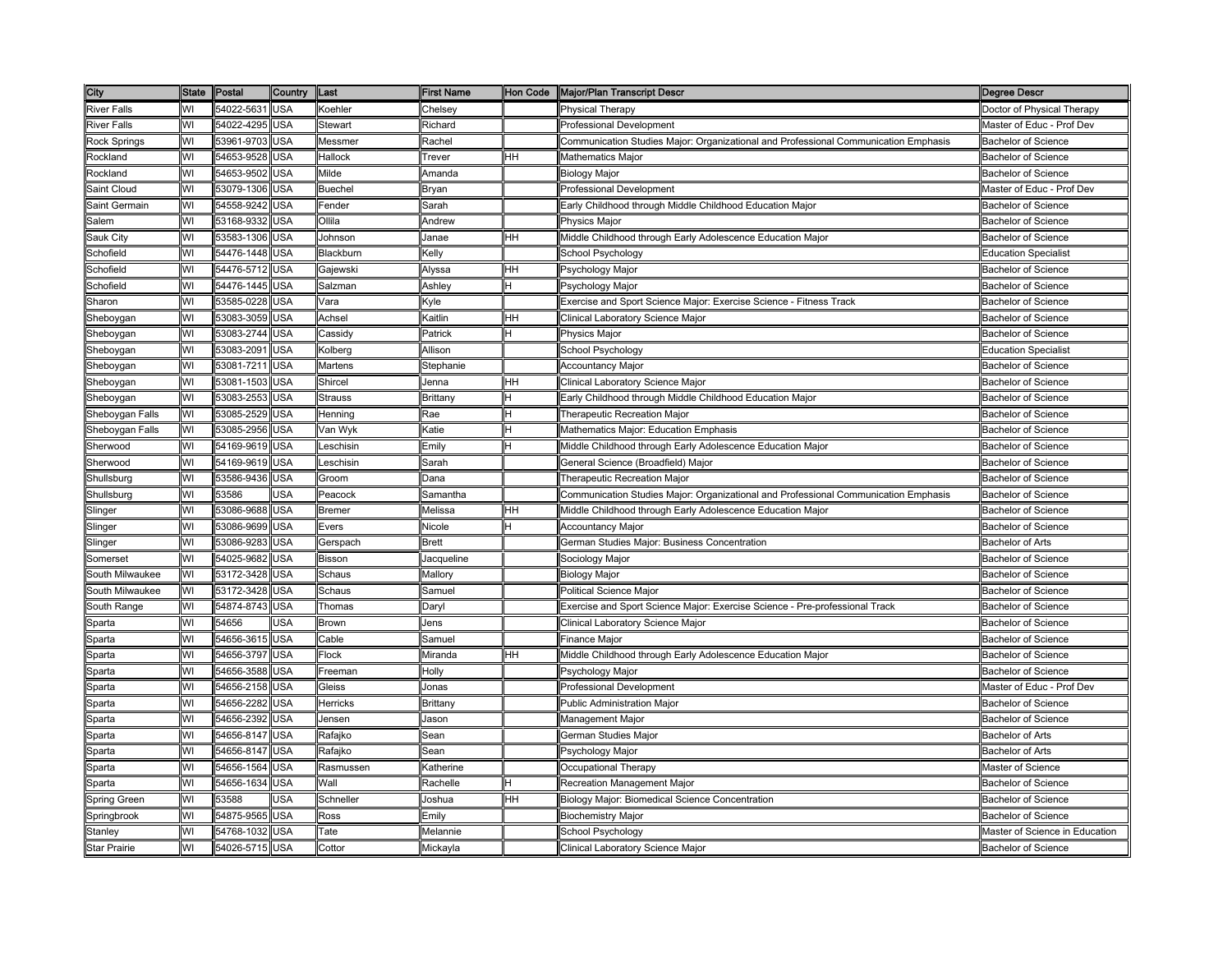| City                |    | State Postal   | <b>Country</b> | Last           | <b>First Name</b>                                                                                                                          |     | Hon Code Major/Plan Transcript Descr                                                | <b>Degree Descr</b>            |
|---------------------|----|----------------|----------------|----------------|--------------------------------------------------------------------------------------------------------------------------------------------|-----|-------------------------------------------------------------------------------------|--------------------------------|
| <b>River Falls</b>  | WI | 54022-5631     | <b>USA</b>     | Koehler        | Chelsey                                                                                                                                    |     | <b>Physical Therapy</b>                                                             | Doctor of Physical Therapy     |
| <b>River Falls</b>  | WI | 54022-4295     | USA            | Stewart        | Richard                                                                                                                                    |     | Professional Development                                                            | Master of Educ - Prof Dev      |
| Rock Springs        | WI | 53961-9703     | USA            | Messmer        | Rachel                                                                                                                                     |     | Communication Studies Major: Organizational and Professional Communication Emphasis | <b>Bachelor of Science</b>     |
| Rockland            | WI | 54653-9528     | <b>JSA</b>     | Hallock        | Trever                                                                                                                                     | HН  | Mathematics Major                                                                   | <b>Bachelor of Science</b>     |
| Rockland            | WI | 54653-9502     | <b>JSA</b>     | Milde          | Amanda                                                                                                                                     |     | <b>Biology Major</b>                                                                | <b>Bachelor of Science</b>     |
| Saint Cloud         | WI | 53079-1306     | USA            | <b>Buechel</b> | Bryan                                                                                                                                      |     | Professional Development                                                            | Master of Educ - Prof Dev      |
| Saint Germain       | WI | 54558-9242 USA |                | Fender         | Sarah                                                                                                                                      |     | Early Childhood through Middle Childhood Education Major                            | <b>Bachelor of Science</b>     |
| Salem               | WI | 53168-9332     | <b>USA</b>     | Ollila         | Andrew                                                                                                                                     |     | <b>Physics Major</b>                                                                | <b>Bachelor of Science</b>     |
| Sauk City           | WI | 53583-1306     | <b>USA</b>     | Johnson        | Janae                                                                                                                                      | HН  | Middle Childhood through Early Adolescence Education Major                          | <b>Bachelor of Science</b>     |
| Schofield           | WI | 54476-1448     | USA            | Blackburn      | Kelly                                                                                                                                      |     | School Psychology                                                                   | <b>Education Specialist</b>    |
| Schofield           | WI | 54476-5712     | USA            | Gajewski       | Alyssa                                                                                                                                     | HН  | Psychology Major                                                                    | <b>Bachelor of Science</b>     |
| Schofield           | WI | 54476-1445     | USA            | Salzman        | Ashley                                                                                                                                     |     | Psychology Major                                                                    | <b>Bachelor of Science</b>     |
| Sharon              | WI | 53585-0228     | USA            | Vara           | <yle< td=""><td></td><td>Exercise and Sport Science Major: Exercise Science - Fitness Track</td><td><b>Bachelor of Science</b></td></yle<> |     | Exercise and Sport Science Major: Exercise Science - Fitness Track                  | <b>Bachelor of Science</b>     |
| Sheboygan           | WI | 53083-3059     | USA            | Achsel         | Kaitlin                                                                                                                                    | HH. | Clinical Laboratory Science Major                                                   | <b>Bachelor of Science</b>     |
| Sheboygan           | WI | 53083-2744     | <b>USA</b>     | Cassidy        | Patrick                                                                                                                                    |     | Physics Major                                                                       | <b>Bachelor of Science</b>     |
| Sheboygan           | WI | 53083-2091     | USA            | Kolberg        | Allison                                                                                                                                    |     | School Psychology                                                                   | <b>Education Specialist</b>    |
| Sheboygan           | WI | 53081-7211     | USA            | <b>Martens</b> | Stephanie                                                                                                                                  |     | Accountancy Major                                                                   | <b>Bachelor of Science</b>     |
| Sheboygan           | WI | 53081-1503     | USA            | Shircel        | Jenna                                                                                                                                      | HH. | Clinical Laboratory Science Major                                                   | Bachelor of Science            |
| Sheboygan           | WI | 53083-2553     | <b>USA</b>     | <b>Strauss</b> | Brittany                                                                                                                                   |     | Early Childhood through Middle Childhood Education Major                            | <b>Bachelor of Science</b>     |
| Sheboygan Falls     | WI | 53085-2529     | USA            | Henning        | Rae                                                                                                                                        |     | Therapeutic Recreation Major                                                        | <b>Bachelor of Science</b>     |
| Sheboygan Falls     | WI | 53085-2956     | <b>JSA</b>     | √an Wyk        | Katie                                                                                                                                      |     | Mathematics Major: Education Emphasis                                               | Bachelor of Science            |
| Sherwood            | WI | 54169-9619     | <b>JSA</b>     | _eschisin      | Emilv                                                                                                                                      |     | Middle Childhood through Early Adolescence Education Major                          | Bachelor of Science            |
| Sherwood            | WI | 54169-9619     | USA            | _eschisin      | Sarah                                                                                                                                      |     | General Science (Broadfield) Major                                                  | <b>Bachelor of Science</b>     |
| Shullsburg          | WI | 53586-9436     | USA            | Groom          | Dana                                                                                                                                       |     | Therapeutic Recreation Major                                                        | <b>Bachelor of Science</b>     |
| Shullsburg          | WI | 53586          | <b>JSA</b>     | Peacock        | Samantha                                                                                                                                   |     | Communication Studies Major: Organizational and Professional Communication Emphasis | <b>Bachelor of Science</b>     |
| Slinger             | WI | 53086-9688     | <b>USA</b>     | <b>Bremer</b>  | Melissa                                                                                                                                    | HH  | Middle Childhood through Early Adolescence Education Major                          | <b>Bachelor of Science</b>     |
| Slinger             | WI | 53086-9699     | USA            | Evers          | Nicole                                                                                                                                     |     | <b>Accountancy Major</b>                                                            | <b>Bachelor of Science</b>     |
| Slinger             | WI | 53086-9283     | USA            | Gerspach       | <b>Brett</b>                                                                                                                               |     | German Studies Major: Business Concentration                                        | <b>Bachelor of Arts</b>        |
| Somerset            | WI | 54025-9682     | <b>JSA</b>     | Bisson         | Jacqueline                                                                                                                                 |     | Sociology Major                                                                     | Bachelor of Science            |
| South Milwaukee     | WI | 53172-3428     | USA            | Schaus         | Mallory                                                                                                                                    |     | <b>Biology Major</b>                                                                | <b>Bachelor of Science</b>     |
| South Milwaukee     | WI | 53172-3428     | USA            | Schaus         | Samuel                                                                                                                                     |     | Political Science Major                                                             | <b>Bachelor of Science</b>     |
| South Range         | WI | 54874-8743     | <b>USA</b>     | Thomas         | Daryl                                                                                                                                      |     | Exercise and Sport Science Major: Exercise Science - Pre-professional Track         | Bachelor of Science            |
| Sparta              | WI | 54656          | JSA            | <b>Brown</b>   | Jens                                                                                                                                       |     | Clinical Laboratory Science Major                                                   | <b>Bachelor of Science</b>     |
| Sparta              | WI | 54656-3615 USA |                | Cable          | Samuel                                                                                                                                     |     | Finance Major                                                                       | <b>Bachelor of Science</b>     |
| Sparta              | WI | 54656-3797     | USA            | Flock          | Miranda                                                                                                                                    | HH  | Middle Childhood through Early Adolescence Education Major                          | <b>Bachelor of Science</b>     |
| Sparta              | WI | 54656-3588     | USA            | Freeman        | Holly                                                                                                                                      |     | Psychology Major                                                                    | Bachelor of Science            |
| Sparta              | WI | 54656-2158     | USA            | Gleiss         | Jonas                                                                                                                                      |     | <b>Professional Development</b>                                                     | Master of Educ - Prof Dev      |
| Sparta              | WI | 54656-2282     | JSA            | Herricks       | Brittany                                                                                                                                   |     | Public Administration Major                                                         | Bachelor of Science            |
| Sparta              | WI | 54656-2392     | <b>JSA</b>     | Jensen         | Jason                                                                                                                                      |     | Management Major                                                                    | <b>Bachelor of Science</b>     |
| Sparta              | WI | 54656-8147     | USA            | Rafajko        | Sean                                                                                                                                       |     | German Studies Major                                                                | <b>Bachelor of Arts</b>        |
| Sparta              | WI | 54656-8147     | USA            | Rafajko        | Sean                                                                                                                                       |     | Psychology Major                                                                    | <b>Bachelor of Arts</b>        |
| Sparta              | WI | 54656-1564     | <b>USA</b>     | Rasmussen      | ≺atherine                                                                                                                                  |     | Occupational Therapy                                                                | Master of Science              |
| Sparta              | WI | 54656-1634     | USA            | Wall           | Rachelle                                                                                                                                   |     | Recreation Management Major                                                         | <b>Bachelor of Science</b>     |
| Spring Green        | WI | 53588          | <b>JSA</b>     | Schneller      | Joshua                                                                                                                                     | HH  | Biology Major: Biomedical Science Concentration                                     | <b>Bachelor of Science</b>     |
| Springbrook         | WI | 54875-9565     | USA            | Ross           | Emily                                                                                                                                      |     | <b>Biochemistry Major</b>                                                           | <b>Bachelor of Science</b>     |
| Stanley             | WI | 54768-1032     | USA            | Tate           | Melannie                                                                                                                                   |     | School Psychology                                                                   | Master of Science in Education |
| <b>Star Prairie</b> | WI | 54026-5715 USA |                | Cottor         | Mickavla                                                                                                                                   |     | Clinical Laboratory Science Major                                                   | <b>Bachelor of Science</b>     |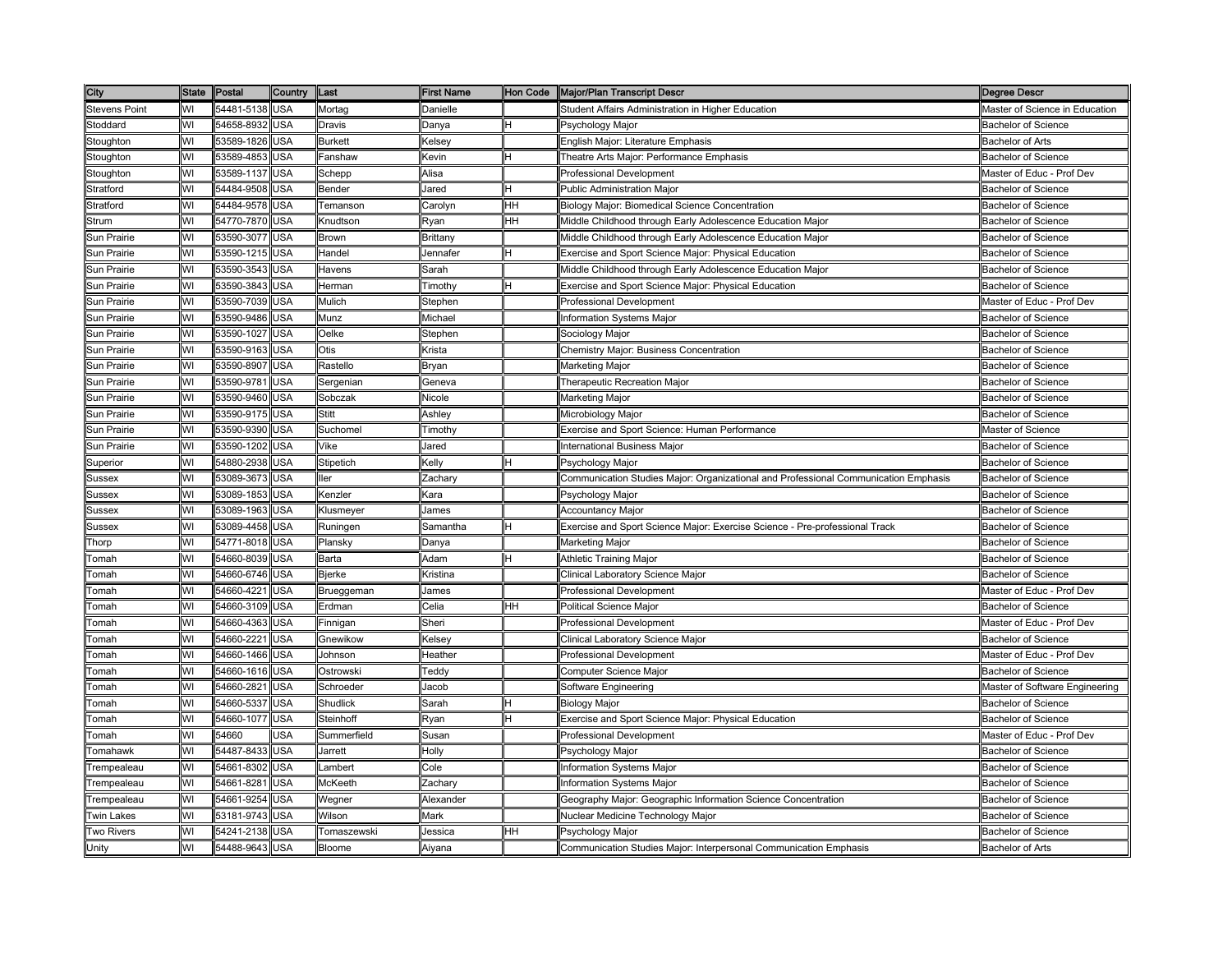| City                 |    | State Postal   | <b>Country</b> | Last                | <b>First Name</b> | Hon Code | Major/Plan Transcript Descr                                                         | <b>Degree Descr</b>            |
|----------------------|----|----------------|----------------|---------------------|-------------------|----------|-------------------------------------------------------------------------------------|--------------------------------|
| <b>Stevens Point</b> | WI | 54481-5138     | <b>USA</b>     | Mortag              | Danielle          |          | Student Affairs Administration in Higher Education                                  | Master of Science in Education |
| Stoddard             | WI | 54658-8932     | USA            | Dravis              | Danya             |          | Psychology Major                                                                    | <b>Bachelor of Science</b>     |
| Stoughton            | WI | 53589-1826     | USA            | Burkett             | Kelsev            |          | English Major: Literature Emphasis                                                  | <b>Bachelor of Arts</b>        |
| Stoughton            | WI | 53589-4853     | <b>JSA</b>     | <sup>=</sup> anshaw | Kevin             |          | <b>Theatre Arts Major: Performance Emphasis</b>                                     | Bachelor of Science            |
| Stoughton            | WI | 53589-1137     | USA            | Schepp              | Alisa             |          | Professional Development                                                            | Master of Educ - Prof Dev      |
| Stratford            | WI | 54484-9508     | USA            | Bender              | Jared             |          | Public Administration Major                                                         | <b>Bachelor of Science</b>     |
| Stratford            | WI | 54484-9578 USA |                | Temanson            | Carolyn           | HН       | Biology Major: Biomedical Science Concentration                                     | <b>Bachelor of Science</b>     |
| Strum                | WI | 54770-7870 USA |                | Knudtson            | Ryan              | HH       | Middle Childhood through Early Adolescence Education Major                          | <b>Bachelor of Science</b>     |
| Sun Prairie          | WI | 53590-3077     | <b>USA</b>     | Brown               | Brittany          |          | Middle Childhood through Early Adolescence Education Major                          | <b>Bachelor of Science</b>     |
| Sun Prairie          | WI | 53590-1215     | USA            | Handel              | Jennafer          |          | Exercise and Sport Science Major: Physical Education                                | <b>Bachelor of Science</b>     |
| Sun Prairie          | WI | 53590-3543     | USA            | Havens              | Sarah             |          | Middle Childhood through Early Adolescence Education Major                          | <b>Bachelor of Science</b>     |
| Sun Prairie          | WI | 53590-3843     | JSA            | Herman              | Timothy           |          | Exercise and Sport Science Major: Physical Education                                | Bachelor of Science            |
| Sun Prairie          | WI | 53590-7039     | USA            | Mulich              | Stephen           |          | Professional Development                                                            | Master of Educ - Prof Dev      |
| Sun Prairie          | WI | 53590-9486     | USA            | Munz                | Michael           |          | Information Systems Major                                                           | <b>Bachelor of Science</b>     |
| Sun Prairie          | WI | 53590-1027     | USA            | Oelke               | Stephen           |          | Sociology Major                                                                     | <b>Bachelor of Science</b>     |
| Sun Prairie          | WI | 53590-9163     | USA            | Otis                | Krista            |          | Chemistry Major: Business Concentration                                             | <b>Bachelor of Science</b>     |
| Sun Prairie          | WI | 53590-8907     | USA            | Rastello            | Bryan             |          | Marketing Major                                                                     | <b>Bachelor of Science</b>     |
| Sun Prairie          | WI | 53590-9781     | USA            | Sergenian           | Geneva            |          | Therapeutic Recreation Major                                                        | <b>Bachelor of Science</b>     |
| Sun Prairie          | WI | 53590-9460     | USA            | Sobczak             | Nicole            |          | Marketing Major                                                                     | Bachelor of Science            |
| Sun Prairie          | WI | 53590-9175     | <b>JSA</b>     | Stitt               | Ashley            |          | Microbiology Major                                                                  | <b>Bachelor of Science</b>     |
| Sun Prairie          | WI | 53590-9390     | USA            | Suchomel            | Timothy           |          | Exercise and Sport Science: Human Performance                                       | Master of Science              |
| Sun Prairie          | WI | 53590-1202     | USA            | Vike                | Jared             |          | International Business Major                                                        | <b>Bachelor of Science</b>     |
| Superior             | WI | 54880-2938     | <b>USA</b>     | Stipetich           | Kelly             |          | Psychology Major                                                                    | <b>Bachelor of Science</b>     |
| Sussex               | WI | 53089-3673     | <b>USA</b>     | ller                | Zachary           |          | Communication Studies Major: Organizational and Professional Communication Emphasis | <b>Bachelor of Science</b>     |
| Sussex               | WI | 53089-1853     | <b>USA</b>     | Kenzler             | Kara              |          | Psychology Major                                                                    | <b>Bachelor of Science</b>     |
| Sussex               | WI | 53089-1963     | USA            | Klusmeyer           | James             |          | Accountancy Major                                                                   | <b>Bachelor of Science</b>     |
| Sussex               | WI | 53089-4458     | USA            | Runingen            | Samantha          |          | Exercise and Sport Science Major: Exercise Science - Pre-professional Track         | <b>Bachelor of Science</b>     |
| Thorp                | WI | 54771-8018     | USA            | Plansky             | Danya             |          | Marketing Major                                                                     | <b>Bachelor of Science</b>     |
| Гоmah                | WI | 54660-8039     | USA            | Barta               | Adam              |          | Athletic Training Major                                                             | <b>Bachelor of Science</b>     |
| <b>Tomah</b>         | WI | 54660-6746     | USA            | <b>Bjerke</b>       | Kristina          |          | Clinical Laboratory Science Major                                                   | <b>Bachelor of Science</b>     |
| Гоmah                | WI | 54660-4221     | USA            | Brueggeman          | James             |          | Professional Development                                                            | Master of Educ - Prof Dev      |
| Tomah                | WI | 54660-3109 USA |                | Erdman              | Celia             | HH       | Political Science Major                                                             | <b>Bachelor of Science</b>     |
| Гоmah                | WI | 54660-4363     | USA            | Finnigan            | Sheri             |          | <b>Professional Development</b>                                                     | Master of Educ - Prof Dev      |
| Гоmah                | WI | 54660-2221     | USA            | Gnewikow            | Kelsey            |          | Clinical Laboratory Science Major                                                   | <b>Bachelor of Science</b>     |
| Гоmah                | WI | 54660-1466     | USA            | Johnson             | Heather           |          | <b>Professional Development</b>                                                     | Master of Educ - Prof Dev      |
| `omah                | WI | 54660-1616     | <b>JSA</b>     | Ostrowski           | Teddy             |          | Computer Science Major                                                              | <b>Bachelor of Science</b>     |
| <sup>-</sup> omah    | WI | 54660-2821     | <b>JSA</b>     | Schroede            | Jacob             |          | Software Engineering                                                                | Master of Software Engineering |
| ⊺omah                | WI | 54660-5337     | USA            | Shudlick            | Sarah             |          | Biology Major                                                                       | <b>Bachelor of Science</b>     |
| <sup>-</sup> omah    | WI | 54660-1077     | USA            | Steinhoff           | Ryan              |          | Exercise and Sport Science Major: Physical Education                                | <b>Bachelor of Science</b>     |
| ⊺omah                | WI | 54660          | <b>JSA</b>     | Summerfield         | Susan             |          | <b>Professional Development</b>                                                     | Master of Educ - Prof Dev      |
| Tomahawk             | WI | 54487-8433     | <b>USA</b>     | Jarrett             | Holly             |          | Psychology Major                                                                    | <b>Bachelor of Science</b>     |
| Trempealeau          | WI | 54661-8302     | USA            | _ambert             | Cole              |          | Information Systems Major                                                           | <b>Bachelor of Science</b>     |
| Trempealeau          | WI | 54661-8281     | USA            | McKeeth             | Zachary           |          | Information Systems Major                                                           | <b>Bachelor of Science</b>     |
| Trempealeau          | WI | 54661-9254     | USA            | Wegner              | Alexander         |          | Geography Major: Geographic Information Science Concentration                       | <b>Bachelor of Science</b>     |
| win Lakes            | WI | 53181-9743     | USA            | Wilson              | Mark              |          | Nuclear Medicine Technology Major                                                   | Bachelor of Science            |
| Two Rivers           | WI | 54241-2138     | USA            | Tomaszewski         | Jessica           | HН       | Psychology Major                                                                    | <b>Bachelor of Science</b>     |
| Unity                | WI | 54488-9643 USA |                | Bloome              | Aiyana            |          | Communication Studies Major: Interpersonal Communication Emphasis                   | <b>Bachelor of Arts</b>        |
|                      |    |                |                |                     |                   |          |                                                                                     |                                |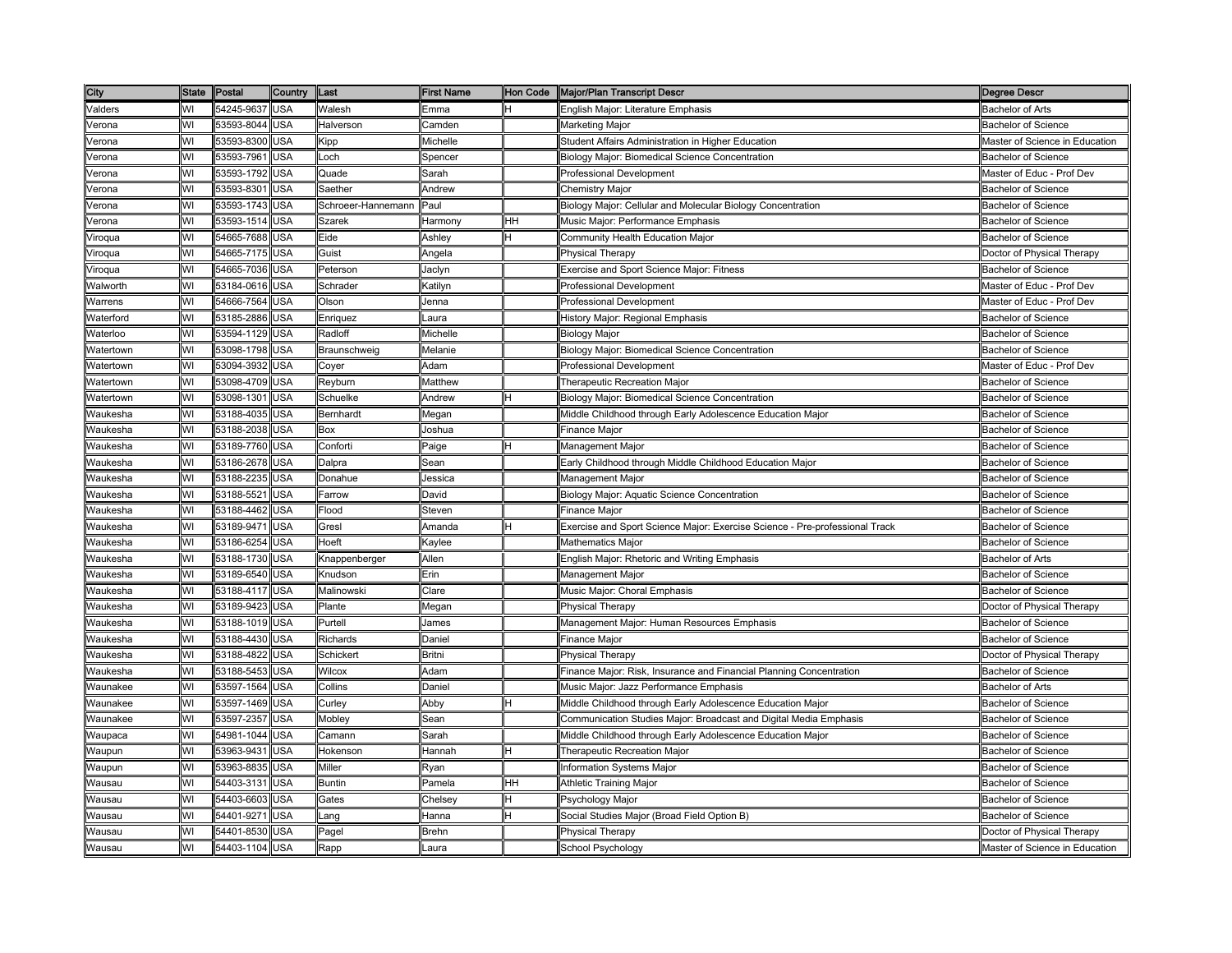| City      | <b>State</b> | Postal         | Country    | Last                 | First Name     | Hon Code | <b>Major/Plan Transcript Descri</b>                                         | Degree Descr                   |
|-----------|--------------|----------------|------------|----------------------|----------------|----------|-----------------------------------------------------------------------------|--------------------------------|
| Valders   | WI           | 54245-9637     | <b>USA</b> | Walesh               | Emma           |          | English Major: Literature Emphasis                                          | <b>Bachelor of Arts</b>        |
| √erona    | WI           | 53593-8044     | <b>USA</b> | Halverson            | Camden         |          | Marketing Major                                                             | <b>Bachelor of Science</b>     |
| /erona    | WI           | 53593-8300     | USA        | Kipp                 | Michelle       |          | Student Affairs Administration in Higher Education                          | Master of Science in Education |
| /erona    | WI           | 53593-7961     | <b>JSA</b> | _och                 | Spencer        |          | Biology Major: Biomedical Science Concentration                             | <b>Bachelor of Science</b>     |
| /erona    | WI           | 53593-1792     | USA        | Quade                | Sarah          |          | Professional Development                                                    | Master of Educ - Prof Dev      |
| √erona    | WI           | 53593-8301     | USA        | Saether              | Andrew         |          | Chemistry Major                                                             | <b>Bachelor of Science</b>     |
| √erona    | WI           | 53593-1743     | <b>USA</b> | Schroeer-Hannemann   | Paul           |          | Biology Major: Cellular and Molecular Biology Concentration                 | <b>Bachelor of Science</b>     |
| √erona    | WI           | 53593-1514     | USA        | Szarek               | Harmony        | HН       | Music Major: Performance Emphasis                                           | <b>Bachelor of Science</b>     |
| Viroqua   | WI           | 54665-7688     | USA        | Eide                 | Ashley         |          | Community Health Education Major                                            | <b>Bachelor of Science</b>     |
| Viroqua   | WI           | 54665-7175     | USA        | Guist                | Angela         |          | Physical Therapy                                                            | Doctor of Physical Therapy     |
| √iroqua   | WI           | 54665-7036     | USA        | Peterson             | Jaclyn         |          | Exercise and Sport Science Major: Fitness                                   | <b>Bachelor of Science</b>     |
| Nalworth  | WI           | 53184-0616     | USA        | Schrader             | <b>Katilyn</b> |          | Professional Development                                                    | Master of Educ - Prof Dev      |
| Narrens   | WI           | 54666-7564     | USA        | Olson                | Jenna          |          | Professional Development                                                    | Master of Educ - Prof Dev      |
| Waterford | WI           | 53185-2886     | USA        | Enriquez             | Laura          |          | History Major: Regional Emphasis                                            | Bachelor of Science            |
| Waterloo  | WI           | 53594-1129     | <b>USA</b> | Radloff              | Michelle       |          | Biology Major                                                               | <b>Bachelor of Science</b>     |
| Watertown | WI           | 53098-1798     | USA        | Braunschweig         | Melanie        |          | Biology Major: Biomedical Science Concentration                             | <b>Bachelor of Science</b>     |
| Watertown | WI           | 53094-3932     | USA        | Coyer                | Adam           |          | Professional Development                                                    | Master of Educ - Prof Dev      |
| Watertown | WI           | 53098-4709     | USA        | Reyburn              | Matthew        |          | Therapeutic Recreation Major                                                | <b>Bachelor of Science</b>     |
| Watertown | WI           | 53098-1301     | USA        | Schuelke             | Andrew         |          | Biology Major: Biomedical Science Concentration                             | Bachelor of Science            |
| Naukesha  | WI           | 53188-4035     | <b>JSA</b> | Bernhardt            | Megan          |          | Middle Childhood through Early Adolescence Education Major                  | Bachelor of Science            |
| Waukesha  | WI           | 53188-2038     | USA        | Box                  | Joshua         |          | Finance Major                                                               | Bachelor of Science            |
| Waukesha  | WI           | 53189-7760     | USA        | Conforti             | Paige          |          | Management Major                                                            | <b>Bachelor of Science</b>     |
| Waukesha  | WI           | 53186-2678     | <b>USA</b> | Dalpra               | Sean           |          | Early Childhood through Middle Childhood Education Major                    | <b>Bachelor of Science</b>     |
| Waukesha  | WI           | 53188-2235     | USA        | Donahue              | Jessica        |          | Management Major                                                            | <b>Bachelor of Science</b>     |
| Waukesha  | WI           | 53188-5521     | USA        | Farrow               | David          |          | Biology Major: Aquatic Science Concentration                                | <b>Bachelor of Science</b>     |
| Waukesha  | WI           | 53188-4462     | USA        | Flood                | Steven         |          | Finance Major                                                               | <b>Bachelor of Science</b>     |
| Waukesha  | WI           | 53189-9471     | USA        | Gresl                | Amanda         |          | Exercise and Sport Science Major: Exercise Science - Pre-professional Track | <b>Bachelor of Science</b>     |
| Naukesha  | WI           | 53186-6254     | USA        | Hoeft                | Kaylee         |          | <b>Mathematics Major</b>                                                    | <b>Bachelor of Science</b>     |
| Vaukesha  | WI           | 53188-1730     | <b>JSA</b> | <b>Knappenberger</b> | Allen          |          | English Major: Rhetoric and Writing Emphasis                                | Bachelor of Arts               |
| Naukesha  | WI           | 53189-6540     | USA        | Knudson              | Erin           |          | Management Major                                                            | <b>Bachelor of Science</b>     |
| Waukesha  | WI           | 53188-4117     | USA        | Malinowski           | Clare          |          | Music Major: Choral Emphasis                                                | <b>Bachelor of Science</b>     |
| Waukesha  | WI           | 53189-9423     | <b>USA</b> | Plante               | Megan          |          | Physical Therapy                                                            | Doctor of Physical Therapy     |
| Waukesha  | WI           | 53188-1019 USA |            | Purtell              | James          |          | Management Major: Human Resources Emphasis                                  | <b>Bachelor of Science</b>     |
| Waukesha  | WI           | 53188-4430 USA |            | Richards             | Daniel         |          | Finance Major                                                               | <b>Bachelor of Science</b>     |
| Waukesha  | WI           | 53188-4822     | USA        | Schickert            | Britni         |          | <b>Physical Therapy</b>                                                     | Doctor of Physical Therapy     |
| Waukesha  | WI           | 53188-5453     | USA        | Wilcox               | Adam           |          | Finance Major: Risk, Insurance and Financial Planning Concentration         | <b>Bachelor of Science</b>     |
| Waunakee  | WI           | 53597-1564     | USA        | Collins              | Daniel         |          | Music Major: Jazz Performance Emphasis                                      | <b>Bachelor of Arts</b>        |
| Naunakee  | WI           | 53597-1469     | <b>JSA</b> | Curley               | Abby           |          | Middle Childhood through Early Adolescence Education Major                  | Bachelor of Science            |
| Waunakee  | WI           | 53597-2357     | <b>JSA</b> | Mobley               | Sean           |          | Communication Studies Major: Broadcast and Digital Media Emphasis           | <b>Bachelor of Science</b>     |
| Waupaca   | WI           | 54981-1044     | USA        | Camann               | Sarah          |          | Middle Childhood through Early Adolescence Education Major                  | <b>Bachelor of Science</b>     |
| Waupun    | WI           | 53963-9431     | USA        | Hokenson             | Hannah         | н        | Therapeutic Recreation Major                                                | <b>Bachelor of Science</b>     |
| Waupun    | WI           | 53963-8835     | USA        | Miller               | Ryan           |          | Information Systems Major                                                   | Bachelor of Science            |
| Wausau    | WI           | 54403-3131     | USA        | <b>Buntin</b>        | Pamela         | HН       | <b>Athletic Training Major</b>                                              | <b>Bachelor of Science</b>     |
| Wausau    | WI           | 54403-6603     | USA        | Gates                | Chelsey        |          | Psychology Major                                                            | <b>Bachelor of Science</b>     |
| Wausau    | WI           | 54401-9271     | USA        | _ang                 | Hanna          |          | Social Studies Major (Broad Field Option B)                                 | <b>Bachelor of Science</b>     |
| Wausau    | WI           | 54401-8530     | USA        | Pagel                | Brehn          |          | Physical Therapy                                                            | Doctor of Physical Therapy     |
| Wausau    | WI           | 54403-1104     | USA        | Rapp                 | Laura          |          | School Psychology                                                           | Master of Science in Education |
|           |              |                |            |                      |                |          |                                                                             |                                |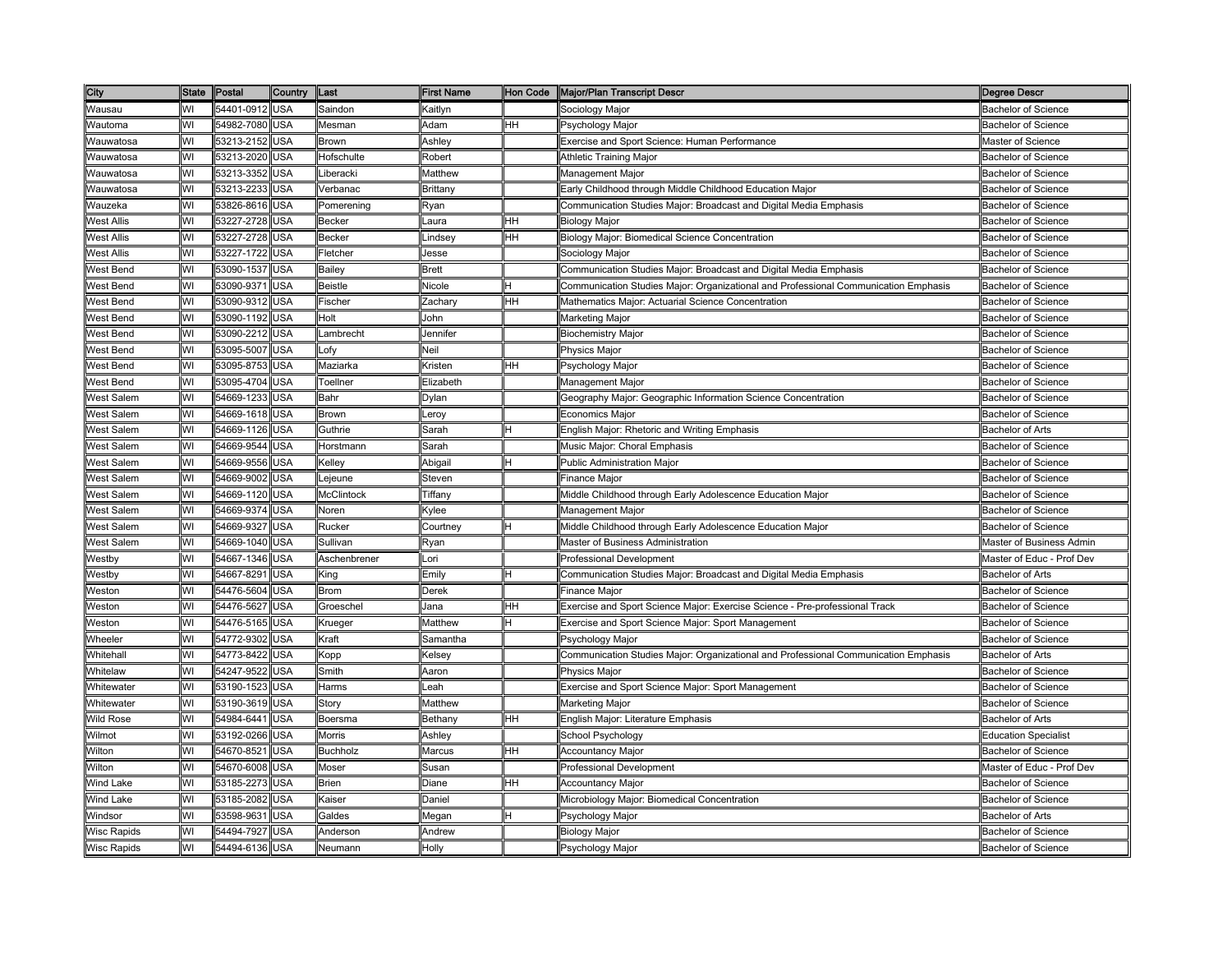| City               |    | State Postal   | <b>Country</b> | Last              | <b>First Name</b> |     | Hon Code   Major/Plan Transcript Descr                                              | <b>Degree Descr</b>         |
|--------------------|----|----------------|----------------|-------------------|-------------------|-----|-------------------------------------------------------------------------------------|-----------------------------|
| Wausau             | WI | 54401-0912 USA |                | Saindon           | Kaitlyn           |     | Sociology Major                                                                     | <b>Bachelor of Science</b>  |
| Wautoma            | WI | 54982-7080     | <b>USA</b>     | Mesman            | Adam              | HH. | Psychology Major                                                                    | <b>Bachelor of Science</b>  |
| Wauwatosa          | WI | 53213-2152     | USA            | Brown             | Ashley            |     | Exercise and Sport Science: Human Performance                                       | Master of Science           |
| Nauwatosa          | WI | 53213-2020     | USA            | <b>Hofschulte</b> | Robert            |     | Athletic Training Major                                                             | Bachelor of Science         |
| Wauwatosa          | WI | 53213-3352     | USA            | Liberacki         | Matthew           |     | Management Major                                                                    | <b>Bachelor of Science</b>  |
| Wauwatosa          | WI | 53213-2233     | USA            | Verbanac          | <b>Brittany</b>   |     | Early Childhood through Middle Childhood Education Major                            | Bachelor of Science         |
| Wauzeka            | WI | 53826-8616 USA |                | Pomerening        | Ryan              |     | Communication Studies Major: Broadcast and Digital Media Emphasis                   | <b>Bachelor of Science</b>  |
| West Allis         | WI | 53227-2728     | <b>USA</b>     | Becker            | aura.             | HH  | Biology Major                                                                       | <b>Bachelor of Science</b>  |
| <b>West Allis</b>  | WI | 53227-2728     | <b>USA</b>     | <b>Becker</b>     | _indsey           | HН  | Biology Major: Biomedical Science Concentration                                     | <b>Bachelor of Science</b>  |
| West Allis         | WI | 53227-1722     | USA            | Fletcher          | Jesse             |     | Sociology Major                                                                     | <b>Bachelor of Science</b>  |
| West Bend          | WI | 53090-1537     | USA            | Bailey            | Brett             |     | Communication Studies Major: Broadcast and Digital Media Emphasis                   | <b>Bachelor of Science</b>  |
| West Bend          | WI | 53090-9371     | JSA            | Beistle           | Nicole            |     | Communication Studies Major: Organizational and Professional Communication Emphasis | <b>Bachelor of Science</b>  |
| West Bend          | WI | 53090-9312     | USA            | Fischer           | Zachary           | HН  | Mathematics Major: Actuarial Science Concentration                                  | Bachelor of Science         |
| West Bend          | WI | 53090-1192     | USA            | Holt              | John              |     | Marketing Major                                                                     | <b>Bachelor of Science</b>  |
| West Bend          | WI | 53090-2212     | <b>USA</b>     | Lambrecht         | Jennifer          |     | <b>Biochemistry Major</b>                                                           | Bachelor of Science         |
| West Bend          | WI | 53095-5007     | USA            | _ofy              | Neil              |     | Physics Major                                                                       | <b>Bachelor of Science</b>  |
| West Bend          | WI | 53095-8753     | USA            | Maziarka          | Kristen           | HH  | Psychology Major                                                                    | <b>Bachelor of Science</b>  |
| West Bend          | WI | 53095-4704     | USA            | Toellner          | Elizabeth         |     | Management Major                                                                    | <b>Bachelor of Science</b>  |
| West Salem         | WI | 54669-1233     | <b>USA</b>     | Bahr              | Dylan             |     | Geography Major: Geographic Information Science Concentration                       | <b>Bachelor of Science</b>  |
| <b>Nest Salem</b>  | WI | 54669-1618     | USA            | Brown             | _eroy             |     | Economics Major                                                                     | <b>Bachelor of Science</b>  |
| <b>Nest Salem</b>  | WI | 54669-1126     | <b>JSA</b>     | Guthrie           | Sarah             |     | English Major: Rhetoric and Writing Emphasis                                        | <b>Bachelor of Arts</b>     |
| <b>Nest Salem</b>  | WI | 54669-9544     | USA            | Horstmann         | Sarah             |     | Music Major: Choral Emphasis                                                        | <b>Bachelor of Science</b>  |
| West Salem         | WI | 54669-9556     | USA            | Kelley            | Abigail           |     | <b>Public Administration Major</b>                                                  | Bachelor of Science         |
| West Salem         | WI | 54669-9002     | USA            | _ejeune           | Steven            |     | Finance Major                                                                       | <b>Bachelor of Science</b>  |
| West Salem         | WI | 54669-1120 USA |                | <b>McClintock</b> | Tiffany           |     | Middle Childhood through Early Adolescence Education Major                          | <b>Bachelor of Science</b>  |
| West Salem         | WI | 54669-9374     | USA            | Noren             | Kylee             |     | Management Major                                                                    | <b>Bachelor of Science</b>  |
| <b>Nest Salem</b>  | WI | 54669-9327     | USA            | Rucker            | Courtney          |     | Middle Childhood through Early Adolescence Education Major                          | <b>Bachelor of Science</b>  |
| West Salem         | WI | 54669-1040     | USA            | Sullivan          | Ryan              |     | Master of Business Administration                                                   | Master of Business Admin    |
| Nestby             | WI | 54667-1346     | <b>JSA</b>     | Aschenbrener      | .ori              |     | Professional Development                                                            | Master of Educ - Prof Dev   |
| Nestby             | WI | 54667-8291     | USA            | King              | Emilv             |     | Communication Studies Major: Broadcast and Digital Media Emphasis                   | <b>Bachelor of Arts</b>     |
| Weston             | WI | 54476-5604     | USA            | <b>Brom</b>       | Derek             |     | Finance Major                                                                       | <b>Bachelor of Science</b>  |
| Weston             | WI | 54476-5627     | USA            | Groeschel         | Jana              | HH  | Exercise and Sport Science Major: Exercise Science - Pre-professional Track         | <b>Bachelor of Science</b>  |
| Weston             | WI | 54476-5165     | USA            | Krueger           | Matthew           |     | Exercise and Sport Science Major: Sport Management                                  | <b>Bachelor of Science</b>  |
| Wheeler            | WI | 54772-9302     | USA            | Kraft             | Samantha          |     | Psychology Major                                                                    | <b>Bachelor of Science</b>  |
| Whitehall          | WI | 54773-8422     | USA            | Kopp              | Kelsey            |     | Communication Studies Major: Organizational and Professional Communication Emphasis | <b>Bachelor of Arts</b>     |
| Whitelaw           | WI | 54247-9522     | USA            | Smith             | Aaron             |     | <b>Physics Major</b>                                                                | <b>Bachelor of Science</b>  |
| Whitewater         | WI | 53190-1523     | <b>JSA</b>     | Harms             | _eah              |     | Exercise and Sport Science Major: Sport Management                                  | Bachelor of Science         |
| Whitewater         | WI | 53190-3619     | USA            | Story             | Matthew           |     | Marketing Major                                                                     | Bachelor of Science         |
| Wild Rose          | WI | 54984-6441     | USA            | Boersma           | Bethany           | ΗH  | English Major: Literature Emphasis                                                  | <b>Bachelor of Arts</b>     |
| Wilmot             | WI | 53192-0266     | USA            | Morris            | Ashley            |     | School Psychology                                                                   | <b>Education Specialist</b> |
| Wilton             | WI | 54670-8521     | USA            | <b>Buchholz</b>   | Marcus            | HH  | <b>Accountancy Major</b>                                                            | <b>Bachelor of Science</b>  |
| Wilton             | WI | 54670-6008     | <b>USA</b>     | Moser             | Susan             |     | Professional Development                                                            | Master of Educ - Prof Dev   |
| Wind Lake          | WI | 53185-2273     | USA            | Brien             | Diane             | ΗH  | Accountancy Major                                                                   | <b>Bachelor of Science</b>  |
| Wind Lake          | WI | 53185-2082     | USA            | Kaiser            | Daniel            |     | Microbiology Major: Biomedical Concentration                                        | <b>Bachelor of Science</b>  |
| Windsor            | WI | 53598-9631     | USA            | Galdes            | Megan             |     | Psychology Major                                                                    | <b>Bachelor of Arts</b>     |
| <b>Nisc Rapids</b> | WI | 54494-7927     | USA            | Anderson          | Andrew            |     | <b>Biology Major</b>                                                                | Bachelor of Science         |
| <b>Wisc Rapids</b> | WI | 54494-6136     | USA            | Neumann           | Holly             |     | Psychology Major                                                                    | <b>Bachelor of Science</b>  |